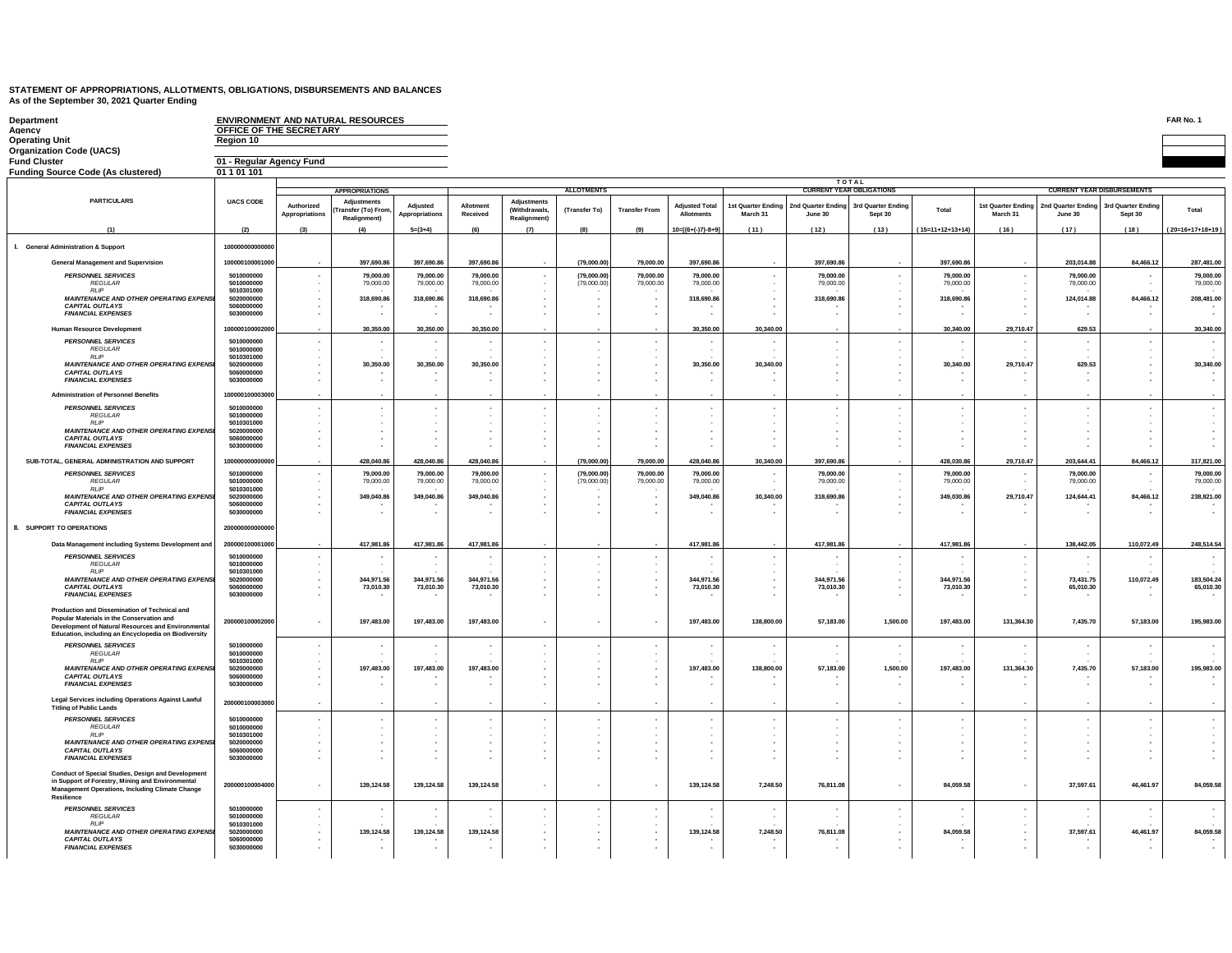| <b>Department</b><br>Agency<br>Operating Unit                                                                                                                                                            | OFFICE OF THE SECRETARY<br>Region 10   |                                                                | <b>ENVIRONMENT AND NATURAL RESOURCES</b>                 |                                |                         |                                                     |                            |                        |                                     |                                |                               |                                           |                         |                                       |                                |                                            | FAR No. 1               |
|----------------------------------------------------------------------------------------------------------------------------------------------------------------------------------------------------------|----------------------------------------|----------------------------------------------------------------|----------------------------------------------------------|--------------------------------|-------------------------|-----------------------------------------------------|----------------------------|------------------------|-------------------------------------|--------------------------------|-------------------------------|-------------------------------------------|-------------------------|---------------------------------------|--------------------------------|--------------------------------------------|-------------------------|
| <b>Organization Code (UACS)</b>                                                                                                                                                                          |                                        |                                                                |                                                          |                                |                         |                                                     |                            |                        |                                     |                                |                               |                                           |                         |                                       |                                |                                            |                         |
| <b>Fund Cluster</b>                                                                                                                                                                                      | 01 - Regular Agency Fund               |                                                                |                                                          |                                |                         |                                                     |                            |                        |                                     |                                |                               |                                           |                         |                                       |                                |                                            |                         |
| <b>Funding Source Code (As clustered)</b>                                                                                                                                                                | 01 1 01 101                            |                                                                |                                                          |                                |                         |                                                     |                            |                        |                                     |                                |                               |                                           |                         |                                       |                                |                                            |                         |
|                                                                                                                                                                                                          |                                        |                                                                |                                                          |                                |                         |                                                     |                            |                        |                                     |                                |                               | <b>TOTAL</b>                              |                         |                                       |                                |                                            |                         |
|                                                                                                                                                                                                          |                                        |                                                                | <b>APPROPRIATIONS</b>                                    |                                |                         |                                                     | <b>ALLOTMENTS</b>          |                        |                                     |                                |                               | <b>CURRENT YEAR OBLIGATIONS</b>           |                         |                                       |                                | <b>CURRENT YEAR DISBURSEMENTS</b>          |                         |
| <b>PARTICULARS</b>                                                                                                                                                                                       | <b>UACS CODE</b>                       | Authorized<br><b>Appropriations</b>                            | Adjustments<br><b>Fransfer (To) From</b><br>Realignment) | Adjusted<br>Appropriations     | Allotment<br>Received   | Adjustments<br><b>(Withdrawals)</b><br>Realignment) | (Transfer To)              | <b>Transfer From</b>   | <b>Adjusted Total</b><br>Allotments | 1st Quarter Ending<br>March 31 | 2nd Quarter Ending<br>June 30 | 3rd Quarter Endin<br>Sept 30              | Total                   | <b>1st Quarter Ending</b><br>March 31 | 2nd Quarter Ending<br>June 30  | 3rd Quarter Endin<br>Sept 30               | Total                   |
| (1)                                                                                                                                                                                                      | (2)                                    | (3)                                                            | (4)                                                      | $5=(3+4)$                      | (6)                     | (7)                                                 | (8)                        | (9)                    | $10=[(6+(-7)-8+9]$                  | (11)                           | (12)                          | (13)                                      | $(15=11+12+13+14)$      | (16)                                  | (17)                           | (18)                                       | $(20=16+17+18+19)$      |
| <b>I.</b> General Administration & Support                                                                                                                                                               | 100000000000000                        |                                                                |                                                          |                                |                         |                                                     |                            |                        |                                     |                                |                               |                                           |                         |                                       |                                |                                            |                         |
| <b>General Management and Supervision</b>                                                                                                                                                                | 100000100001000                        |                                                                | 397,690.86                                               | 397,690.86                     | 397,690.86              |                                                     | (79,000.00)                | 79,000.00              | 397,690.86                          |                                | 397,690.86                    |                                           | 397,690.86              |                                       | 203,014.88                     | 84,466.12                                  | 287,481.00              |
| <b>PERSONNEL SERVICES</b><br>REGULAR                                                                                                                                                                     | 5010000000<br>5010000000               | $\sim$                                                         | 79,000.00<br>79,000.00                                   | 79,000.00<br>79,000.00         | 79,000.00<br>79,000.00  |                                                     | (79,000.00)<br>(79,000.00) | 79,000.00<br>79,000.00 | 79,000.00<br>79,000.00              |                                | 79,000.00<br>79,000.00        | $\sim$                                    | 79,000.00<br>79,000.00  | $\sim$                                | 79,000.00<br>79,000.00         | $\cdot$<br>$\sim$                          | 79,000.00<br>79,000.00  |
| <b>RIP</b>                                                                                                                                                                                               | 5010301000                             | $\cdot$                                                        |                                                          |                                |                         |                                                     |                            |                        |                                     |                                |                               |                                           |                         | $\sim$                                |                                |                                            |                         |
| <b>MAINTENANCE AND OTHER OPERATING EXPENSI</b><br><b>CAPITAL OUTLAYS</b><br><b>FINANCIAL EXPENSES</b>                                                                                                    | 5020000000<br>5060000000<br>5030000000 | $\sim$<br>$\overline{\phantom{a}}$<br>$\overline{\phantom{a}}$ | 318,690.86                                               | 318,690.86<br>$\mathbf{r}$     | 318,690.86              |                                                     | $\sim$                     |                        | 318,690.86                          |                                | 318,690.86                    | $\sim$                                    | 318,690.86              | ٠.                                    | 124,014.88                     | 84,466.12                                  | 208,481.00              |
| <b>Human Resource Development</b>                                                                                                                                                                        | 10000010000200                         |                                                                |                                                          |                                | 30,350.00               |                                                     |                            |                        |                                     |                                |                               |                                           |                         |                                       |                                |                                            |                         |
|                                                                                                                                                                                                          |                                        |                                                                | 30,350.00                                                | 30,350.00                      |                         |                                                     |                            |                        | 30,350.00                           | 30,340.00                      |                               |                                           | 30,340.00               | 29,710.47                             | 629.53                         |                                            | 30,340.00               |
| <b>PERSONNEL SERVICES</b><br><b>REGULAR</b>                                                                                                                                                              | 5010000000<br>5010000000               | $\cdot$<br>$\cdot$                                             |                                                          | $\overline{\phantom{a}}$<br>٠. |                         |                                                     | $\cdot$                    |                        |                                     | ٠.                             |                               | $\blacksquare$                            |                         |                                       | ٠.<br>$\overline{\phantom{a}}$ | $\cdot$                                    |                         |
| <b>RLIP</b><br><b>MAINTENANCE AND OTHER OPERATING EXPENS</b>                                                                                                                                             | 5010301000<br>5020000000               | $\overline{\phantom{a}}$<br>$\sim$                             | 30,350.00                                                | 30,350.00                      | 30,350.00               |                                                     |                            |                        | 30,350.00                           | 30,340.00                      |                               | $\sim$                                    | 30,340.00               | 29,710.47                             | 629.53                         | $\cdot$<br>$\cdot$                         | 30,340,00               |
| <b>CAPITAL OUTLAYS</b>                                                                                                                                                                                   | 5060000000                             | $\overline{\phantom{a}}$                                       |                                                          |                                |                         |                                                     |                            |                        |                                     |                                |                               |                                           |                         |                                       |                                | $\blacksquare$                             |                         |
| <b>FINANCIAL EXPENSES</b>                                                                                                                                                                                | 5030000000                             | $\overline{\phantom{a}}$                                       |                                                          | $\sim$                         |                         |                                                     |                            |                        |                                     |                                |                               |                                           |                         |                                       | $\overline{\phantom{a}}$       | $\epsilon$                                 |                         |
| <b>Administration of Personnel Benefits</b>                                                                                                                                                              | 10000010000300                         |                                                                |                                                          |                                |                         |                                                     |                            |                        |                                     |                                |                               |                                           |                         |                                       |                                |                                            |                         |
| <b>PERSONNEL SERVICES</b>                                                                                                                                                                                | 5010000000                             |                                                                |                                                          |                                |                         |                                                     |                            |                        |                                     |                                |                               |                                           |                         |                                       | ٠.                             | $\cdot$                                    |                         |
| REGULAR<br><b>RLIP</b>                                                                                                                                                                                   | 5010000000<br>5010301000               |                                                                |                                                          |                                |                         |                                                     |                            |                        |                                     |                                |                               |                                           |                         |                                       |                                |                                            |                         |
| <b>MAINTENANCE AND OTHER OPERATING EXPENSI</b><br><b>CAPITAL OUTLAYS</b>                                                                                                                                 | 5020000000<br>5060000000               |                                                                |                                                          |                                |                         |                                                     |                            |                        |                                     |                                |                               |                                           |                         |                                       |                                |                                            |                         |
| <b>FINANCIAL EXPENSES</b>                                                                                                                                                                                | 5030000000                             | $\overline{\phantom{a}}$<br>$\overline{\phantom{a}}$           |                                                          |                                |                         |                                                     |                            |                        |                                     |                                |                               |                                           |                         |                                       |                                | $\overline{\phantom{a}}$<br>$\blacksquare$ |                         |
| SUB-TOTAL, GENERAL ADMINISTRATION AND SUPPORT                                                                                                                                                            | 1000000000000                          |                                                                | 428,040.86                                               | 428,040.86                     | 428,040.86              |                                                     | (79,000.00)                | 79,000.00              | 428,040.86                          | 30,340.00                      | 397,690.86                    |                                           | 428,030.86              | 29,710.47                             | 203,644.41                     | 84,466.12                                  | 317,821.00              |
| <b>PERSONNEL SERVICES</b>                                                                                                                                                                                | 5010000000                             | $\sim$                                                         | 79,000,00                                                | 79.000.00                      | 79,000.00               |                                                     | (79,000.00)                | 79,000.00              | 79.000.00                           | ٠.                             | 79,000.00                     | ٠                                         | 79,000.00               | ٠.                                    | 79,000.00                      | $\overline{\phantom{a}}$                   | 79,000.00               |
| REGULAR                                                                                                                                                                                                  | 5010000000                             | $\cdot$                                                        | 79,000.00                                                | 79,000.00                      | 79,000.00               |                                                     | (79,000.00)                | 79,000.00              | 79,000.00                           |                                | 79,000.00                     |                                           | 79,000.00               |                                       | 79,000.00                      | $\cdot$                                    | 79,000.00               |
| <b>RLIP</b><br><b>MAINTENANCE AND OTHER OPERATING EXPENS</b>                                                                                                                                             | 5010301000<br>5020000000               | $\overline{\phantom{a}}$                                       | 349,040.86                                               | 349,040.86                     | 349,040.86              |                                                     | $\sim$                     |                        | 349,040.86                          | 30,340.00                      | 318,690.86                    | $\sim$                                    | 349,030.86              | 29,710.47                             | 124,644.41                     | 84,466.12                                  | 238,821.00              |
| <b>CAPITAL OUTLAYS</b><br><b>FINANCIAL EXPENSES</b>                                                                                                                                                      | 5060000000<br>5030000000               | $\overline{\phantom{a}}$                                       |                                                          |                                |                         |                                                     | ٠.                         |                        |                                     |                                |                               |                                           |                         |                                       |                                |                                            | <b>COL</b>              |
| <b>II. SUPPORT TO OPERATIONS</b>                                                                                                                                                                         | 200000000000000                        |                                                                |                                                          |                                |                         |                                                     |                            |                        |                                     |                                |                               |                                           |                         |                                       |                                |                                            |                         |
| Data Management including Systems Development and                                                                                                                                                        | 200000100001000                        |                                                                | 417,981.86                                               | 417,981.86                     | 417,981.86              |                                                     |                            |                        | 417,981.86                          |                                | 417,981.86                    |                                           | 417,981.86              |                                       | 138,442.05                     | 110,072.49                                 | 248,514.54              |
| <b>PERSONNEL SERVICES</b>                                                                                                                                                                                | 5010000000                             |                                                                |                                                          | $\sim$                         |                         |                                                     | $\sim$                     |                        |                                     |                                |                               |                                           |                         | . .                                   | ٠.                             | $\overline{\phantom{a}}$                   | $\sim$                  |
| <b>REGULAR</b><br><b>RIP</b>                                                                                                                                                                             | 5010000000<br>5010301000               | $\sim$<br>$\sim$                                               |                                                          | $\sim$                         |                         |                                                     | ٠.                         |                        |                                     |                                |                               |                                           |                         | $\sim$                                |                                | $\sim$                                     |                         |
| <b>MAINTENANCE AND OTHER OPERATING EXPENSI</b><br><b>CAPITAL OUTLAYS</b><br><b>FINANCIAL EXPENSES</b>                                                                                                    | 5020000000<br>5060000000<br>5030000000 | $\cdot$<br>$\sim$<br>$\overline{\phantom{a}}$                  | 344,971.56<br>73,010.30                                  | 344.971.56<br>73,010.30        | 344,971.56<br>73,010.30 |                                                     |                            |                        | 344,971.56<br>73,010.30             |                                | 344,971.56<br>73,010.30       | $\cdot$<br>ä,<br>$\overline{\phantom{a}}$ | 344,971.56<br>73,010.30 | $\sim$<br>$\blacksquare$              | 73.431.75<br>65,010.30         | 110,072.49<br>$\cdot$                      | 183,504.24<br>65,010.30 |
|                                                                                                                                                                                                          |                                        |                                                                |                                                          |                                |                         |                                                     |                            |                        |                                     |                                |                               |                                           |                         |                                       |                                |                                            |                         |
| Production and Dissemination of Technical and<br>Popular Materials in the Conservation and<br>Development of Natural Resources and Environmental<br>Education. including an Encyclopedia on Biodiversity | 200000100002000                        |                                                                | 197,483.00                                               | 197,483.00                     | 197,483.00              |                                                     |                            |                        | 197,483.00                          | 138,800.00                     | 57,183.00                     | 1,500.00                                  | 197,483.00              | 131,364.30                            | 7,435.70                       | 57,183.00                                  | 195,983.00              |
| <b>PERSONNEL SERVICES</b>                                                                                                                                                                                | 5010000000                             |                                                                |                                                          | $\overline{\phantom{a}}$       |                         |                                                     |                            |                        |                                     |                                |                               |                                           |                         |                                       |                                |                                            |                         |
| REGULAR<br><b>RLIP</b>                                                                                                                                                                                   | 5010000000<br>5010301000               | $\cdot$                                                        |                                                          |                                |                         |                                                     |                            |                        |                                     |                                |                               |                                           |                         |                                       |                                |                                            |                         |
| <b>MAINTENANCE AND OTHER OPERATING EXPENS</b>                                                                                                                                                            | 5020000000                             | $\cdot$                                                        | 197,483.00                                               | 197,483.00                     | 197,483.00              |                                                     |                            |                        | 197,483.00                          | 138,800.00                     | 57,183.00                     | 1,500.00                                  | 197,483.00              | 131,364.30                            | 7,435.70                       | 57,183.00                                  | 195,983.00              |
| <b>CAPITAL OUTLAYS</b><br><b>FINANCIAL EXPENSES</b>                                                                                                                                                      | 5060000000<br>5030000000               |                                                                |                                                          | $\sim$                         |                         |                                                     |                            | ۰.                     |                                     |                                | ٠.                            | ×.                                        |                         |                                       | $\overline{\phantom{a}}$       | $\overline{\phantom{a}}$                   | <b>COL</b>              |
| Legal Services including Operations Against Lawful<br><b>Titling of Public Lands</b>                                                                                                                     | 200000100003000                        |                                                                |                                                          |                                |                         |                                                     |                            |                        |                                     |                                |                               |                                           |                         |                                       | $\cdot$                        |                                            |                         |
| <b>PERSONNEL SERVICES</b>                                                                                                                                                                                | 5010000000                             |                                                                |                                                          |                                |                         |                                                     | $\sim$                     |                        |                                     |                                |                               |                                           |                         |                                       | $\overline{\phantom{a}}$       | $\overline{\phantom{a}}$                   |                         |
| REGULAR                                                                                                                                                                                                  | 5010000000                             |                                                                |                                                          |                                |                         |                                                     |                            |                        |                                     |                                |                               |                                           |                         |                                       |                                |                                            |                         |
| <b>RLIP</b><br><b>MAINTENANCE AND OTHER OPERATING EXPENS</b>                                                                                                                                             | 5010301000<br>5020000000               | $\sim$                                                         |                                                          |                                |                         |                                                     | $\sim$                     |                        |                                     |                                |                               |                                           |                         |                                       | ٠.                             |                                            |                         |
| <b>CAPITAL OUTLAYS</b><br><b>FINANCIAL EXPENSES</b>                                                                                                                                                      | 5060000000<br>5030000000               | $\overline{\phantom{a}}$                                       |                                                          |                                |                         |                                                     |                            |                        |                                     |                                |                               | $\sim$                                    |                         | $\overline{\phantom{a}}$              | $\overline{\phantom{a}}$       | ٠                                          |                         |
| Conduct of Special Studies, Design and Development<br>in Support of Forestry, Mining and Environmental<br><b>Management Operations, Including Climate Change</b><br>Resilience                           | 200000100004000                        |                                                                | 139,124.58                                               | 139,124.58                     | 139,124.58              |                                                     |                            |                        | 139,124.58                          | 7,248.50                       | 76,811.08                     |                                           | 84,059.58               |                                       | 37,597.61                      | 46,461.97                                  | 84,059.58               |
| <b>PERSONNEL SERVICES</b>                                                                                                                                                                                | 5010000000                             |                                                                |                                                          |                                |                         |                                                     |                            |                        |                                     |                                |                               |                                           |                         |                                       |                                |                                            |                         |
| REGULAR<br><b>RI</b> IP                                                                                                                                                                                  | 5010000000<br>5010301000               |                                                                |                                                          |                                |                         |                                                     |                            |                        |                                     |                                |                               |                                           |                         |                                       |                                |                                            |                         |
| <b>MAINTENANCE AND OTHER OPERATING EXPENSI</b><br><b>CAPITAL OUTLAYS</b>                                                                                                                                 | 5020000000<br>5060000000               | $\sim$<br>$\sim$                                               | 139,124.58                                               | 139,124.58                     | 139,124.58              |                                                     | <b>.</b>                   | . .                    | 139.124.58                          | 7.248.50                       | 76,811.08                     | $\sim$                                    | 84,059.58               |                                       | 37,597.61                      | 46,461.97                                  | 84.059.58               |
| <b>FINANCIAL EXPENSES</b>                                                                                                                                                                                | 5030000000                             |                                                                |                                                          |                                |                         |                                                     |                            |                        |                                     |                                |                               |                                           |                         |                                       |                                |                                            |                         |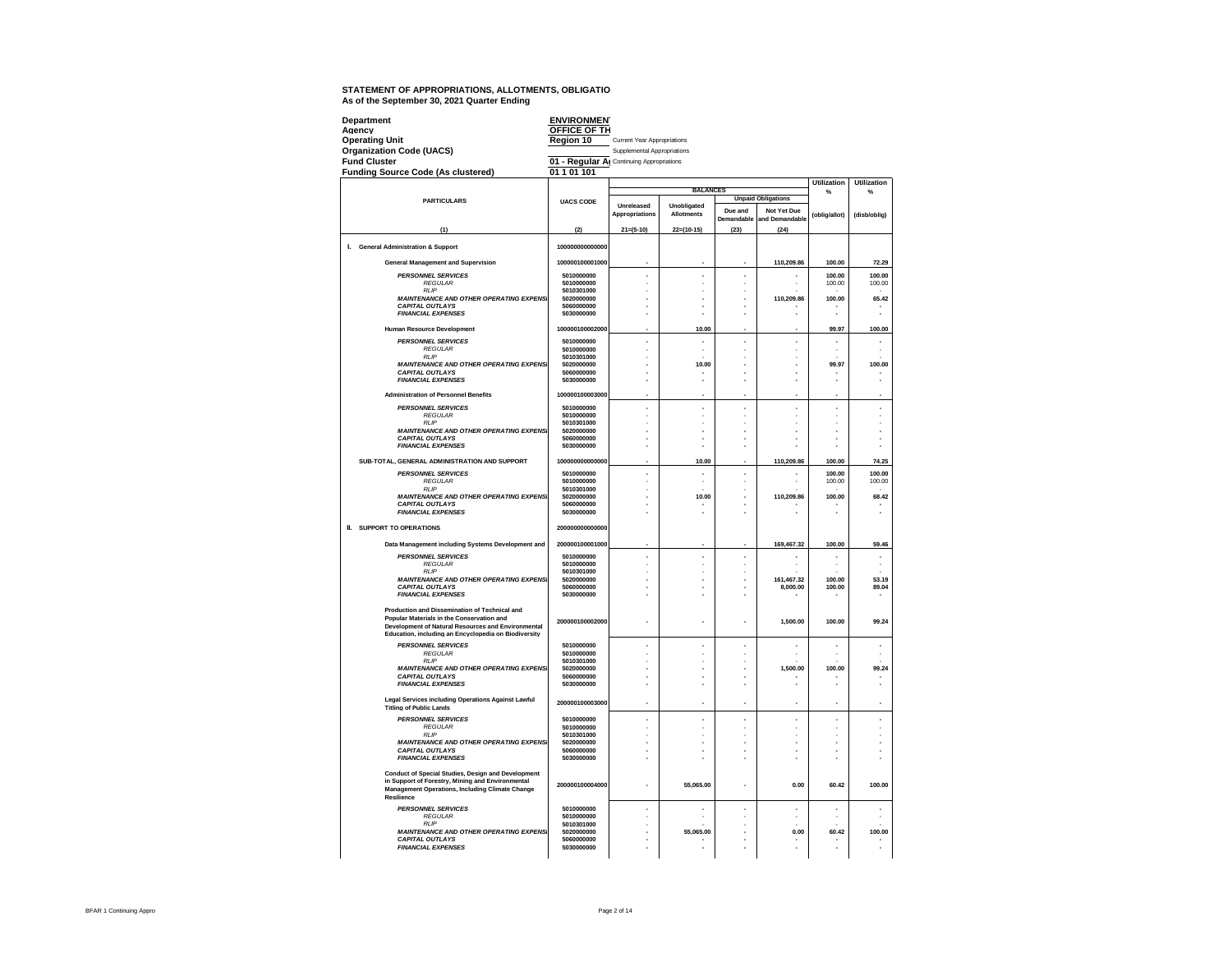| Department                                                                                                                                                                     | <b>ENVIRONMEN</b><br>OFFICE OF TH         |                             |                   |                       |                               |                         |                  |
|--------------------------------------------------------------------------------------------------------------------------------------------------------------------------------|-------------------------------------------|-----------------------------|-------------------|-----------------------|-------------------------------|-------------------------|------------------|
| Agency<br><b>Operating Unit</b>                                                                                                                                                | Region 10                                 | Current Year Appropriations |                   |                       |                               |                         |                  |
| <b>Organization Code (UACS)</b>                                                                                                                                                |                                           | Supplemental Appropriations |                   |                       |                               |                         |                  |
| <b>Fund Cluster</b>                                                                                                                                                            | 01 - Regular Al Continuing Appropriations |                             |                   |                       |                               |                         |                  |
| <b>Funding Source Code (As clustered)</b>                                                                                                                                      | 01 1 01 101                               |                             |                   |                       |                               |                         |                  |
|                                                                                                                                                                                |                                           |                             | <b>BALANCES</b>   |                       |                               | <b>Utilization</b><br>% | Utilization<br>% |
| <b>PARTICULARS</b>                                                                                                                                                             | <b>UACS CODE</b>                          | Unreleased                  | Unobligated       |                       | <b>Unpaid Obligations</b>     |                         |                  |
|                                                                                                                                                                                |                                           | Appropriations              | <b>Allotments</b> | Due and<br>Demandable | Not Yet Due<br>and Demandable | (oblig/allot)           | (disb/oblig)     |
| (1)                                                                                                                                                                            | (2)                                       | $21 = (5-10)$               | $22=(10-15)$      | (23)                  | (24)                          |                         |                  |
| I. General Administration & Support                                                                                                                                            | 100000000000000                           |                             |                   |                       |                               |                         |                  |
| <b>General Management and Supervision</b>                                                                                                                                      | 100000100001000                           |                             |                   |                       | 110,209.86                    | 100.00                  | 72.29            |
| <b>PERSONNEL SERVICES</b><br><b>REGULAR</b>                                                                                                                                    | 5010000000<br>5010000000                  | ٠                           | ٠                 | ä,<br>ä,              |                               | 100.00<br>100.00        | 100.00<br>100.00 |
| <b>RIF</b>                                                                                                                                                                     | 5010301000                                |                             |                   |                       |                               |                         |                  |
| <b>MAINTENANCE AND OTHER OPERATING EXPENS</b><br><b>CAPITAL OUTLAYS</b>                                                                                                        | 5020000000<br>5060000000                  |                             |                   | L.                    | 110,209.86                    | 100.00                  | 65.42            |
| <b>FINANCIAL EXPENSES</b>                                                                                                                                                      | 5030000000                                |                             |                   |                       |                               |                         |                  |
| Human Resource Development                                                                                                                                                     | 100000100002000                           |                             | 10.00             |                       |                               | 99.97                   | 100.00           |
| <b>PERSONNEL SERVICES</b><br>REGULAR                                                                                                                                           | 5010000000<br>5010000000                  |                             |                   |                       |                               |                         |                  |
| <b>RLIP</b>                                                                                                                                                                    | 5010301000                                |                             |                   | í.                    |                               |                         |                  |
| <b>MAINTENANCE AND OTHER OPERATING EXPENS</b><br><b>CAPITAL OUTLAYS</b>                                                                                                        | 5020000000<br>5060000000                  |                             | 10.00             | ٠<br>ä,               |                               | 99.97                   | 100.00           |
| <b>FINANCIAL EXPENSES</b>                                                                                                                                                      | 5030000000                                |                             |                   |                       |                               |                         |                  |
| <b>Administration of Personnel Benefits</b>                                                                                                                                    | 100000100003000                           |                             |                   |                       |                               |                         |                  |
| <b>PERSONNEL SERVICES</b>                                                                                                                                                      | 5010000000                                |                             |                   |                       |                               |                         |                  |
| <b>REGULAR</b>                                                                                                                                                                 | 5010000000                                |                             |                   |                       |                               |                         |                  |
| <b>RLIP</b><br><b>MAINTENANCE AND OTHER OPERATING EXPENSI</b>                                                                                                                  | 5010301000<br>5020000000                  |                             |                   |                       |                               |                         | ÷,               |
| <b>CAPITAL OUTLAYS</b><br><b>FINANCIAL EXPENSES</b>                                                                                                                            | 5060000000<br>5030000000                  |                             |                   |                       |                               |                         | ×                |
|                                                                                                                                                                                |                                           |                             |                   |                       |                               |                         |                  |
| SUB-TOTAL, GENERAL ADMINISTRATION AND SUPPORT                                                                                                                                  | 100000000000000                           |                             | 10.00             |                       | 110,209.86                    | 100.00                  | 74.25            |
| <b>PERSONNEL SERVICES</b><br><b>REGULAR</b>                                                                                                                                    | 5010000000<br>5010000000                  | ×.                          |                   | L.                    |                               | 100.00<br>100.00        | 100.00<br>100.00 |
| <b>RLIP</b>                                                                                                                                                                    | 5010301000                                |                             |                   |                       |                               |                         |                  |
| <b>MAINTENANCE AND OTHER OPERATING EXPENS.</b><br><b>CAPITAL OUTLAYS</b>                                                                                                       | 5020000000<br>5060000000                  |                             | 10.00             |                       | 110,209.86                    | 100.00                  | 68.42            |
| <b>FINANCIAL EXPENSES</b>                                                                                                                                                      | 5030000000                                |                             |                   |                       |                               |                         |                  |
| <b>II. SUPPORT TO OPERATIONS</b>                                                                                                                                               | 200000000000000                           |                             |                   |                       |                               |                         |                  |
| Data Management including Systems Development and                                                                                                                              | 200000100001000                           |                             |                   |                       | 169,467.32                    | 100.00                  | 59.46            |
| <b>PERSONNEL SERVICES</b>                                                                                                                                                      | 5010000000<br>5010000000                  | ٠<br>×                      |                   | ä,                    | ٠                             | ×                       | ٠<br>×           |
| <b>REGULAR</b><br><b>RLIP</b>                                                                                                                                                  | 5010301000                                |                             |                   |                       |                               |                         |                  |
| <b>MAINTENANCE AND OTHER OPERATING EXPENS</b><br><b>CAPITAL OUTLAYS</b>                                                                                                        | 5020000000<br>5060000000                  |                             |                   | ٠                     | 161.467.32<br>8,000.00        | 100.00<br>100.00        | 53.19<br>89.04   |
| <b>FINANCIAL EXPENSES</b>                                                                                                                                                      | 5030000000                                |                             |                   |                       |                               |                         |                  |
| Production and Dissemination of Technical and<br>Popular Materials in the Conservation and                                                                                     |                                           |                             |                   |                       |                               |                         |                  |
| Development of Natural Resources and Environmental<br>Education. including an Encyclopedia on Biodiversity                                                                     | 200000100002000                           |                             |                   |                       | 1.500.00                      | 100.00                  | 99.24            |
| <b>PERSONNEL SERVICES</b>                                                                                                                                                      | 5010000000                                |                             |                   | ٠                     | ×.                            | ×                       | ×,               |
| <b>REGULAR</b><br><b>RLIP</b>                                                                                                                                                  | 5010000000<br>5010301000                  |                             |                   |                       |                               |                         |                  |
| <b>MAINTENANCE AND OTHER OPERATING EXPENS</b>                                                                                                                                  | 5020000000                                |                             |                   |                       | 1,500.00                      | 100.00                  | 99.24            |
| <b>CAPITAL OUTLAYS</b><br><b>FINANCIAL EXPENSES</b>                                                                                                                            | 5060000000<br>5030000000                  |                             |                   |                       |                               |                         |                  |
| Legal Services including Operations Against Lawful<br><b>Titling of Public Lands</b>                                                                                           | 200000100003000                           |                             |                   |                       |                               |                         |                  |
| <b>PERSONNEL SERVICES</b>                                                                                                                                                      | 5010000000                                | ٠                           |                   |                       |                               |                         |                  |
| <b>REGULAR</b>                                                                                                                                                                 | 5010000000                                |                             |                   |                       |                               |                         |                  |
| <b>RLIP</b><br><b>MAINTENANCE AND OTHER OPERATING EXPENS.</b>                                                                                                                  | 5010301000<br>5020000000                  |                             |                   | í.                    |                               |                         | í,               |
| <b>CAPITAL OUTLAYS</b>                                                                                                                                                         | 5060000000                                |                             |                   |                       |                               |                         |                  |
| <b>FINANCIAL EXPENSES</b>                                                                                                                                                      | 5030000000                                |                             |                   |                       |                               |                         |                  |
| <b>Conduct of Special Studies, Design and Development</b><br>in Support of Forestry, Mining and Environmental<br>Management Operations, Including Climate Change<br>Resilience | 200000100004000                           |                             | 55,065.00         |                       | 0.00                          | 60.42                   | 100.00           |
| <b>PERSONNEL SERVICES</b>                                                                                                                                                      | 5010000000                                | ÷                           | ÷                 | ä,                    | ÷                             | ×                       | ×,               |
| <b>REGULAR</b><br><b>RLIP</b>                                                                                                                                                  | 5010000000<br>5010301000                  |                             |                   |                       |                               |                         |                  |
| <b>MAINTENANCE AND OTHER OPERATING EXPENS</b>                                                                                                                                  | 5020000000                                |                             | 55,065.00         |                       | 0.00                          | 60.42                   | 100.00           |
| <b>CAPITAL OUTLAYS</b><br><b>FINANCIAL EXPENSES</b>                                                                                                                            | 5060000000<br>5030000000                  |                             |                   |                       |                               |                         | i,               |
|                                                                                                                                                                                |                                           |                             |                   |                       |                               |                         |                  |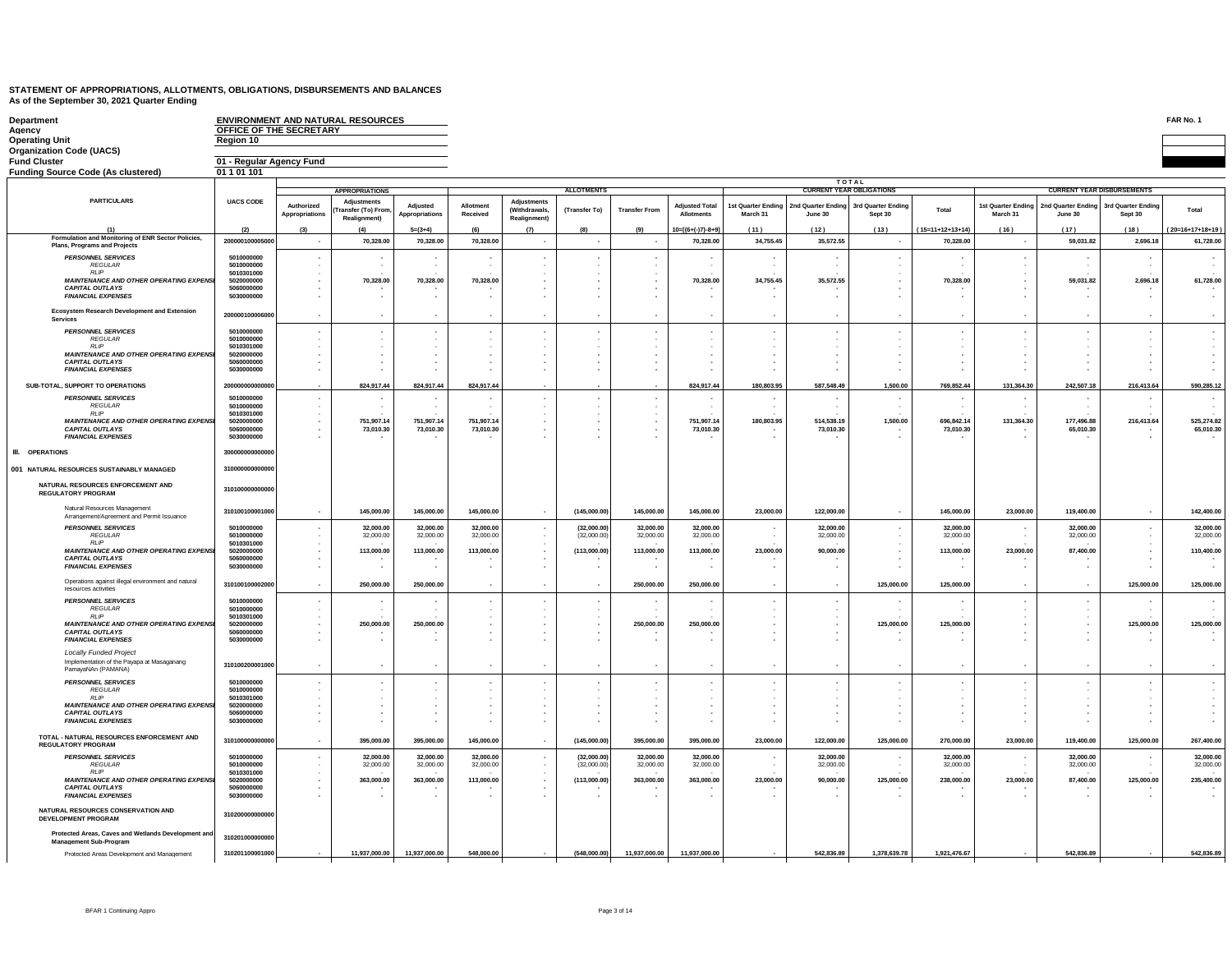| Department<br>Agency<br>Operating Unit                                                    | OFFICE OF THE SECRETARY<br>Region 10 |                          | ENVIRONMENT AND NATURAL RESOURCES        |                |                          |                                            |                   |                          |                       |                          |                                       |                                 |                          |                          |                                         |                                          | FAR No. 1          |
|-------------------------------------------------------------------------------------------|--------------------------------------|--------------------------|------------------------------------------|----------------|--------------------------|--------------------------------------------|-------------------|--------------------------|-----------------------|--------------------------|---------------------------------------|---------------------------------|--------------------------|--------------------------|-----------------------------------------|------------------------------------------|--------------------|
| <b>Organization Code (UACS)</b>                                                           |                                      |                          |                                          |                |                          |                                            |                   |                          |                       |                          |                                       |                                 |                          |                          |                                         |                                          |                    |
| <b>Fund Cluster</b>                                                                       | 01 - Regular Agency Fund             |                          |                                          |                |                          |                                            |                   |                          |                       |                          |                                       |                                 |                          |                          |                                         |                                          |                    |
| Funding Source Code (As clustered)                                                        | 01 1 01 101                          |                          |                                          |                |                          |                                            |                   |                          |                       |                          |                                       |                                 |                          |                          |                                         |                                          |                    |
|                                                                                           |                                      |                          |                                          |                |                          |                                            |                   |                          |                       |                          |                                       | TOTAL                           |                          |                          |                                         |                                          |                    |
| <b>PARTICULARS</b>                                                                        | <b>UACS CODE</b>                     |                          | <b>APPROPRIATIONS</b>                    |                |                          |                                            | <b>ALLOTMENTS</b> |                          |                       |                          |                                       | <b>CURRENT YEAR OBLIGATIONS</b> |                          |                          | <b>CURRENT YEAR DISBURSEMENTS</b>       |                                          |                    |
|                                                                                           |                                      | Authorized               | Adjustments<br><b>Transfer (To) From</b> | Adiusted       | Allotment                | <b>Adjustments</b><br><b>(Withdrawals)</b> | (Transfer To)     | <b>Transfer From</b>     | <b>Adjusted Total</b> |                          | 1st Quarter Ending 2nd Quarter Ending | 3rd Quarter Ending              | Total                    |                          | 1st Quarter Ending   2nd Quarter Ending | 3rd Quarter Ending                       | Total              |
|                                                                                           |                                      | Appropriations           | <b>Realignment</b> )                     | Appropriations | Received                 | Realignment)                               |                   |                          | <b>Allotments</b>     | March 31                 | June 30                               | Sept 30                         |                          | March 31                 | June 30                                 | Sept 30                                  |                    |
| (1)                                                                                       | (2)                                  | (3)                      | (4)                                      | $5=(3+4)$      | (6)                      | (7)                                        | (8)               | (9)                      | $10=[(6+(-)7)-8+9]$   | (11)                     | (12)                                  | (13)                            | $(15=11+12+13+14)$       | (16)                     | (17)                                    | (18)                                     | $(20=16+17+18+19)$ |
| Formulation and Monitoring of ENR Sector Policies,<br><b>Plans, Programs and Projects</b> | 200000100005000                      | $\overline{\phantom{a}}$ | 70,328.00                                | 70,328.00      | 70,328.00                | $\sim$                                     | $\sim$            | $\sim$                   | 70.328.00             | 34,755,45                | 35,572.55                             | . н.                            | 70.328.00                | $\sim$                   | 59.031.82                               | 2.696.18                                 | 61,728.00          |
| <b>PERSONNEL SERVICES</b>                                                                 | 5010000000                           |                          |                                          | $\sim$         |                          |                                            |                   |                          |                       |                          |                                       |                                 |                          |                          |                                         | $\overline{\phantom{a}}$                 |                    |
| <b>REGULAR</b>                                                                            | 5010000000                           |                          |                                          |                |                          |                                            |                   |                          |                       |                          |                                       |                                 |                          |                          |                                         |                                          |                    |
| <b>RLIF</b><br><b>MAINTENANCE AND OTHER OPERATING EXPENSI</b>                             | 5010301000<br>5020000000             | $\cdot$<br>٠             | 70,328.00                                | 70,328.00      | 70,328.00                |                                            |                   |                          | 70,328.00             | 34,755.45                | 35,572.55                             |                                 | 70,328.00                | $\cdot$<br>$\sim$        | 59,031.82                               | 2,696.18                                 | 61,728.00          |
| <b>CAPITAL OUTLAYS</b>                                                                    | 5060000000<br>5030000000             |                          |                                          |                |                          |                                            |                   |                          |                       |                          |                                       |                                 |                          | $\sim$<br>$\sim$         |                                         |                                          |                    |
| <b>FINANCIAL EXPENSES</b>                                                                 |                                      |                          |                                          |                |                          |                                            |                   |                          |                       |                          |                                       |                                 |                          |                          | $\overline{\phantom{a}}$                |                                          |                    |
| Ecosystem Research Development and Extension<br><b>Services</b>                           | 200000100006000                      |                          |                                          |                |                          |                                            |                   |                          |                       |                          |                                       |                                 |                          | ٠.                       |                                         | $\blacksquare$                           |                    |
|                                                                                           |                                      |                          |                                          |                |                          |                                            |                   |                          |                       |                          |                                       |                                 |                          |                          | $\overline{\phantom{a}}$                | $\overline{\phantom{a}}$                 |                    |
| <b>PERSONNEL SERVICES</b><br><b>REGULAR</b>                                               | 5010000000<br>5010000000             |                          |                                          |                |                          |                                            |                   |                          |                       |                          |                                       |                                 |                          |                          |                                         |                                          |                    |
| <b>RLIP</b><br><b>MAINTENANCE AND OTHER OPERATING EXPENSI</b>                             | 5010301000<br>5020000000             |                          |                                          |                |                          |                                            |                   |                          |                       |                          |                                       |                                 |                          |                          |                                         |                                          |                    |
| <b>CAPITAL OUTLAYS</b>                                                                    | 5060000000                           |                          |                                          |                |                          |                                            |                   |                          |                       |                          |                                       |                                 |                          |                          | ٠                                       |                                          |                    |
| <b>FINANCIAL EXPENSES</b>                                                                 | 5030000000                           |                          |                                          |                |                          |                                            |                   |                          |                       |                          |                                       |                                 |                          |                          | $\sim$                                  |                                          |                    |
| SUB-TOTAL, SUPPORT TO OPERATIONS                                                          | 2000000000000                        |                          | 824,917.44                               | 824,917.44     | 824,917.44               |                                            |                   |                          | 824,917.44            | 180,803.95               | 587,548.49                            | 1,500.00                        | 769,852.44               | 131,364.30               | 242,507.18                              | 216,413.64                               | 590,285.12         |
| <b>PERSONNEL SERVICES</b>                                                                 | 5010000000                           |                          |                                          |                |                          |                                            |                   |                          |                       |                          |                                       |                                 |                          |                          |                                         |                                          |                    |
| REGULAR                                                                                   | 5010000000                           | $\cdot$                  |                                          |                |                          |                                            |                   |                          |                       |                          |                                       |                                 |                          |                          |                                         |                                          |                    |
| <b>RLIP</b><br><b>MAINTENANCE AND OTHER OPERATING EXPENSI</b>                             | 5010301000<br>5020000000             | ٠                        | 751,907.14                               | 751,907.14     | 751,907.14               | $\sim$                                     |                   |                          | 751,907.14            | 180,803.95               | 514,538.19                            | 1,500.00                        | 696,842.14               | 131,364.30               | 177,496.88                              | 216,413.64                               | 525,274.82         |
| <b>CAPITAL OUTLAYS</b><br><b>FINANCIAL EXPENSES</b>                                       | 5060000000<br>5030000000             |                          | 73.010.30                                | 73.010.30      | 73,010.30                |                                            |                   |                          | 73,010,30             |                          | 73,010.30                             |                                 | 73,010,30                |                          | 65,010,30                               |                                          | 65,010.30          |
|                                                                                           |                                      |                          |                                          |                |                          |                                            |                   |                          |                       |                          |                                       |                                 |                          |                          |                                         |                                          |                    |
| <b>III.</b> OPERATIONS                                                                    | 30000000000000                       |                          |                                          |                |                          |                                            |                   |                          |                       |                          |                                       |                                 |                          |                          |                                         |                                          |                    |
| 001 NATURAL RESOURCES SUSTAINABLY MANAGED                                                 | 310000000000000                      |                          |                                          |                |                          |                                            |                   |                          |                       |                          |                                       |                                 |                          |                          |                                         |                                          |                    |
|                                                                                           |                                      |                          |                                          |                |                          |                                            |                   |                          |                       |                          |                                       |                                 |                          |                          |                                         |                                          |                    |
| NATURAL RESOURCES ENFORCEMENT AND<br><b>REGULATORY PROGRAM</b>                            | 310100000000000                      |                          |                                          |                |                          |                                            |                   |                          |                       |                          |                                       |                                 |                          |                          |                                         |                                          |                    |
| Natural Resources Management<br>Arrangement/Agreement and Permit Issuance                 | 31010010000100                       |                          | 145,000,00                               | 145,000.00     | 145,000,00               |                                            | (145,000,00)      | 145.000.00               | 145,000,00            | 23,000.00                | 122,000,00                            | $\mathbf{r}$                    | 145,000.00               | 23,000,00                | 119,400.00                              | $\mathbf{r}$                             | 142,400.00         |
| <b>PERSONNEL SERVICES</b>                                                                 | 5010000000                           |                          | 32,000.00                                | 32,000.00      | 32,000.00                |                                            | (32,000.00)       | 32,000.00                | 32,000.00             |                          | 32,000.00                             |                                 | 32,000.00                |                          | 32,000.00                               | $\overline{\phantom{a}}$                 | 32,000.00          |
| <b>REGULAR</b>                                                                            | 5010000000                           | $\overline{\phantom{a}}$ | 32,000.00                                | 32,000.00      | 32,000.00                |                                            | (32,000,00)       | 32,000.00                | 32,000.00             |                          | 32,000.00                             |                                 | 32,000.00                | $\sim$                   | 32,000.00                               | $\sim$                                   | 32,000.00          |
| RI IP<br><b>MAINTENANCE AND OTHER OPERATING EXPENSI</b>                                   | 5010301000<br>5020000000             | ٠                        | 113,000.00                               | 113,000.00     | 113,000.00               |                                            | (113,000.00)      | 113,000.00               | 113,000.00            | 23,000.00                | 90,000.00                             | . н.                            | 113,000.00               | 23,000.00                | 87,400.00                               | $\mathbf{r}$<br>$\overline{\phantom{a}}$ | 110,400.00         |
| <b>CAPITAL OUTLAYS</b>                                                                    | 5060000000                           | ٠                        |                                          |                |                          |                                            |                   |                          |                       |                          |                                       |                                 |                          |                          |                                         |                                          |                    |
| <b>FINANCIAL EXPENSES</b>                                                                 | 5030000000                           |                          |                                          |                |                          |                                            |                   |                          |                       |                          |                                       |                                 |                          |                          |                                         |                                          |                    |
| Operations against illegal environment and natural<br>resources activities                | 31010010000200                       | $\overline{\phantom{a}}$ | 250,000.00                               | 250,000.00     | $\overline{\phantom{a}}$ |                                            | $\sim$            | 250,000.00               | 250,000.00            |                          | $\overline{\phantom{a}}$              | 125,000.00                      | 125,000.00               | $\cdot$                  | $\sim$                                  | 125,000.00                               | 125,000.00         |
| <b>PERSONNEL SERVICES</b>                                                                 | 5010000000<br>5010000000             |                          |                                          | $\sim$         |                          |                                            |                   |                          |                       |                          |                                       |                                 |                          | $\overline{\phantom{a}}$ | $\sim$                                  | $\overline{\phantom{a}}$                 |                    |
| <b>REGULAR</b><br><b>RLIP</b>                                                             | 5010301000                           | ٠                        |                                          |                |                          |                                            |                   |                          |                       |                          |                                       |                                 |                          |                          | $\cdot$<br>$\overline{\phantom{a}}$     |                                          |                    |
| <b>MAINTENANCE AND OTHER OPERATING EXPENS</b><br><b>CAPITAL OUTLAYS</b>                   | 5020000000<br>5060000000             | ٠                        | 250,000.00                               | 250,000.00     |                          |                                            | ٠                 | 250,000.00               | 250,000.00            | $\overline{\phantom{a}}$ | ٠                                     | 125,000.00                      | 125,000.00               | $\overline{\phantom{a}}$ | $\cdot$<br>$\overline{\phantom{a}}$     | 125,000.00                               | 125,000.00         |
| <b>FINANCIAL EXPENSES</b>                                                                 | 5030000000                           |                          |                                          |                | . .                      |                                            |                   |                          |                       |                          |                                       |                                 |                          | $\overline{\phantom{a}}$ | $\sim$                                  | $\overline{\phantom{a}}$                 |                    |
| <b>Locally Funded Project</b>                                                             |                                      |                          |                                          |                |                          |                                            |                   |                          |                       |                          |                                       |                                 |                          |                          |                                         |                                          |                    |
| Implementation of the Payapa at Masaganang<br>PamayaNAn (PAMANA)                          | 31010020000100                       | ٠                        | $\sim$                                   | $\sim$         | $\sim$                   |                                            | $\sim$            | $\overline{\phantom{a}}$ |                       | $\sim$                   |                                       | $\sim$                          | $\overline{\phantom{a}}$ | $\sim$                   | $\sim$                                  | $\sim$                                   |                    |
| <b>PERSONNEL SERVICES</b>                                                                 | 5010000000                           |                          |                                          |                |                          |                                            |                   |                          |                       |                          |                                       |                                 |                          |                          |                                         |                                          |                    |
| <b>REGULAR</b><br>RI IP                                                                   | 5010000000<br>5010301000             |                          |                                          |                |                          |                                            |                   |                          |                       |                          |                                       |                                 |                          |                          |                                         |                                          |                    |
| <b>MAINTENANCE AND OTHER OPERATING EXPENSI</b>                                            | 5020000000                           |                          |                                          |                |                          |                                            |                   |                          |                       |                          |                                       |                                 |                          |                          | $\overline{\phantom{a}}$                |                                          |                    |
| <b>CAPITAL OUTLAYS</b><br><b>FINANCIAL EXPENSES</b>                                       | 5060000000<br>5030000000             |                          |                                          |                |                          |                                            |                   |                          |                       |                          |                                       |                                 |                          |                          |                                         |                                          |                    |
|                                                                                           |                                      |                          |                                          |                |                          |                                            |                   |                          |                       |                          |                                       |                                 |                          |                          |                                         |                                          |                    |
| TOTAL - NATURAL RESOURCES ENFORCEMENT AND<br><b>REGULATORY PROGRAM</b>                    | 31010000000000                       | $\epsilon$               | 395,000.00                               | 395,000.00     | 145,000.00               |                                            | (145,000.00)      | 395,000.00               | 395,000.00            | 23,000.00                | 122,000.00                            | 125,000.00                      | 270,000.00               | 23,000.00                | 119,400.00                              | 125,000.00                               | 267,400.00         |
| <b>PERSONNEL SERVICES</b>                                                                 | 5010000000                           |                          | 32,000.00                                | 32,000.00      | 32,000.00                |                                            | (32,000.00)       | 32,000.00                | 32,000.00             |                          | 32,000.00                             |                                 | 32,000.00                | $\overline{\phantom{a}}$ | 32,000.00                               | ×,                                       | 32,000.00          |
| REGULAR                                                                                   | 5010000000                           |                          | 32,000.00                                | 32,000.00      | 32,000.00                |                                            | (32,000.00)       | 32,000.00                | 32,000.00             |                          | 32,000.00                             |                                 | 32,000.00                |                          | 32,000.00                               |                                          | 32,000.00          |
| <b>RIP</b><br>MAINTENANCE AND OTHER OPERATING EXPENSI                                     | 5010301000<br>5020000000             |                          | 363,000.00                               | 363,000.00     | 113,000.00               |                                            | (113,000.00)      | 363,000.00               | 363,000.00            | 23,000.00                | 90,000.00                             | 125,000.00                      | 238,000.00               | 23,000.00                | 87,400.00                               | 125,000.00                               | 235,400.00         |
| <b>CAPITAL OUTLAYS</b>                                                                    | 5060000000                           |                          |                                          |                |                          |                                            |                   |                          |                       |                          |                                       |                                 |                          |                          |                                         |                                          |                    |
| <b>FINANCIAL EXPENSES</b>                                                                 | 5030000000                           |                          |                                          |                |                          |                                            |                   |                          |                       |                          |                                       |                                 |                          |                          |                                         |                                          |                    |
| NATURAL RESOURCES CONSERVATION AND<br><b>DEVELOPMENT PROGRAM</b>                          | 31020000000000                       |                          |                                          |                |                          |                                            |                   |                          |                       |                          |                                       |                                 |                          |                          |                                         |                                          |                    |
| Protected Areas, Caves and Wetlands Development and<br><b>Management Sub-Program</b>      | 310201000000000                      |                          |                                          |                |                          |                                            |                   |                          |                       |                          |                                       |                                 |                          |                          |                                         |                                          |                    |
| Protected Areas Development and Management                                                | 310201100001000                      |                          | 11.937.000.00                            | 11.937.000.00  | 548,000.00               |                                            | (548,000,00)      | 11.937.000.00            | 11.937.000.00         |                          | 542.836.89                            | 1.378.639.78                    | 1.921.476.67             |                          | 542,836,89                              |                                          | 542.836.89         |

BFAR 1 Continuing Appro Page 3 of 14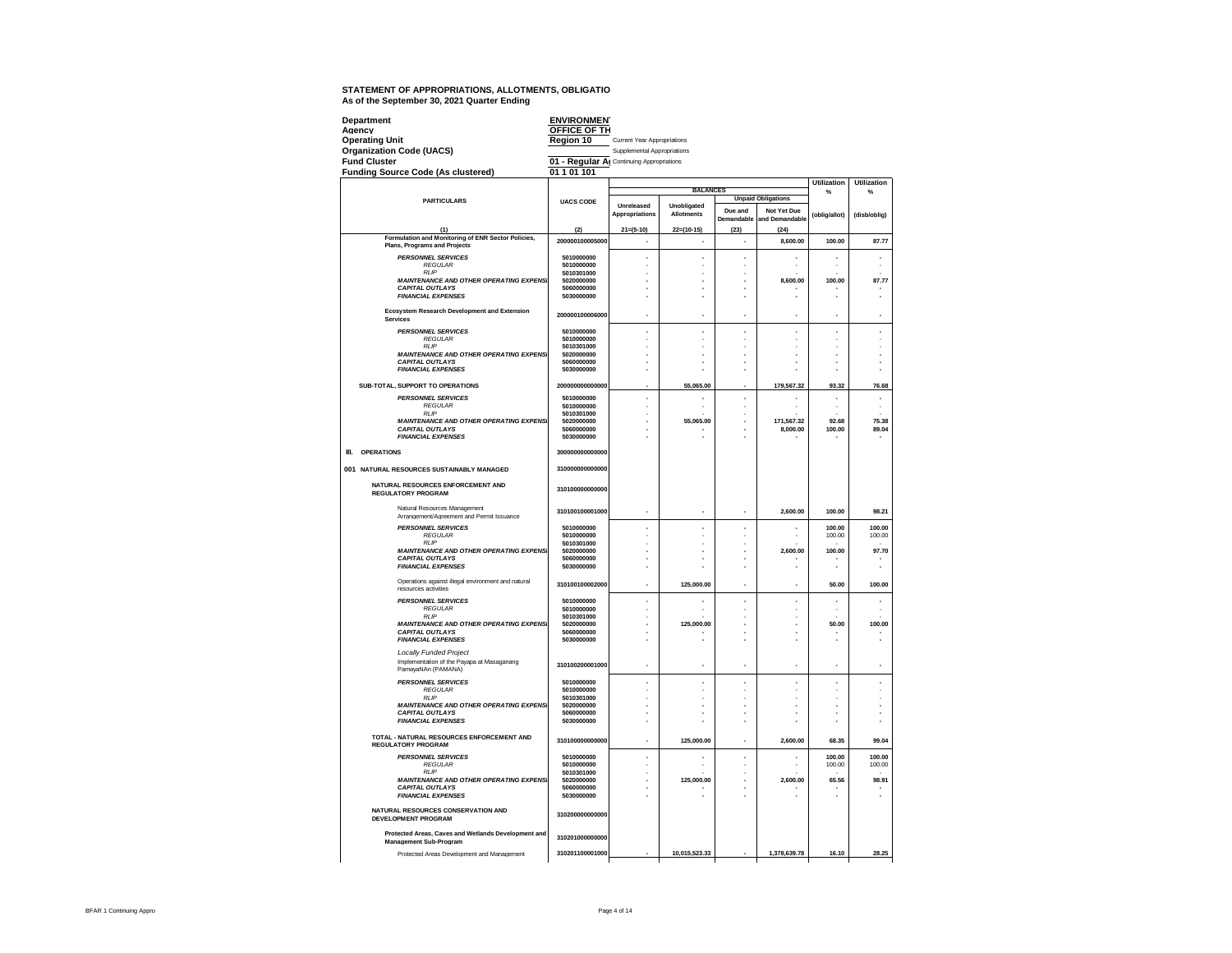| Department                                                                                | <b>ENVIRONMENT</b>                        |                             |                          |                          |                           |                    |                    |
|-------------------------------------------------------------------------------------------|-------------------------------------------|-----------------------------|--------------------------|--------------------------|---------------------------|--------------------|--------------------|
| Agency<br>Operating Unit                                                                  | OFFICE OF TH<br>Region 10                 | Current Year Appropriations |                          |                          |                           |                    |                    |
| <b>Organization Code (UACS)</b>                                                           |                                           | Supplemental Appropriations |                          |                          |                           |                    |                    |
| <b>Fund Cluster</b>                                                                       | 01 - Regular Al Continuing Appropriations |                             |                          |                          |                           |                    |                    |
| <b>Funding Source Code (As clustered)</b>                                                 | 01 1 01 101                               |                             |                          |                          |                           |                    |                    |
|                                                                                           |                                           |                             |                          |                          |                           | <b>Utilization</b> | <b>Utilization</b> |
|                                                                                           |                                           |                             | <b>BALANCES</b>          |                          | <b>Unpaid Obligations</b> | %                  | %                  |
| <b>PARTICULARS</b>                                                                        | <b>UACS CODE</b>                          | Unreleased                  | Unobligated              | Due and                  | Not Yet Due               |                    |                    |
|                                                                                           |                                           | Appropriations              | <b>Allotments</b>        | Demandable               | and Demandable            | (oblig/allot)      | (disb/oblig)       |
| (1)                                                                                       | (2)                                       | $21 = (5-10)$               | $22=(10-15)$             | (23)                     | (24)                      |                    |                    |
| Formulation and Monitoring of ENR Sector Policies,<br><b>Plans, Programs and Projects</b> | 200000100005000                           | $\overline{\phantom{a}}$    | $\overline{\phantom{a}}$ | $\overline{\phantom{a}}$ | 8,600.00                  | 100.00             | 87.77              |
| <b>PERSONNEL SERVICES</b>                                                                 | 5010000000                                | ×.                          |                          | L.                       | J.                        | ×.                 | ż                  |
| <b>REGULAR</b>                                                                            | 5010000000                                |                             |                          |                          |                           |                    |                    |
| <b>RLIP</b><br><b>MAINTENANCE AND OTHER OPERATING EXPENSI</b>                             | 5010301000<br>5020000000                  |                             |                          |                          | 8.600.00                  | 100.00             | 87.77              |
| <b>CAPITAL OUTLAYS</b>                                                                    | 5060000000                                |                             |                          |                          |                           |                    |                    |
| <b>FINANCIAL EXPENSES</b>                                                                 | 5030000000                                |                             |                          |                          |                           |                    |                    |
| Ecosystem Research Development and Extension<br>Services                                  | 200000100006000                           |                             |                          |                          |                           |                    |                    |
| <b>PERSONNEL SERVICES</b>                                                                 | 5010000000                                | ×                           | ×                        | ä,                       | ٠                         | ×                  | ×,                 |
| <b>REGULAR</b><br>RI IP                                                                   | 5010000000                                |                             |                          | ä,                       |                           |                    |                    |
| <b>MAINTENANCE AND OTHER OPERATING EXPENSI</b>                                            | 5010301000<br>5020000000                  |                             |                          |                          |                           |                    |                    |
| <b>CAPITAL OUTLAYS</b>                                                                    | 5060000000                                |                             |                          |                          |                           |                    |                    |
| <b>FINANCIAL EXPENSES</b>                                                                 | 5030000000                                |                             |                          |                          |                           |                    |                    |
| SUB-TOTAL, SUPPORT TO OPERATIONS                                                          | 200000000000000                           |                             | 55,065.00                |                          | 179.567.32                | 93.32              | 76.68              |
| <b>PERSONNEL SERVICES</b>                                                                 | 5010000000                                | ×                           |                          | ٠                        |                           |                    |                    |
| <b>REGULAR</b><br>RI IP                                                                   | 5010000000<br>5010301000                  |                             |                          | ä,                       |                           | i.                 | J.                 |
| <b>MAINTENANCE AND OTHER OPERATING EXPENSI</b>                                            | 5020000000                                |                             | 55.065.00                |                          | 171,567.32                | 92.68              | 75.38              |
| <b>CAPITAL OUTLAYS</b><br><b>FINANCIAL EXPENSES</b>                                       | 5060000000<br>5030000000                  |                             |                          |                          | 8,000.00                  | 100.00             | 89.04              |
| <b>OPERATIONS</b><br>Ш.                                                                   | 300000000000000                           |                             |                          |                          |                           |                    |                    |
| 001 NATURAL RESOURCES SUSTAINABLY MANAGED                                                 | 310000000000000                           |                             |                          |                          |                           |                    |                    |
| NATURAL RESOURCES ENFORCEMENT AND                                                         |                                           |                             |                          |                          |                           |                    |                    |
| <b>REGULATORY PROGRAM</b>                                                                 | 310100000000000                           |                             |                          |                          |                           |                    |                    |
| Natural Resources Management<br>Arrangement/Agreement and Permit Issuance                 | 310100100001000                           |                             |                          |                          | 2.600.00                  | 100.00             | 98.21              |
| <b>PERSONNEL SERVICES</b>                                                                 | 5010000000<br>5010000000                  |                             |                          |                          |                           | 100.00             | 100.00             |
| <b>REGULAR</b><br>RI IP                                                                   | 5010301000                                |                             |                          |                          |                           | 100.00             | 100.00             |
| <b>MAINTENANCE AND OTHER OPERATING EXPENSI</b><br><b>CAPITAL OUTLAYS</b>                  | 5020000000<br>5060000000                  |                             |                          |                          | 2,600.00                  | 100.00             | 97.70              |
| <b>FINANCIAL EXPENSES</b>                                                                 | 5030000000                                |                             |                          |                          |                           |                    |                    |
| Operations against illegal environment and natural<br>resources activities                | 310100100002000                           | ٠                           | 125,000.00               |                          |                           | 50.00              | 100.00             |
| <b>PERSONNEL SERVICES</b>                                                                 | 5010000000                                |                             |                          | ï                        |                           |                    |                    |
| <b>REGULAR</b>                                                                            | 5010000000                                |                             |                          |                          |                           |                    |                    |
| <b>RLIP</b><br><b>MAINTENANCE AND OTHER OPERATING EXPENSI</b>                             | 5010301000<br>5020000000                  |                             | 125,000.00               |                          |                           | 50.00              | 100.00             |
| <b>CAPITAL OUTLAYS</b>                                                                    | 5060000000                                |                             |                          |                          |                           |                    |                    |
| <b>FINANCIAL EXPENSES</b>                                                                 | 5030000000                                |                             |                          |                          |                           |                    |                    |
| <b>Locally Funded Project</b><br>Implementation of the Payapa at Masaganang               | 310100200001000                           | ٠                           | ٠                        | ä,                       | ٠                         | ä,                 | ×,                 |
| PamayaNAn (PAMANA)                                                                        | 5010000000                                | ×,                          |                          |                          | J.                        | ×,                 | J.                 |
| <b>PERSONNEL SERVICES</b><br><b>REGULAR</b>                                               | 5010000000                                |                             |                          | ä,                       |                           |                    |                    |
| <b>RIP</b>                                                                                | 5010301000                                |                             |                          | ż<br>٠                   |                           | i.<br>÷            |                    |
| <b>MAINTENANCE AND OTHER OPERATING EXPENSI</b><br><b>CAPITAL OUTLAYS</b>                  | 5020000000<br>5060000000                  |                             |                          | ä,                       |                           |                    | Î.<br>Î.           |
| <b>FINANCIAL EXPENSES</b>                                                                 | 5030000000                                |                             |                          |                          |                           |                    |                    |
| TOTAL - NATURAL RESOURCES ENFORCEMENT AND<br><b>REGULATORY PROGRAM</b>                    | 310100000000000                           | ×.                          | 125,000.00               | L.                       | 2,600.00                  | 68.35              | 99.04              |
| <b>PERSONNEL SERVICES</b>                                                                 | 5010000000                                |                             |                          |                          |                           | 100.00             | 100.00             |
| <b>REGULAR</b><br><b>RIP</b>                                                              | 5010000000<br>5010301000                  |                             |                          |                          |                           | 100.00             | 100.00             |
| <b>MAINTENANCE AND OTHER OPERATING EXPENSI</b>                                            | 5020000000                                |                             | 125,000.00               |                          | 2,600.00                  | 65.56              | 98.91              |
| <b>CAPITAL OUTLAYS</b>                                                                    | 5060000000<br>5030000000                  |                             |                          |                          |                           |                    |                    |
| <b>FINANCIAL EXPENSES</b>                                                                 |                                           |                             |                          |                          |                           |                    |                    |
| NATURAL RESOURCES CONSERVATION AND<br>DEVELOPMENT PROGRAM                                 | 310200000000000                           |                             |                          |                          |                           |                    |                    |
| Protected Areas, Caves and Wetlands Development and                                       | 310201000000000                           |                             |                          |                          |                           |                    |                    |
| <b>Management Sub-Program</b>                                                             |                                           |                             |                          |                          |                           |                    |                    |
| Protected Areas Development and Management                                                | 310201100001000                           |                             | 10,015,523.33            |                          | 1,378,639.78              | 16.10              | 28.25              |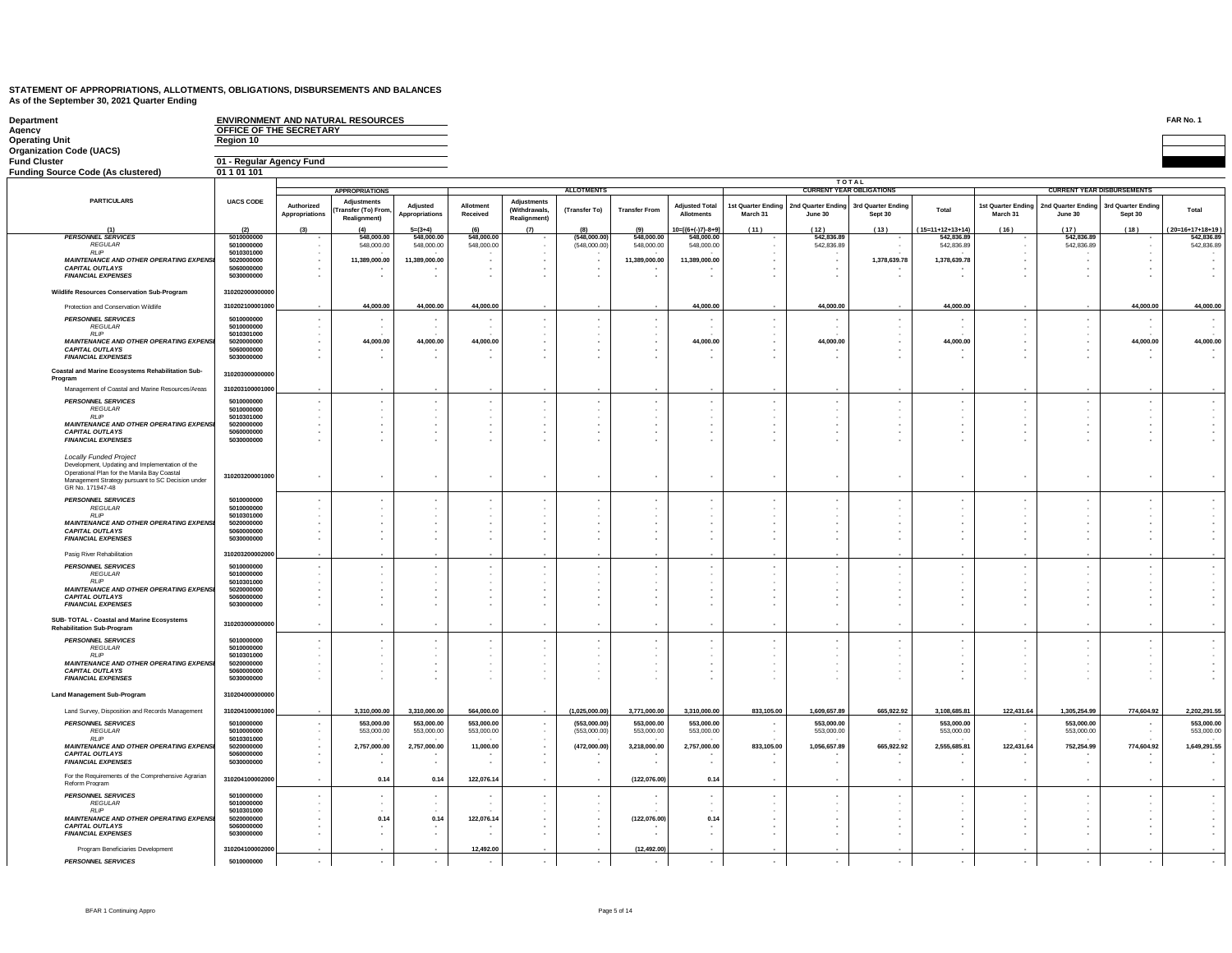| Department<br>Agency<br><b>Operating Unit</b>                                                                                                                                                     | OFFICE OF THE SECRETARY<br>Region 10 |                              | ENVIRONMENT AND NATURAL RESOURCES                 |                            |                          |                                              |                              |                          |                                     |                                |                             |                                 |                          |                                |                               |                                      | FAR No. 1                    |
|---------------------------------------------------------------------------------------------------------------------------------------------------------------------------------------------------|--------------------------------------|------------------------------|---------------------------------------------------|----------------------------|--------------------------|----------------------------------------------|------------------------------|--------------------------|-------------------------------------|--------------------------------|-----------------------------|---------------------------------|--------------------------|--------------------------------|-------------------------------|--------------------------------------|------------------------------|
| <b>Organization Code (UACS)</b>                                                                                                                                                                   |                                      |                              |                                                   |                            |                          |                                              |                              |                          |                                     |                                |                             |                                 |                          |                                |                               |                                      |                              |
| <b>Fund Cluster</b>                                                                                                                                                                               | 01 - Regular Agency Fund             |                              |                                                   |                            |                          |                                              |                              |                          |                                     |                                |                             |                                 |                          |                                |                               |                                      |                              |
| <b>Funding Source Code (As clustered)</b>                                                                                                                                                         | 01 1 01 101                          |                              |                                                   |                            |                          |                                              |                              |                          |                                     |                                |                             | <b>TOTAL</b>                    |                          |                                |                               |                                      |                              |
|                                                                                                                                                                                                   |                                      |                              | <b>APPROPRIATIONS</b>                             |                            |                          |                                              | <b>ALLOTMENTS</b>            |                          |                                     |                                |                             | <b>CURRENT YEAR OBLIGATIONS</b> |                          |                                |                               | <b>CURRENT YEAR DISBURSEMENTS</b>    |                              |
| <b>PARTICULARS</b>                                                                                                                                                                                | <b>UACS CODE</b>                     | Authorized<br>Appropriations | Adjustments<br>Transfer (To) From<br>Realignment) | Adjusted<br>Appropriations | Allotment<br>Received    | Adjustments<br>(Withdrawals,<br>Realignment) | (Transfer To)                | <b>Transfer From</b>     | <b>Adjusted Total</b><br>Allotments | 1st Quarter Ending<br>March 31 | d Quarter Ending<br>June 30 | 3rd Quarter Endin<br>Sept 30    | Total                    | 1st Quarter Ending<br>March 31 | 2nd Quarter Ending<br>June 30 | <b>Brd Quarter Ending</b><br>Sept 30 | Total                        |
| (1)<br><b>PERSONNEL SERVICES</b>                                                                                                                                                                  | $\frac{(2)}{5010000000}$             |                              | (4)<br>548,000.00                                 | $5=(3+4)$<br>548,000,00    | 548,000.00               | (7)                                          | (548,000.00)                 | 548,000.00               | $10=[(6+(-)7)-8+9]$                 | (11)                           | (12)<br>542.836.89          | (13)                            | $(15=11+12+13+14)$       | (16)                           | (17)<br>542.836.89            | (18)                                 | 20=16+17+18+19<br>542,836.89 |
| <b>REGULAR</b>                                                                                                                                                                                    | 5010000000                           |                              | 548,000.00                                        | 548,000.00                 | 548,000.00               |                                              | (548,000.00)                 | 548,000,00               | 548,000,00<br>548,000.00            |                                | 542,836.89                  |                                 | 542,836.89<br>542,836.89 | ×.                             | 542,836.89                    |                                      | 542,836.89                   |
| <b>RIP</b><br><b>MAINTENANCE AND OTHER OPERATING EXPENSI</b>                                                                                                                                      | 5010301000<br>5020000000             |                              | 11,389,000.00                                     | 11,389,000.00              |                          |                                              |                              | 11,389,000.00            | 11.389.000.00                       |                                |                             | 1,378,639.78                    | 1.378.639.78             | ×<br>٠                         |                               |                                      |                              |
| <b>CAPITAL OUTLAYS</b><br><b>FINANCIAL EXPENSES</b>                                                                                                                                               | 5060000000<br>5030000000             |                              |                                                   | ÷.                         |                          |                                              |                              |                          |                                     |                                | $\sim$                      |                                 |                          | ٠<br>×.                        |                               |                                      |                              |
| Wildlife Resources Conservation Sub-Program                                                                                                                                                       | 310202000000000                      |                              |                                                   |                            |                          |                                              |                              |                          |                                     |                                |                             |                                 |                          |                                |                               |                                      |                              |
| Protection and Conservation Wildlife                                                                                                                                                              | 310202100001000                      |                              | 44,000.00                                         | 44,000.00                  | 44,000.00                |                                              |                              |                          | 44,000.00                           |                                | 44,000.00                   |                                 | 44,000.00                |                                |                               | 44,000.00                            | 44,000.00                    |
| <b>PERSONNEL SERVICES</b>                                                                                                                                                                         | 5010000000                           |                              |                                                   | $\sim$                     |                          |                                              | $\sim$                       |                          | $\overline{\phantom{a}}$            |                                |                             |                                 |                          | $\epsilon$                     | $\cdot$                       |                                      |                              |
| <b>REGULAR</b><br><b>RLIP</b>                                                                                                                                                                     | 5010000000<br>5010301000             |                              |                                                   | $\sim$                     |                          |                                              |                              |                          |                                     |                                |                             |                                 |                          | ٠                              | $\cdot$                       |                                      |                              |
| <b>MAINTENANCE AND OTHER OPERATING EXPENSI</b>                                                                                                                                                    | 5020000000                           |                              | 44,000.00                                         | 44,000.00                  | 44,000.00                |                                              |                              |                          | 44,000.00                           |                                | 44,000.00                   |                                 | 44,000.00                |                                |                               | 44,000.00                            | 44,000.00                    |
| <b>CAPITAL OUTLAYS</b><br><b>FINANCIAL EXPENSES</b>                                                                                                                                               | 5060000000<br>5030000000             |                              |                                                   | $\sim$                     |                          |                                              |                              |                          |                                     |                                |                             |                                 |                          | ٠                              |                               |                                      |                              |
| Coastal and Marine Ecosystems Rehabilitation Sub-<br>Program                                                                                                                                      | 310203000000000                      |                              |                                                   |                            |                          |                                              |                              |                          |                                     |                                |                             |                                 |                          |                                |                               |                                      |                              |
| Management of Coastal and Marine Resources/Areas                                                                                                                                                  | 310203100001000                      |                              |                                                   |                            |                          |                                              |                              |                          |                                     |                                |                             |                                 |                          |                                |                               |                                      |                              |
| <b>PERSONNEL SERVICES</b>                                                                                                                                                                         | 5010000000                           |                              |                                                   |                            |                          |                                              |                              |                          |                                     |                                |                             |                                 |                          | ÷,                             | $\cdot$                       |                                      |                              |
| <b>REGULAR</b><br><b>RLIP</b>                                                                                                                                                                     | 5010000000<br>5010301000             |                              |                                                   |                            |                          |                                              |                              |                          |                                     |                                |                             |                                 | $\overline{\phantom{a}}$ | ٠                              | $\cdot$                       |                                      |                              |
| <b>MAINTENANCE AND OTHER OPERATING EXPENSI</b><br><b>CAPITAL OUTLAYS</b>                                                                                                                          | 5020000000<br>5060000000             |                              |                                                   | ٠.                         |                          |                                              |                              |                          |                                     |                                |                             |                                 | $\sim$<br>٠.             | ٠<br>٠                         | $\overline{\phantom{a}}$      |                                      |                              |
| <b>FINANCIAL EXPENSES</b>                                                                                                                                                                         | 5030000000                           |                              |                                                   |                            |                          |                                              |                              |                          |                                     |                                |                             |                                 |                          |                                |                               |                                      |                              |
| Locally Funded Project<br>Development, Updating and Implementation of the<br>Operational Plan for the Manila Bay Coastal<br>Management Strategy pursuant to SC Decision under<br>GR No. 171947-48 | 310203200001000                      |                              |                                                   |                            |                          |                                              |                              |                          |                                     |                                |                             |                                 |                          |                                |                               |                                      |                              |
| <b>PERSONNEL SERVICES</b>                                                                                                                                                                         | 5010000000                           |                              |                                                   |                            |                          |                                              |                              |                          |                                     |                                |                             |                                 |                          |                                |                               |                                      |                              |
| <b>REGULAR</b><br><b>RIP</b>                                                                                                                                                                      | 5010000000<br>5010301000             |                              |                                                   |                            |                          |                                              |                              |                          |                                     |                                |                             |                                 |                          |                                |                               |                                      |                              |
| <b>MAINTENANCE AND OTHER OPERATING EXPENSI</b><br><b>CAPITAL OUTLAYS</b>                                                                                                                          | 5020000000<br>5060000000             |                              |                                                   |                            |                          |                                              |                              |                          |                                     |                                |                             |                                 |                          |                                |                               |                                      |                              |
| <b>FINANCIAL EXPENSES</b>                                                                                                                                                                         | 5030000000                           |                              |                                                   |                            |                          |                                              |                              |                          |                                     |                                |                             |                                 | . .                      | ä,                             |                               |                                      |                              |
| Pasig River Rehabilitation                                                                                                                                                                        | 31020320000200                       |                              |                                                   |                            |                          |                                              |                              |                          |                                     |                                |                             |                                 |                          |                                |                               |                                      |                              |
| <b>PERSONNEL SERVICES</b><br><b>REGULAR</b>                                                                                                                                                       | 5010000000<br>5010000000             |                              |                                                   | $\sim$                     |                          |                                              |                              |                          |                                     |                                |                             |                                 | $\overline{\phantom{a}}$ | $\cdot$<br>٠                   | ٠                             |                                      |                              |
| <b>RLIP</b>                                                                                                                                                                                       | 5010301000                           |                              |                                                   |                            |                          |                                              |                              |                          |                                     |                                |                             |                                 |                          |                                |                               |                                      |                              |
| <b>MAINTENANCE AND OTHER OPERATING EXPENSI</b><br><b>CAPITAL OUTLAYS</b>                                                                                                                          | 5020000000<br>5060000000             |                              |                                                   |                            |                          |                                              |                              |                          |                                     |                                |                             |                                 |                          | ٠<br>٠                         |                               |                                      |                              |
| <b>FINANCIAL EXPENSES</b>                                                                                                                                                                         | 5030000000                           |                              |                                                   |                            |                          |                                              |                              |                          |                                     |                                |                             |                                 |                          | $\mathbf{r}$                   |                               |                                      |                              |
| SUB- TOTAL - Coastal and Marine Ecosystems<br><b>Rehabilitation Sub-Program</b>                                                                                                                   | 31020300000000                       |                              |                                                   |                            |                          |                                              |                              |                          |                                     |                                |                             |                                 |                          | ٠                              | ٠                             |                                      |                              |
| <b>PERSONNEL SERVICES</b>                                                                                                                                                                         | 5010000000                           |                              |                                                   |                            |                          |                                              |                              |                          |                                     |                                |                             |                                 |                          | $\epsilon$                     | ×                             |                                      |                              |
| <b>REGULAR</b><br><b>RLIP</b>                                                                                                                                                                     | 5010000000<br>5010301000             |                              |                                                   |                            |                          |                                              |                              |                          |                                     |                                |                             |                                 |                          |                                |                               |                                      |                              |
| MAINTENANCE AND OTHER OPERATING EXPENSI<br><b>CAPITAL OUTLAYS</b>                                                                                                                                 | 5020000000<br>5060000000             |                              |                                                   |                            |                          |                                              |                              |                          |                                     |                                |                             |                                 |                          | ٠<br>٠                         |                               |                                      |                              |
| <b>FINANCIAL EXPENSES</b>                                                                                                                                                                         | 5030000000                           |                              |                                                   |                            |                          |                                              |                              |                          |                                     |                                |                             |                                 |                          |                                |                               |                                      |                              |
| <b>Land Management Sub-Program</b>                                                                                                                                                                | 31020400000000                       |                              |                                                   |                            |                          |                                              |                              |                          |                                     |                                |                             |                                 |                          |                                |                               |                                      |                              |
| Land Survey, Disposition and Records Management                                                                                                                                                   | 310204100001000                      |                              | 3,310,000.00                                      | 3,310,000.00               | 564,000.00               |                                              | (1,025,000.00)               | 3,771,000.00             | 3,310,000.00                        | 833,105.00                     | 1,609,657.89                | 665,922.92                      | 3,108,685.81             | 122,431.64                     | 1,305,254.99                  | 774,604.92                           | 2,202,291.55                 |
| <b>PERSONNEL SERVICES</b><br>REGULAR                                                                                                                                                              | 5010000000<br>5010000000             |                              | 553,000.00<br>553,000.00                          | 553,000.00<br>553,000.00   | 553,000.00<br>553,000.00 |                                              | (553,000.00)<br>(553,000,00) | 553,000.00<br>553,000.00 | 553,000.00<br>553,000.00            | $\sim$                         | 553,000.00<br>553,000.00    | . н.                            | 553,000.00<br>553,000.00 | $\sim$<br>٠                    | 553,000.00<br>553,000.00      | $\sim$<br>$\sim$                     | 553,000.00<br>553,000.00     |
| <b>RLIP</b><br><b>MAINTENANCE AND OTHER OPERATING EXPENSI</b>                                                                                                                                     | 5010301000<br>5020000000             |                              | 2,757,000.00                                      | 2,757,000.00               | 11,000.00                |                                              | (472,000.00)                 | 3,218,000.00             | 2,757,000.00                        | 833,105.00                     | 1,056,657.89                | 665,922.92                      | 2,555,685.81             | 122,431.64                     | 752,254.99                    | 774,604.92                           | 1,649,291.55                 |
| <b>CAPITAL OUTLAYS</b><br><b>FINANCIAL EXPENSES</b>                                                                                                                                               | 5060000000<br>5030000000             |                              | $\overline{\phantom{a}}$                          | $\sim$                     |                          | ۰.                                           | . н.                         |                          | ٠                                   |                                |                             |                                 |                          | $\sim$                         | $\mathbf{r}$                  | ۰.                                   |                              |
| For the Requirements of the Comprehensive Agrarian                                                                                                                                                | 31020410000200                       |                              | 0.14                                              | 0.14                       | 122,076.14               |                                              | $\sim$                       | (122,076.00)             | 0.14                                |                                |                             | . н.                            | $\sim$                   | ٠                              | $\sim$                        | . .                                  |                              |
| Reform Program<br><b>PERSONNEL SERVICES</b>                                                                                                                                                       | 5010000000                           |                              |                                                   |                            |                          |                                              |                              |                          |                                     |                                |                             |                                 |                          |                                |                               |                                      |                              |
| <b>REGULAR</b><br><b>RLIP</b>                                                                                                                                                                     | 5010000000<br>5010301000             |                              |                                                   | $\sim$                     |                          |                                              |                              |                          |                                     |                                |                             |                                 |                          |                                |                               |                                      |                              |
| <b>MAINTENANCE AND OTHER OPERATING EXPENSI</b>                                                                                                                                                    | 5020000000                           |                              | 0.14                                              | 0.14                       | 122,076.14               |                                              |                              | (122,076.00)             | 0.14                                |                                |                             |                                 |                          |                                |                               |                                      |                              |
| <b>CAPITAL OUTLAYS</b><br><b>FINANCIAL EXPENSES</b>                                                                                                                                               | 5060000000<br>5030000000             |                              | $\sim$                                            | $\sim$                     |                          |                                              |                              |                          |                                     |                                |                             |                                 |                          | $\mathbf{r}$                   |                               |                                      |                              |
| Program Beneficiaries Development                                                                                                                                                                 | 310204100002000                      |                              |                                                   |                            | 12,492.00                |                                              |                              | (12, 492.00)             |                                     |                                |                             |                                 |                          |                                |                               |                                      |                              |
|                                                                                                                                                                                                   |                                      |                              |                                                   |                            |                          |                                              |                              |                          |                                     |                                |                             |                                 |                          |                                |                               |                                      |                              |

*PERSONNEL SERVICES* **5010000000 - - - - - - - - - - - - - - - -**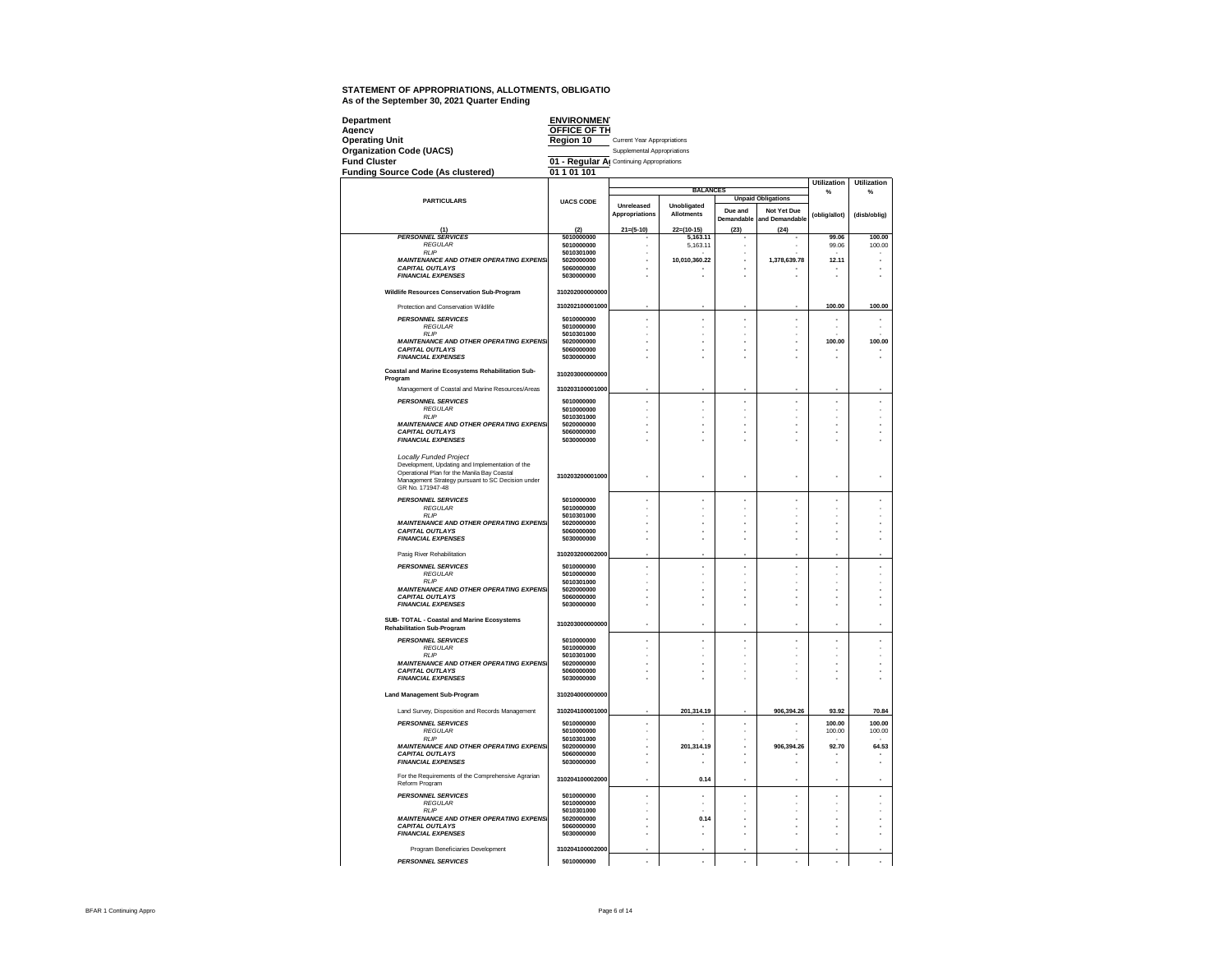| Department<br>Agency                                                                                                                                                                                     | <b>ENVIRONMENT</b><br>OFFICE OF TH        |                                    |                                  |            |                           |                         |                         |
|----------------------------------------------------------------------------------------------------------------------------------------------------------------------------------------------------------|-------------------------------------------|------------------------------------|----------------------------------|------------|---------------------------|-------------------------|-------------------------|
| <b>Operating Unit</b>                                                                                                                                                                                    | Region 10                                 | <b>Current Year Appropriations</b> |                                  |            |                           |                         |                         |
| <b>Organization Code (UACS)</b>                                                                                                                                                                          |                                           | Supplemental Appropriations        |                                  |            |                           |                         |                         |
| <b>Fund Cluster</b>                                                                                                                                                                                      | 01 - Regular Al Continuing Appropriations |                                    |                                  |            |                           |                         |                         |
| <b>Funding Source Code (As clustered)</b>                                                                                                                                                                | 01 1 01 101                               |                                    |                                  |            |                           |                         |                         |
|                                                                                                                                                                                                          |                                           |                                    | <b>BALANCES</b>                  |            |                           | <b>Utilization</b><br>% | <b>Utilization</b><br>% |
| <b>PARTICULARS</b>                                                                                                                                                                                       | <b>UACS CODE</b>                          |                                    |                                  |            | <b>Unpaid Obligations</b> |                         |                         |
|                                                                                                                                                                                                          |                                           | Unreleased                         | Unobligated<br><b>Allotments</b> | Due and    | Not Yet Due               |                         |                         |
|                                                                                                                                                                                                          |                                           | Appropriations                     |                                  | Demandable | and Demandable            | (oblig/allot)           | (disb/oblig)            |
| (1)                                                                                                                                                                                                      | (2)                                       | $21 = (5 - 10)$                    | $22=(10-15)$                     | (23)       | (24)                      |                         |                         |
| <b>PERSONNEL SERVICES</b><br><b>REGULAR</b>                                                                                                                                                              | 5010000000<br>5010000000                  |                                    | 5,163.11<br>5,163.11             |            |                           | 99.06<br>99.06          | 100.00<br>100.00        |
| <b>RLIP</b>                                                                                                                                                                                              | 5010301000                                |                                    |                                  |            |                           |                         |                         |
| <b>MAINTENANCE AND OTHER OPERATING EXPENSI</b><br><b>CAPITAL OUTLAYS</b>                                                                                                                                 | 5020000000<br>5060000000                  |                                    | 10,010,360.22                    | ä,         | 1,378,639.78              | 12.11                   |                         |
| <b>FINANCIAL EXPENSES</b>                                                                                                                                                                                | 5030000000                                |                                    |                                  |            |                           |                         |                         |
|                                                                                                                                                                                                          |                                           |                                    |                                  |            |                           |                         |                         |
| Wildlife Resources Conservation Sub-Program                                                                                                                                                              | 310202000000000                           |                                    |                                  |            |                           |                         |                         |
| Protection and Conservation Wildlife                                                                                                                                                                     | 310202100001000                           |                                    |                                  |            |                           | 100.00                  | 100.00                  |
| <b>PERSONNEL SERVICES</b>                                                                                                                                                                                | 5010000000                                |                                    |                                  |            |                           |                         |                         |
| <b>REGULAR</b>                                                                                                                                                                                           | 5010000000                                |                                    |                                  | ×,         |                           |                         |                         |
| <b>RLIP</b><br><b>MAINTENANCE AND OTHER OPERATING EXPENSI</b>                                                                                                                                            | 5010301000<br>5020000000                  |                                    |                                  | ä,         |                           | 100.00                  | 100.00                  |
| <b>CAPITAL OUTLAYS</b>                                                                                                                                                                                   | 5060000000                                |                                    |                                  |            |                           |                         |                         |
| <b>FINANCIAL EXPENSES</b>                                                                                                                                                                                | 5030000000                                |                                    |                                  |            |                           |                         |                         |
| Coastal and Marine Ecosystems Rehabilitation Sub-<br>Program                                                                                                                                             | 310203000000000                           |                                    |                                  |            |                           |                         |                         |
| Management of Coastal and Marine Resources/Areas                                                                                                                                                         | 310203100001000                           |                                    |                                  |            |                           |                         |                         |
| <b>PERSONNEL SERVICES</b>                                                                                                                                                                                | 5010000000                                | ä,                                 | J.                               | l,         | ×,                        | ł,                      | ×.                      |
| <b>REGULAR</b><br><b>RLIP</b>                                                                                                                                                                            | 5010000000<br>5010301000                  |                                    |                                  |            |                           | J.                      |                         |
| <b>MAINTENANCE AND OTHER OPERATING EXPENSI</b>                                                                                                                                                           | 5020000000                                |                                    |                                  |            |                           |                         |                         |
| <b>CAPITAL OUTLAYS</b><br><b>FINANCIAL EXPENSES</b>                                                                                                                                                      | 5060000000<br>5030000000                  |                                    |                                  |            |                           | ÷,                      |                         |
|                                                                                                                                                                                                          |                                           |                                    |                                  |            |                           |                         |                         |
| <b>Locally Funded Project</b><br>Development, Updating and Implementation of the<br>Operational Plan for the Manila Bay Coastal<br>Management Strategy pursuant to SC Decision under<br>GR No. 171947-48 | 310203200001000                           |                                    |                                  |            |                           |                         |                         |
| <b>PERSONNEL SERVICES</b>                                                                                                                                                                                | 5010000000                                |                                    |                                  |            |                           |                         |                         |
| <b>REGULAR</b>                                                                                                                                                                                           | 5010000000                                |                                    |                                  |            |                           | J.                      |                         |
| <b>RLIP</b><br><b>MAINTENANCE AND OTHER OPERATING EXPENSI</b>                                                                                                                                            | 5010301000<br>5020000000                  |                                    |                                  | ä,         |                           | ÷,                      |                         |
| <b>CAPITAL OUTLAYS</b>                                                                                                                                                                                   | 5060000000                                |                                    |                                  |            |                           |                         |                         |
| <b>FINANCIAL EXPENSES</b>                                                                                                                                                                                | 5030000000                                |                                    |                                  |            |                           |                         |                         |
| Pasig River Rehabilitation                                                                                                                                                                               | 310203200002000                           |                                    |                                  |            |                           |                         |                         |
| <b>PERSONNEL SERVICES</b>                                                                                                                                                                                | 5010000000                                |                                    |                                  |            |                           |                         |                         |
| <b>REGULAR</b>                                                                                                                                                                                           | 5010000000                                |                                    |                                  |            |                           |                         |                         |
| <b>RI</b> IP                                                                                                                                                                                             | 5010301000<br>5020000000                  |                                    |                                  |            |                           |                         |                         |
| MAINTENANCE AND OTHER OPERATING EXPENSI<br><b>CAPITAL OUTLAYS</b>                                                                                                                                        | 5060000000                                |                                    |                                  |            |                           | ٠                       |                         |
| <b>FINANCIAL EXPENSES</b>                                                                                                                                                                                | 5030000000                                |                                    |                                  |            |                           |                         |                         |
| SUB- TOTAL - Coastal and Marine Ecosystems                                                                                                                                                               |                                           |                                    |                                  |            |                           |                         |                         |
| <b>Rehabilitation Sub-Program</b>                                                                                                                                                                        | 310203000000000                           |                                    |                                  |            |                           |                         |                         |
| <b>PERSONNEL SERVICES</b>                                                                                                                                                                                | 5010000000                                | ä,                                 | ×,                               | ä,         | ×                         | ×,                      | ×.                      |
| <b>REGULAR</b><br><b>RIP</b>                                                                                                                                                                             | 5010000000<br>5010301000                  | ä,                                 |                                  | ä,         |                           | ł.                      | ä,                      |
| <b>MAINTENANCE AND OTHER OPERATING EXPENSI</b>                                                                                                                                                           | 5020000000                                |                                    |                                  |            |                           | J.                      |                         |
| <b>CAPITAL OUTLAYS</b>                                                                                                                                                                                   | 5060000000                                |                                    |                                  |            |                           | J.                      |                         |
| <b>FINANCIAL EXPENSES</b>                                                                                                                                                                                | 5030000000                                |                                    |                                  |            |                           |                         |                         |
| <b>Land Management Sub-Program</b>                                                                                                                                                                       | 310204000000000                           |                                    |                                  |            |                           |                         |                         |
| Land Survey, Disposition and Records Management                                                                                                                                                          | 310204100001000                           |                                    | 201,314.19                       |            | 906,394.26                | 93.92                   | 70.84                   |
| <b>PERSONNEL SERVICES</b><br><b>REGULAR</b>                                                                                                                                                              | 5010000000<br>5010000000                  | ä,                                 |                                  | l,         |                           | 100.00<br>100.00        | 100.00<br>100.00        |
| <b>RLIP</b>                                                                                                                                                                                              | 5010301000                                |                                    |                                  |            |                           |                         |                         |
| <b>MAINTENANCE AND OTHER OPERATING EXPENSI</b>                                                                                                                                                           | 5020000000                                |                                    | 201,314.19                       |            | 906,394.26                | 92.70                   | 64.53                   |
| <b>CAPITAL OUTLAYS</b><br><b>FINANCIAL EXPENSES</b>                                                                                                                                                      | 5060000000<br>5030000000                  |                                    |                                  |            |                           |                         |                         |
| For the Requirements of the Comprehensive Agrarian<br>Reform Program                                                                                                                                     | 310204100002000                           | ä,                                 | 0.14                             |            |                           |                         |                         |
| <b>PERSONNEL SERVICES</b>                                                                                                                                                                                | 5010000000                                |                                    |                                  | ä,         |                           | ÷,                      |                         |
| <b>REGULAR</b>                                                                                                                                                                                           | 5010000000                                |                                    |                                  |            |                           |                         |                         |
| <b>RLIP</b>                                                                                                                                                                                              | 5010301000                                |                                    |                                  |            |                           | i.                      |                         |
| <b>MAINTENANCE AND OTHER OPERATING EXPENSI</b><br><b>CAPITAL OUTLAYS</b>                                                                                                                                 | 5020000000<br>5060000000                  |                                    | 0.14                             |            | ÷,                        | ×<br>J.                 |                         |
| <b>FINANCIAL EXPENSES</b>                                                                                                                                                                                | 5030000000                                |                                    | í,                               | ä,         | ×,                        | J.                      | ä,                      |
|                                                                                                                                                                                                          | 310204100002000                           |                                    |                                  |            |                           |                         |                         |
| Program Beneficiaries Development                                                                                                                                                                        |                                           |                                    |                                  |            |                           |                         |                         |
| <b>PERSONNEL SERVICES</b>                                                                                                                                                                                | 5010000000                                |                                    |                                  |            |                           |                         |                         |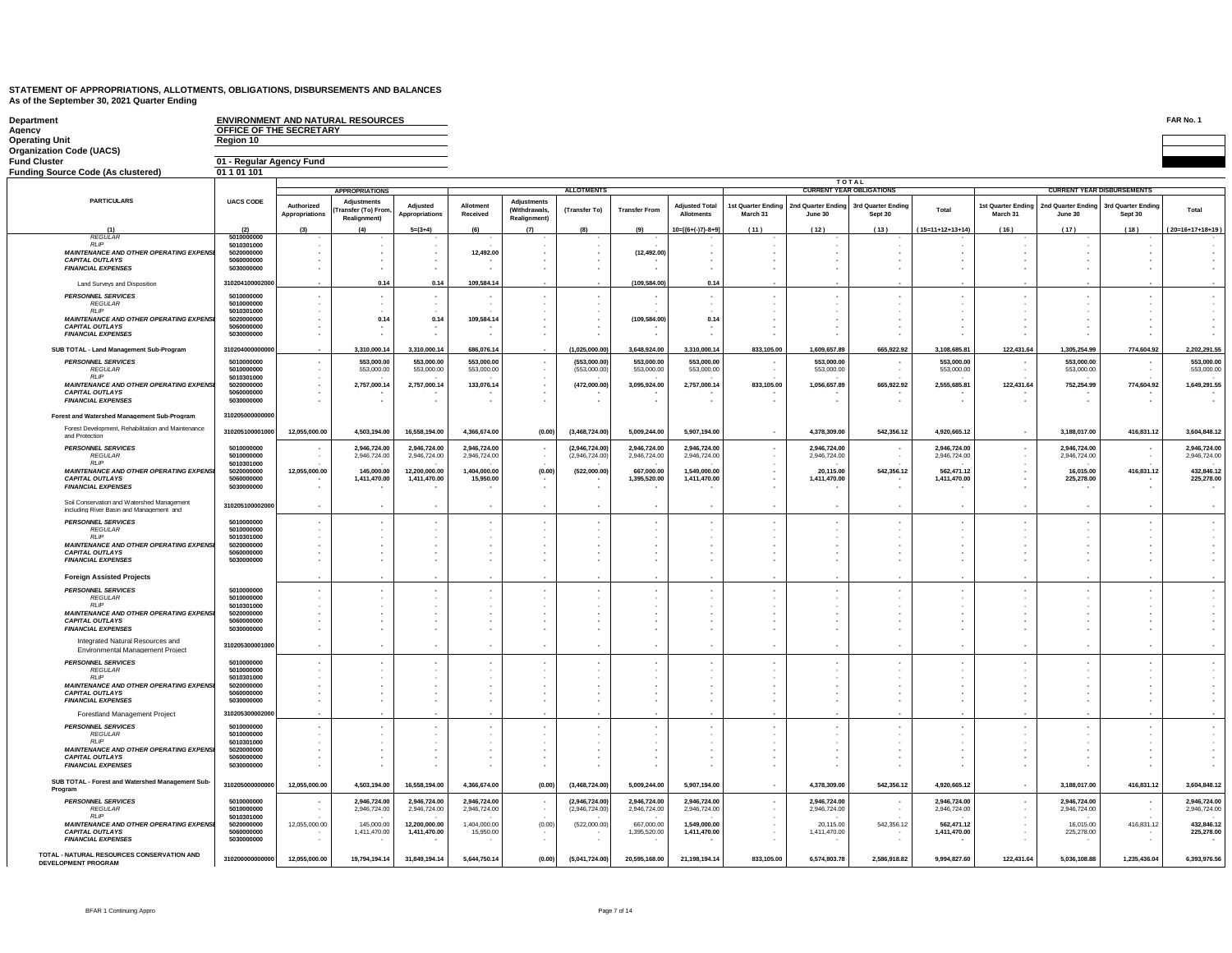| Department<br>Agency                                                                                  | OFFICE OF THE SECRETARY                 |                              | <b>ENVIRONMENT AND NATURAL RESOURCES</b>                |                                                      |                              |                                                    |                                 |                                                 |                                     |            |                                                  |                                 |                              |                                |                                   |                               | FAR No. 1                    |
|-------------------------------------------------------------------------------------------------------|-----------------------------------------|------------------------------|---------------------------------------------------------|------------------------------------------------------|------------------------------|----------------------------------------------------|---------------------------------|-------------------------------------------------|-------------------------------------|------------|--------------------------------------------------|---------------------------------|------------------------------|--------------------------------|-----------------------------------|-------------------------------|------------------------------|
| <b>Operating Unit</b>                                                                                 | Region 10                               |                              |                                                         |                                                      |                              |                                                    |                                 |                                                 |                                     |            |                                                  |                                 |                              |                                |                                   |                               |                              |
| <b>Organization Code (UACS)</b>                                                                       |                                         |                              |                                                         |                                                      |                              |                                                    |                                 |                                                 |                                     |            |                                                  |                                 |                              |                                |                                   |                               |                              |
| <b>Fund Cluster</b><br><b>Funding Source Code (As clustered)</b>                                      | 01 - Regular Agency Fund<br>01 1 01 101 |                              |                                                         |                                                      |                              |                                                    |                                 |                                                 |                                     |            |                                                  |                                 |                              |                                |                                   |                               |                              |
|                                                                                                       |                                         |                              |                                                         |                                                      |                              |                                                    |                                 |                                                 |                                     |            |                                                  | <b>TOTAL</b>                    |                              |                                |                                   |                               |                              |
| <b>PARTICULARS</b>                                                                                    | <b>UACS CODE</b>                        |                              | <b>APPROPRIATIONS</b>                                   |                                                      |                              |                                                    | <b>ALLOTMENTS</b>               |                                                 |                                     |            |                                                  | <b>CURRENT YEAR OBLIGATIONS</b> |                              |                                | <b>CURRENT YEAR DISBURSEMENTS</b> |                               |                              |
|                                                                                                       |                                         | Authorized<br>Appropriations | <b>Adjustments</b><br>ransfer (To) From<br>Realignment) | Adjusted<br>Appropriations                           | Allotmen<br>Received         | <b>Adjustments</b><br>(Withdrawals<br>Realignment) | (Transfer To)                   | <b>Transfer From</b>                            | <b>Adjusted Total</b><br>Allotments | March 31   | 1st Quarter Ending 2nd Quarter Ending<br>June 30 | 3rd Quarter Ending<br>Sept 30   | Total                        | 1st Quarter Ending<br>March 31 | 2nd Quarter Ending<br>June 30     | 3rd Quarter Ending<br>Sept 30 | Total                        |
| (1)<br><b>REGULAF</b>                                                                                 | (2)<br>5010000000                       |                              |                                                         | $5=(3+4)$                                            |                              | (7)                                                |                                 | (9)                                             | $10=[(6+(-7)-8+9]$                  | (11)       | (12)                                             | (13)                            | $(15=11+12+13+14)$           | (16)                           | (17)                              | (18)                          | 20=16+17+18+19)              |
| <b>RI</b> IP<br><b>MAINTENANCE AND OTHER OPERATING EXPENS</b>                                         | 5010301000<br>5020000000                |                              |                                                         | $\overline{\phantom{a}}$                             | 12,492.00                    |                                                    | ٠<br>$\cdot$                    | (12, 492.00)                                    | $\overline{\phantom{a}}$            |            |                                                  |                                 |                              |                                |                                   |                               |                              |
| <b>CAPITAL OUTLAYS</b><br><b>FINANCIAL EXPENSES</b>                                                   | 5060000000<br>5030000000                |                              |                                                         | $\blacksquare$<br>$\epsilon$                         |                              |                                                    | ×.<br>×                         |                                                 | ×.                                  |            |                                                  |                                 |                              |                                |                                   |                               |                              |
| Land Surveys and Disposition                                                                          | 31020410000200                          |                              | 0.14                                                    | 0.14                                                 | 109,584.14                   |                                                    |                                 | (109,584.00                                     | 0.14                                |            |                                                  |                                 |                              |                                |                                   |                               |                              |
| PERSONNEL SERVICES<br><b>REGULAR</b>                                                                  | 5010000000<br>5010000000                |                              |                                                         | $\cdot$<br>÷,                                        |                              |                                                    | $\cdot$                         |                                                 |                                     |            |                                                  |                                 |                              |                                |                                   |                               |                              |
| <b>RLIP</b>                                                                                           | 5010301000                              |                              |                                                         |                                                      |                              |                                                    |                                 |                                                 |                                     |            |                                                  |                                 |                              |                                |                                   |                               |                              |
| <b>MAINTENANCE AND OTHER OPERATING EXPENS</b><br><b>CAPITAL OUTLAYS</b><br><b>FINANCIAL EXPENSES</b>  | 5020000000<br>5060000000<br>5030000000  |                              | 0.14                                                    | 0.14<br>٠<br>٠                                       | 109,584.14                   |                                                    | $\sim$                          | (109,584.00                                     | 0.14                                |            |                                                  |                                 |                              |                                |                                   |                               |                              |
| SUB TOTAL - Land Management Sub-Program                                                               | 31020400000000                          |                              | 1,310,000.14                                            | 3,310,000.14                                         | 686,076.14                   |                                                    | 1,025,000.00                    | ,648,924.00                                     | 3,310,000.14                        | 833,105.00 | 1,609,657.89                                     | 665,922.92                      | 3,108,685.81                 | 122,431.64                     | 1,305,254.99                      | 774,604.92                    | 2,202,291.55                 |
| <b>PERSONNEL SERVICES</b>                                                                             | 5010000000                              |                              | 553,000.00                                              | 553,000.00                                           | 553,000.00                   |                                                    | (553,000.00                     | 553,000.00                                      | 553,000.00                          | $\sim$     | 553,000.00                                       |                                 | 553,000.00                   |                                | 553,000.00                        | $\sim$                        | 553,000.00                   |
| <b>REGULAR</b><br><b>RLIP</b>                                                                         | 5010000000<br>5010301000                |                              | 553,000.00                                              | 553,000.00                                           | 553,000.00                   |                                                    | (553,000.00                     | 553,000.00                                      | 553,000.00                          |            | 553,000.00                                       |                                 | 553,000.00                   |                                | 553,000.00                        |                               | 553,000.00                   |
| <b>MAINTENANCE AND OTHER OPERATING EXPENS.</b><br><b>CAPITAL OUTLAYS</b><br><b>FINANCIAL EXPENSES</b> | 5020000000<br>5060000000<br>5030000000  |                              | 2,757,000.14                                            | 2,757,000.14<br>٠                                    | 133,076.14                   |                                                    | (472,000.00)                    | 3,095,924.00                                    | 2,757,000.14                        | 833,105.00 | 1,056,657.89                                     | 665,922.92                      | 2,555,685.81                 | 122,431.64                     | 752,254.99<br>۰.                  | 774,604.92                    | 1,649,291.55                 |
| Forest and Watershed Management Sub-Program                                                           | 310205000000000                         |                              |                                                         |                                                      |                              |                                                    |                                 |                                                 |                                     |            |                                                  |                                 |                              |                                |                                   |                               |                              |
| Forest Development, Rehabilitation and Maintenance<br>and Protection                                  | 310205100001000                         | 12,055,000.00                | 4,503,194.00                                            | 16,558,194.00                                        | 4,366,674.00                 | (0.00)                                             | (3,468,724.00)                  | 5,009,244.00                                    | 5,907,194.00                        | ٠.         | 4,378,309.00                                     | 542,356.12                      | 4,920,665.12                 | $\sim$                         | 3,188,017.00                      | 416,831.12                    | 3,604,848.12                 |
| <b>PERSONNEL SERVICES</b><br><b>REGULAR</b><br><b>RIP</b>                                             | 5010000000<br>5010000000<br>5010301000  |                              | 2.946.724.00<br>2.946.724.00                            | 2.946.724.00<br>2.946.724.00                         | 2.946.724.00<br>2.946.724.00 |                                                    | (2.946.724.00<br>(2.946.724.00  | 2.946.724.00<br>2.946.724.00                    | 2.946.724.00<br>2.946.724.00        |            | 2,946,724.00<br>2.946.724.00                     |                                 | 2.946.724.00<br>2.946.724.00 |                                | 2.946.724.00<br>2.946.724.00      | $\sim$<br>$\sim$              | 2.946.724.00<br>2.946.724.00 |
| <b>MAINTENANCE AND OTHER OPERATING EXPENS.</b><br><b>CAPITAL OUTLAYS</b><br><b>FINANCIAL EXPENSES</b> | 5020000000<br>5060000000<br>5030000000  | 12.055.000.00                | 145,000.00<br>1,411,470.00                              | 12.200.000.00<br>1,411,470.00                        | 1.404.000.00<br>15,950.00    | (0.00)                                             | (522,000.00                     | 667,000.00<br>1,395,520.00                      | 1.549.000.00<br>1,411,470.00        |            | 20.115.00<br>1,411,470.00                        | 542,356.12                      | 562.471.12<br>1,411,470.00   |                                | 16.015.00<br>225,278.00           | 416,831.12                    | 432.846.12<br>225,278.00     |
| Soil Conservation and Watershed Management<br>including River Basin and Management and                | 310205100002000                         | ٠.                           |                                                         | $\sim$                                               |                              |                                                    | $\sim$                          | ٠                                               |                                     |            |                                                  |                                 | ٠.                           | $\overline{\phantom{a}}$       | $\overline{\phantom{a}}$          | $\sim$                        |                              |
| <b>PERSONNEL SERVICES</b>                                                                             | 5010000000                              |                              |                                                         | $\cdot$                                              |                              |                                                    | $\cdot$                         | $\overline{\phantom{a}}$                        |                                     |            |                                                  |                                 |                              |                                | $\blacksquare$                    |                               |                              |
| <b>REGULAR</b><br><b>RI</b> IP                                                                        | 5010000000<br>5010301000                |                              |                                                         | ٠                                                    |                              |                                                    | ٠                               | $\cdot$                                         |                                     |            |                                                  |                                 |                              |                                |                                   |                               |                              |
| <b>MAINTENANCE AND OTHER OPERATING EXPENS</b><br><b>CAPITAL OUTLAYS</b><br><b>FINANCIAL EXPENSES</b>  | 5020000000<br>5060000000<br>5030000000  |                              |                                                         | $\blacksquare$<br>٠<br>$\blacksquare$                |                              |                                                    | $\overline{\phantom{a}}$<br>×   | $\cdot$<br>$\cdot$<br>$\cdot$                   |                                     |            |                                                  |                                 |                              |                                | $\overline{\phantom{a}}$          |                               |                              |
| <b>Foreign Assisted Projects</b>                                                                      |                                         |                              |                                                         |                                                      |                              |                                                    |                                 |                                                 |                                     |            |                                                  |                                 |                              |                                |                                   |                               |                              |
| <b>PERSONNEL SERVICES</b>                                                                             | 5010000000                              |                              |                                                         | $\sim$                                               |                              |                                                    | $\sim$                          | ٠                                               | ٠                                   |            |                                                  |                                 |                              |                                | $\overline{\phantom{a}}$          |                               |                              |
| <b>REGULAR</b><br><b>RI</b> IP                                                                        | 5010000000<br>5010301000                |                              |                                                         |                                                      |                              |                                                    |                                 | $\cdot$                                         |                                     |            |                                                  |                                 |                              |                                |                                   |                               |                              |
| <b>MAINTENANCE AND OTHER OPERATING EXPENS.</b><br><b>CAPITAL OUTLAYS</b>                              | 5020000000<br>5060000000                |                              |                                                         |                                                      |                              |                                                    |                                 | $\blacksquare$                                  |                                     |            |                                                  |                                 |                              |                                |                                   |                               |                              |
| <b>FINANCIAL EXPENSES</b>                                                                             | 5030000000                              |                              |                                                         | ٠                                                    |                              |                                                    |                                 | $\blacksquare$<br>$\blacksquare$                |                                     |            |                                                  |                                 |                              |                                |                                   |                               |                              |
| Integrated Natural Resources and<br>Environmental Management Project                                  | 310205300001000                         |                              |                                                         |                                                      |                              |                                                    |                                 |                                                 |                                     |            |                                                  |                                 |                              |                                |                                   |                               |                              |
| <b>PERSONNEL SERVICES</b><br><b>REGULAR</b>                                                           | 5010000000<br>5010000000                |                              |                                                         | $\overline{\phantom{a}}$<br>٠                        |                              |                                                    | ٠<br>$\overline{\phantom{a}}$   | ٠                                               | ٠                                   |            |                                                  |                                 |                              |                                | $\overline{\phantom{a}}$          |                               |                              |
| <b>RIIP</b><br><b>MAINTENANCE AND OTHER OPERATING EXPENS</b>                                          | 5010301000<br>5020000000                |                              |                                                         | $\blacksquare$                                       |                              |                                                    | $\overline{\phantom{a}}$        | $\cdot$                                         |                                     |            |                                                  |                                 |                              |                                |                                   |                               |                              |
| <b>CAPITAL OUTLAYS</b><br><b>FINANCIAL EXPENSES</b>                                                   | 5060000000<br>5030000000                |                              |                                                         | $\blacksquare$                                       |                              |                                                    | ×                               | $\cdot$                                         |                                     |            |                                                  |                                 |                              |                                | $\overline{\phantom{a}}$          |                               |                              |
| Forestland Management Project                                                                         | 31020530000200                          |                              |                                                         |                                                      |                              |                                                    |                                 |                                                 |                                     |            |                                                  |                                 |                              |                                |                                   |                               |                              |
| <b>PERSONNEL SERVICES</b>                                                                             | 5010000000                              |                              |                                                         |                                                      |                              |                                                    |                                 |                                                 |                                     |            |                                                  |                                 |                              |                                |                                   | $\sim$                        |                              |
| <b>REGULAR</b><br><b>RLIP</b>                                                                         | 5010000000<br>5010301000                |                              |                                                         |                                                      |                              |                                                    |                                 |                                                 |                                     |            |                                                  |                                 |                              |                                |                                   |                               |                              |
| MAINTENANCE AND OTHER OPERATING EXPENSI<br><b>CAPITAL OUTLAYS</b><br><b>FINANCIAL EXPENSES</b>        | 5020000000<br>5060000000<br>5030000000  |                              |                                                         | $\overline{\phantom{a}}$<br>$\sim$<br>$\blacksquare$ |                              |                                                    | ٠                               | $\overline{\phantom{a}}$<br>٠<br>$\overline{a}$ |                                     |            |                                                  |                                 |                              |                                | $\overline{\phantom{a}}$          |                               |                              |
| SUB TOTAL - Forest and Watershed Management Sub-<br>Program                                           | 310205000000000                         | 12,055,000.00                | 4,503,194.00                                            | 16,558,194.00                                        | 4,366,674.00                 | (0.00)                                             | (3,468,724.00)                  | 5,009,244.00                                    | 5.907.194.00                        |            | 4,378,309.00                                     | 542,356.12                      | 4,920,665.12                 | $\sim$                         | 3,188,017.00                      | 416,831.12                    | 3,604,848.12                 |
| <b>PERSONNEL SERVICES</b><br><b>REGULAR</b>                                                           | 5010000000<br>5010000000                |                              | 2,946,724.00<br>2.946.724.00                            | 2,946,724.00<br>2.946,724.00                         | 2,946,724.00<br>2.946.724.00 |                                                    | (2,946,724.00)<br>(2.946,724.00 | 2,946,724.00<br>2.946.724.00                    | 2,946,724.00<br>2.946.724.00        | $\epsilon$ | 2,946,724.00<br>2.946.724.00                     |                                 | 2,946,724.00<br>2.946.724.00 | $\sim$                         | 2,946,724.00<br>2.946.724.00      | $\sim$                        | 2,946,724.00<br>2.946.724.00 |
| <b>RLIP</b>                                                                                           | 5010301000                              |                              |                                                         |                                                      |                              |                                                    |                                 |                                                 |                                     |            |                                                  |                                 |                              |                                |                                   |                               |                              |
| <b>MAINTENANCE AND OTHER OPERATING EXPENSI</b><br><b>CAPITAL OUTLAYS</b><br><b>FINANCIAL EXPENSES</b> | 5020000000<br>5060000000<br>5030000000  | 12,055,000.00                | 145,000.00<br>1,411,470.00                              | 12,200,000.00<br>1,411,470.00                        | 1,404,000.00<br>15,950.00    | (0.00)                                             | (522,000.00)<br>$\mathbf{r}$    | 667,000.00<br>1,395,520.00                      | 1,549,000.00<br>1,411,470.00        |            | 20,115.00<br>1,411,470.00                        | 542,356.12                      | 562,471.12<br>1,411,470.00   |                                | 16,015.00<br>225,278.00           | 416,831.12                    | 432,846.12<br>225,278.00     |
| TOTAL - NATURAL RESOURCES CONSERVATION AND<br><b>DEVELOPMENT PROGRAM</b>                              | 310200000000000                         | 12,055,000.00                | 19,794,194.14                                           | 31,849,194.14                                        | 5,644,750.14                 | (0.00)                                             | (5,041,724.00)                  | 20,595,168.00                                   | 21,198,194.14                       | 833,105.00 | 6,574,803.78                                     | 2,586,918.82                    | 9,994,827.60                 | 122,431.64                     | 5,036,108.88                      | 1,235,436.04                  | 6,393,976.56                 |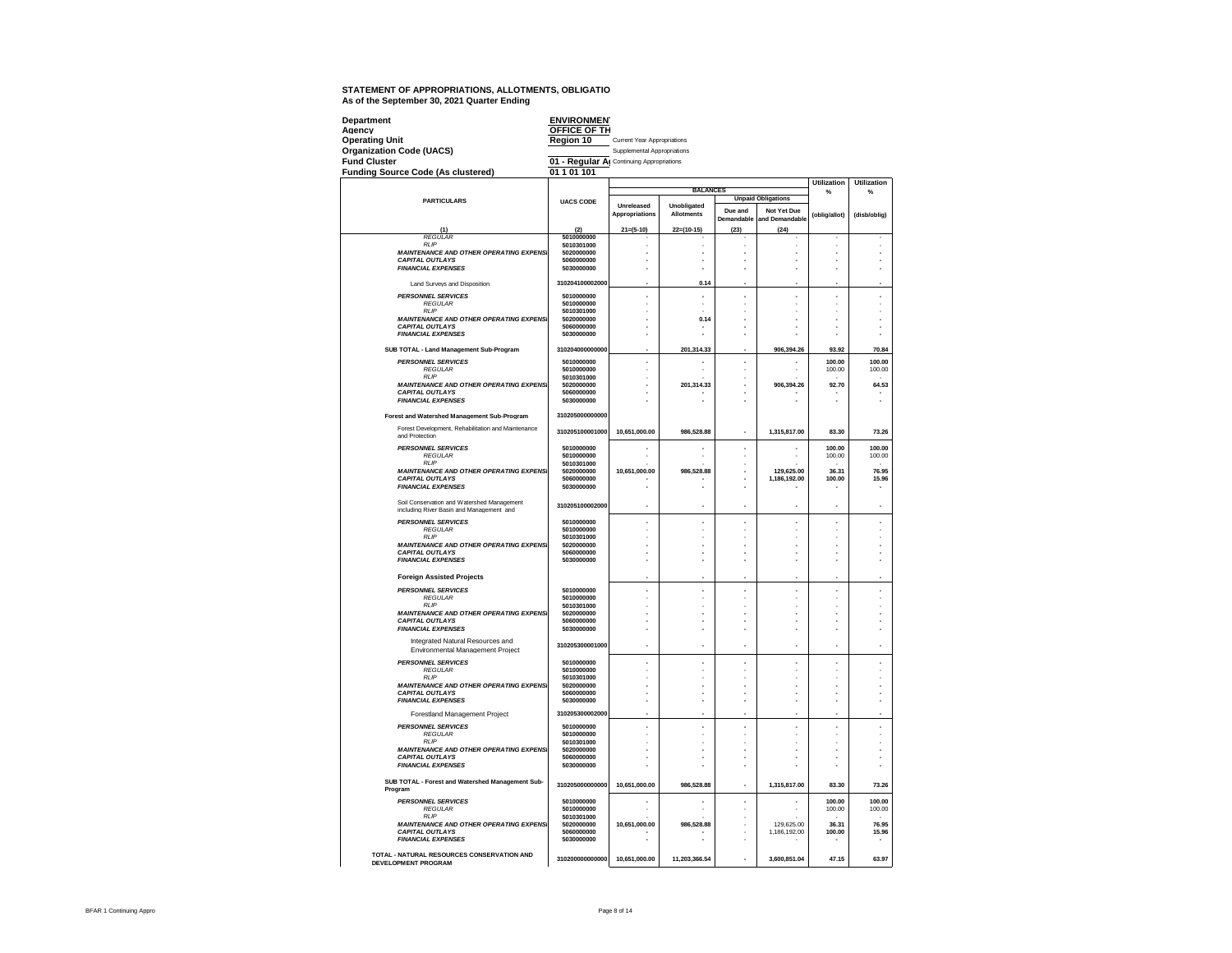| Department<br>Agency<br><b>Operating Unit</b>                                          | <b>ENVIRONMENT</b><br><b>OFFICE OF TH</b><br>Region 10 | <b>Current Year Appropriations</b> |                                  |                       |                               |                          |                    |
|----------------------------------------------------------------------------------------|--------------------------------------------------------|------------------------------------|----------------------------------|-----------------------|-------------------------------|--------------------------|--------------------|
| <b>Organization Code (UACS)</b>                                                        |                                                        | Supplemental Appropriations        |                                  |                       |                               |                          |                    |
| <b>Fund Cluster</b>                                                                    | 01 - Regular Al Continuing Appropriations              |                                    |                                  |                       |                               |                          |                    |
| <b>Funding Source Code (As clustered)</b>                                              | 01 1 01 101                                            |                                    |                                  |                       |                               |                          |                    |
|                                                                                        |                                                        |                                    |                                  |                       |                               | <b>Utilization</b>       | <b>Utilization</b> |
|                                                                                        |                                                        |                                    | <b>BALANCES</b>                  |                       | <b>Unpaid Obligations</b>     | $\frac{9}{6}$            | $\frac{9}{6}$      |
| <b>PARTICULARS</b>                                                                     | <b>UACS CODE</b>                                       | Unreleased<br>Appropriations       | Unobligated<br><b>Allotments</b> | Due and<br>Demandable | Not Yet Due<br>and Demandable | (oblig/allot)            | (disb/oblig)       |
| (1)                                                                                    | (2)                                                    | $21=(5-10)$                        | $22=(10-15)$                     | (23)                  | (24)                          |                          |                    |
| <b>REGULAR</b>                                                                         | 5010000000                                             |                                    |                                  |                       |                               |                          |                    |
| RI IP<br><b>MAINTENANCE AND OTHER OPERATING EXPENSI</b>                                | 5010301000<br>5020000000                               | ä,                                 |                                  | ż<br>J.               |                               |                          |                    |
| <b>CAPITAL OUTLAYS</b><br><b>FINANCIAL EXPENSES</b>                                    | 5060000000<br>5030000000                               |                                    | í.                               | ä,                    |                               |                          |                    |
| Land Surveys and Disposition                                                           | 310204100002000                                        |                                    | 0.14                             |                       |                               |                          |                    |
| <b>PERSONNEL SERVICES</b>                                                              | 5010000000                                             |                                    |                                  | l,                    |                               | J.                       | ä,                 |
| <b>REGULAR</b>                                                                         | 5010000000                                             |                                    |                                  |                       |                               |                          |                    |
| <b>RLIP</b><br>MAINTENANCE AND OTHER OPERATING EXPENSI                                 | 5010301000<br>5020000000                               |                                    | 0.14                             |                       |                               |                          |                    |
| CAPITAL OUTLAYS                                                                        | 5060000000                                             |                                    |                                  |                       |                               |                          |                    |
| <b>FINANCIAL EXPENSES</b>                                                              | 5030000000                                             |                                    |                                  |                       |                               |                          |                    |
| SUB TOTAL - Land Management Sub-Program                                                | 310204000000000                                        |                                    | 201,314.33                       |                       | 906,394.26                    | 93.92                    | 70.84              |
| <b>PERSONNEL SERVICES</b>                                                              | 5010000000                                             | í,                                 |                                  | l,                    |                               | 100.00                   | 100.00             |
| <b>REGULAR</b>                                                                         | 5010000000                                             |                                    |                                  |                       |                               | 100.00                   | 100.00             |
| <b>RLIP</b><br><b>MAINTENANCE AND OTHER OPERATING EXPENSI</b>                          | 5010301000<br>5020000000                               |                                    | 201,314.33                       |                       | 906,394.26                    | 92.70                    | 64.53              |
| <b>CAPITAL OUTLAYS</b>                                                                 | 5060000000                                             |                                    |                                  |                       |                               |                          |                    |
| <b>FINANCIAL EXPENSES</b>                                                              | 5030000000                                             |                                    |                                  |                       |                               |                          |                    |
| <b>Forest and Watershed Management Sub-Program</b>                                     | 310205000000000                                        |                                    |                                  |                       |                               |                          |                    |
| Forest Development, Rehabilitation and Maintenance<br>and Protection                   | 310205100001000                                        | 10,651,000.00                      | 986,528.88                       | J.                    | 1,315,817.00                  | 83.30                    | 73.26              |
| <b>PERSONNEL SERVICES</b>                                                              | 5010000000                                             |                                    |                                  |                       |                               | 100.00                   | 100.00             |
| <b>REGULAR</b>                                                                         | 5010000000                                             |                                    |                                  |                       |                               | 100.00                   | 100.00             |
| <b>RLIP</b><br><b>MAINTENANCE AND OTHER OPERATING EXPENSI</b>                          | 5010301000<br>5020000000                               | 10.651.000.00                      | 986,528.88                       | ä,                    | 129.625.00                    | 36.31                    | 76.95              |
| <b>CAPITAL OUTLAYS</b>                                                                 | 5060000000                                             |                                    |                                  |                       | 1.186.192.00                  | 100.00                   | 15.96              |
| <b>FINANCIAL EXPENSES</b>                                                              | 5030000000                                             |                                    |                                  |                       |                               |                          |                    |
| Soil Conservation and Watershed Management<br>including River Basin and Management and | 310205100002000                                        |                                    |                                  |                       |                               |                          |                    |
| <b>PERSONNEL SERVICES</b>                                                              | 5010000000                                             | ٠                                  |                                  |                       |                               |                          |                    |
| <b>REGULAR</b><br><b>RIP</b>                                                           | 5010000000<br>5010301000                               |                                    |                                  |                       |                               |                          |                    |
| MAINTENANCE AND OTHER OPERATING EXPENSI                                                | 5020000000                                             |                                    |                                  |                       |                               |                          |                    |
| <b>CAPITAL OUTLAYS</b><br><b>FINANCIAL EXPENSES</b>                                    | 5060000000<br>5030000000                               |                                    |                                  |                       |                               |                          |                    |
|                                                                                        |                                                        |                                    |                                  |                       |                               |                          |                    |
| <b>Foreign Assisted Projects</b>                                                       |                                                        |                                    |                                  |                       |                               |                          |                    |
| <b>PERSONNEL SERVICES</b>                                                              | 5010000000                                             | ×,                                 |                                  |                       | ×,                            | Î.                       |                    |
| <b>REGULAR</b><br>RI IP                                                                | 5010000000<br>5010301000                               |                                    |                                  |                       |                               |                          |                    |
| <b>MAINTENANCE AND OTHER OPERATING EXPENSI</b>                                         | 5020000000                                             |                                    |                                  |                       |                               |                          |                    |
| <b>CAPITAL OUTLAYS</b><br><b>FINANCIAL EXPENSES</b>                                    | 5060000000<br>5030000000                               | í.                                 |                                  |                       |                               | J.                       |                    |
|                                                                                        |                                                        |                                    |                                  |                       |                               |                          |                    |
| Integrated Natural Resources and<br>Environmental Management Project                   | 310205300001000                                        | ٠                                  | ł,                               |                       | ٠                             | ٠                        |                    |
| <b>PERSONNEL SERVICES</b><br><b>REGULAR</b>                                            | 5010000000<br>5010000000                               | ä,                                 | ż                                | J,                    | ×.                            | J.                       | J.                 |
| <b>RLIP</b>                                                                            | 5010301000                                             |                                    |                                  |                       |                               |                          |                    |
| <b>MAINTENANCE AND OTHER OPERATING EXPENSI</b><br><b>CAPITAL OUTLAYS</b>               | 5020000000<br>5060000000                               |                                    |                                  | ä,                    |                               | ÷,                       |                    |
| <b>FINANCIAL EXPENSES</b>                                                              | 5030000000                                             |                                    |                                  |                       |                               |                          |                    |
| Forestland Management Project                                                          | 310205300002000                                        |                                    |                                  |                       |                               |                          |                    |
| <b>PERSONNEL SERVICES</b>                                                              | 5010000000                                             | ×.                                 | í.                               | ä,                    | ×                             | ×,                       | ×,                 |
| <b>REGULAR</b>                                                                         | 5010000000                                             |                                    |                                  |                       |                               | i.                       |                    |
| <b>RLIP</b><br><b>MAINTENANCE AND OTHER OPERATING EXPENSI</b>                          | 5010301000<br>5020000000                               | ä,                                 | J.                               | J.                    | ÷                             | J.                       | ×.                 |
| <b>CAPITAL OUTLAYS</b>                                                                 | 5060000000                                             | ٠                                  |                                  |                       | ÷                             | $\overline{\phantom{a}}$ |                    |
| <b>FINANCIAL EXPENSES</b>                                                              | 5030000000                                             |                                    |                                  | J.                    |                               |                          |                    |
| SUB TOTAL - Forest and Watershed Management Sub-<br>Program                            | 310205000000000                                        | 10.651.000.00                      | 986.528.88                       |                       | 1,315,817.00                  | 83.30                    | 73.26              |
| <b>PERSONNEL SERVICES</b>                                                              | 5010000000                                             |                                    |                                  |                       |                               | 100.00                   | 100.00             |
| <b>REGULAR</b><br><b>RLIP</b>                                                          | 5010000000<br>5010301000                               |                                    |                                  |                       |                               | 100.00                   | 100.00             |
| <b>MAINTENANCE AND OTHER OPERATING EXPENSI</b>                                         | 5020000000                                             | 10,651,000.00                      | 986,528.88                       |                       | 129,625.00                    | 36.31                    | 76.95              |
| <b>CAPITAL OUTLAYS</b>                                                                 | 5060000000                                             |                                    |                                  |                       | 1.186.192.00                  | 100.00                   | 15.96              |
| <b>FINANCIAL EXPENSES</b>                                                              | 5030000000                                             |                                    |                                  |                       |                               |                          |                    |
| TOTAL - NATURAL RESOURCES CONSERVATION AND<br><b>DEVELOPMENT PROGRAM</b>               | 310200000000000                                        | 10,651,000.00                      | 11,203,366.54                    |                       | 3,600,851.04                  | 47.15                    | 63.97              |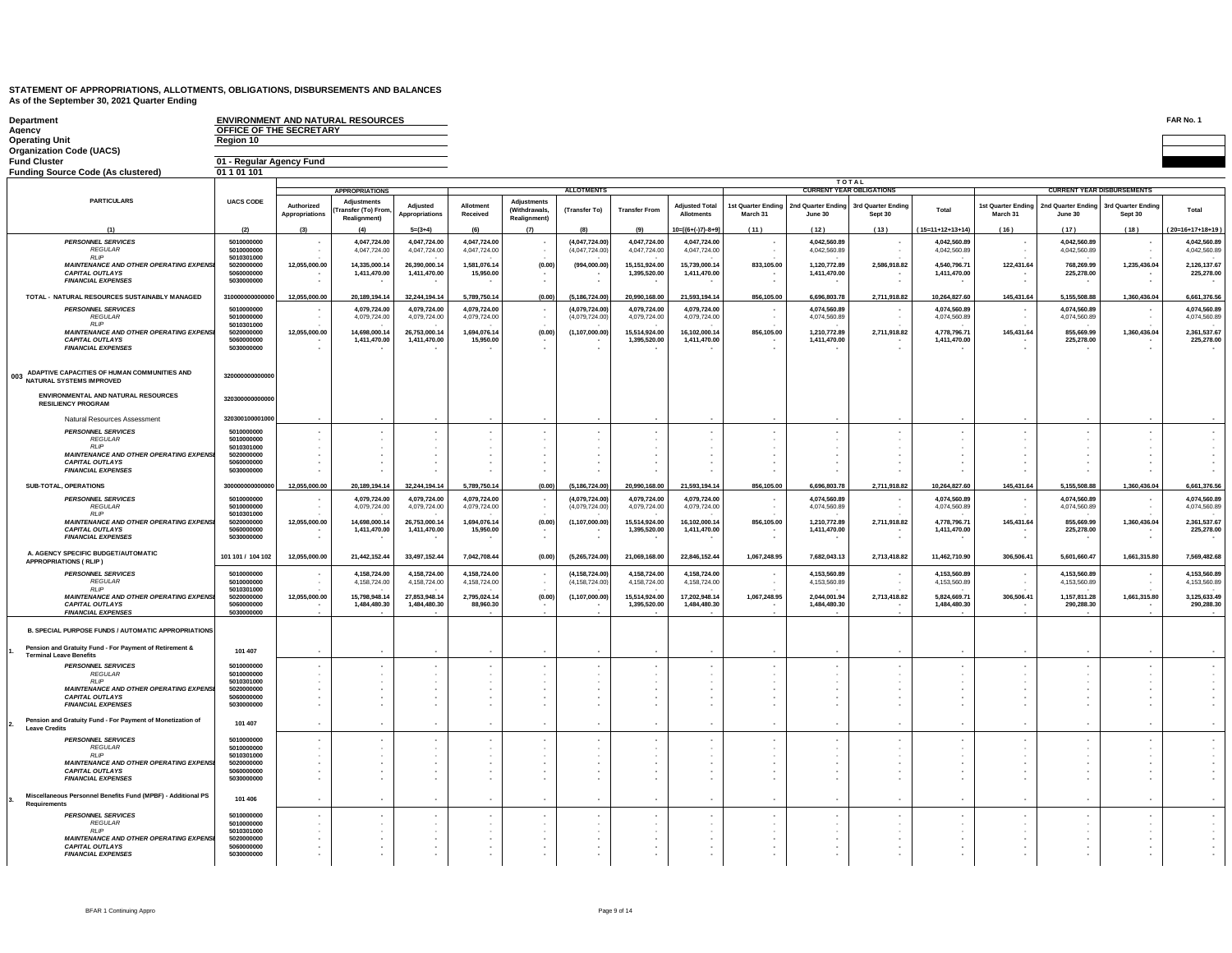| Department                                                               |                                      |                                    | <b>ENVIRONMENT AND NATURAL RESOURCES</b> |                               |                              |                          |                                  |                               |                                            |                                |                                 |                               |                              |                                |                               |                                     | FAR No. 1                    |
|--------------------------------------------------------------------------|--------------------------------------|------------------------------------|------------------------------------------|-------------------------------|------------------------------|--------------------------|----------------------------------|-------------------------------|--------------------------------------------|--------------------------------|---------------------------------|-------------------------------|------------------------------|--------------------------------|-------------------------------|-------------------------------------|------------------------------|
| Agency<br><b>Operating Unit</b>                                          | OFFICE OF THE SECRETARY<br>Region 10 |                                    |                                          |                               |                              |                          |                                  |                               |                                            |                                |                                 |                               |                              |                                |                               |                                     |                              |
| <b>Organization Code (UACS)</b>                                          |                                      |                                    |                                          |                               |                              |                          |                                  |                               |                                            |                                |                                 |                               |                              |                                |                               |                                     |                              |
| <b>Fund Cluster</b>                                                      | 01 - Regular Agency Fund             |                                    |                                          |                               |                              |                          |                                  |                               |                                            |                                |                                 |                               |                              |                                |                               |                                     |                              |
| <b>Funding Source Code (As clustered)</b>                                | 01 1 01 101                          |                                    |                                          |                               |                              |                          |                                  |                               |                                            |                                |                                 |                               |                              |                                |                               |                                     |                              |
|                                                                          |                                      |                                    | <b>APPROPRIATIONS</b>                    |                               |                              |                          | <b>ALLOTMENTS</b>                |                               |                                            |                                | <b>TOTAL</b>                    |                               |                              |                                |                               | <b>CURRENT YEAR DISBURSEMENTS</b>   |                              |
| <b>PARTICULARS</b>                                                       | <b>UACS CODE</b>                     |                                    | <b>Adjustments</b>                       |                               |                              | <b>Adjustments</b>       |                                  |                               |                                            |                                | <b>CURRENT YEAR OBLIGATIONS</b> |                               |                              |                                |                               |                                     |                              |
|                                                                          |                                      | Authorized<br>Appropriations       | ransfer (To) From                        | Adjusted<br>Appropriations    | Allotment<br>Received        | <b>(Withdrawals</b>      | (Transfer To)                    | <b>Transfer From</b>          | <b>Adjusted Total</b><br><b>Allotments</b> | 1st Quarter Ending<br>March 31 | 2nd Quarter Ending<br>June 30   | 3rd Quarter Ending<br>Sept 30 | Total                        | 1st Quarter Ending<br>March 31 | 2nd Quarter Ending<br>June 30 | 3rd Quarter Ending<br>Sept 30       | Total                        |
|                                                                          |                                      |                                    | Realignment)                             |                               |                              | Realignment              |                                  |                               |                                            |                                |                                 |                               |                              |                                |                               |                                     |                              |
| (1)                                                                      | (2)                                  |                                    | (4)                                      | $5=(3+4)$                     |                              | (7)                      |                                  |                               | 10=[{6+(-)7}-8+9]                          | (11)                           | (12)                            | (13)                          | $(15=11+12+13+14)$           | (16)                           | (17)                          | (18)                                | 20=16+17+18+19               |
| <b>PERSONNEL SERVICES</b><br><b>REGULAR</b>                              | 5010000000<br>5010000000             |                                    | 4,047,724.00                             | 4.047.724.00                  | 4,047,724.00                 |                          | (4.047.724.00)                   | 4,047,724.00                  | 4.047.724.00                               |                                | 4.042.560.89                    |                               | 4.042.560.89                 |                                | 4.042.560.89                  |                                     | 4.042.560.89<br>4.042.560.89 |
| RIIP                                                                     | 5010301000                           |                                    | 4,047,724.00                             | 4,047,724.00                  | 4,047,724.00                 |                          | (4,047,724.00)                   | 4,047,724.00                  | 4,047,724.00                               |                                | 4,042,560.89                    |                               | 4,042,560.89                 |                                | 4,042,560.89                  |                                     |                              |
| <b>MAINTENANCE AND OTHER OPERATING EXPENSI</b>                           | 5020000000<br>5060000000             | 12,055,000.00                      | 14,335,000.14                            | 26,390,000.14                 | 1,581,076.14                 | (0.00)                   | (994,000.00)                     | 15,151,924.00                 | 15,739,000.14                              | 833,105.00                     | 1,120,772.89                    | 2,586,918.82                  | 4,540,796.71                 | 122,431.64                     | 768,269.99                    | 1,235,436.04                        | 2,126,137.67                 |
| <b>CAPITAL OUTLAYS</b><br><b>FINANCIAL EXPENSES</b>                      | 5030000000                           |                                    | 1,411,470.00                             | 1,411,470.00                  | 15,950.00                    | ٠                        |                                  | 1,395,520.00                  | 1,411,470.00                               |                                | 1,411,470.00                    |                               | 1,411,470.00                 |                                | 225,278.00                    | $\overline{\phantom{a}}$            | 225,278.00<br>$\sim$         |
|                                                                          |                                      |                                    |                                          |                               |                              |                          |                                  |                               |                                            |                                |                                 |                               |                              |                                |                               |                                     |                              |
| TOTAL - NATURAL RESOURCES SUSTAINABLY MANAGED                            | 3100000000000                        | 12,055,000.00                      | 20,189,194.14                            | 32,244,194.14                 | 5,789,750.14                 | (0.00)                   | (5, 186, 724.00)                 | 20,990,168.00                 | 21,593,194.14                              | 856,105.00                     | 6,696,803.78                    | 2,711,918.82                  | 10,264,827.60                | 145,431.64                     | 5,155,508.88                  | 1,360,436.04                        | 6,661,376.56                 |
| <b>PERSONNEL SERVICES</b><br><b>REGULAR</b>                              | 5010000000<br>5010000000             |                                    | 4,079,724.00<br>4,079,724.00             | 4,079,724.00<br>4,079,724.00  | 4,079,724.00<br>4,079,724.00 |                          | (4,079,724.00)<br>(4,079,724.00) | 4,079,724.00<br>4,079,724.00  | 4.079.724.00<br>4,079,724.00               | - 11                           | 4.074.560.89<br>4,074,560.89    |                               | 4.074.560.89<br>4,074,560.89 | ٠.                             | 4.074.560.89<br>4,074,560.89  | $\overline{\phantom{a}}$<br>$\cdot$ | 4.074.560.89<br>4,074,560.89 |
| RIIP                                                                     | 5010301000                           |                                    |                                          |                               |                              |                          |                                  |                               |                                            |                                |                                 |                               |                              |                                |                               |                                     |                              |
| MAINTENANCE AND OTHER OPERATING EXPENSI<br><b>CAPITAL OUTLAYS</b>        | 5020000000<br>5060000000             | 12,055,000.00                      | 14,698,000.14<br>1,411,470.00            | 26,753,000.14<br>1,411,470.00 | 1,694,076.14<br>15,950.00    | (0.00)                   | (1, 107, 000.00)                 | 15,514,924.00<br>1,395,520.00 | 16,102,000.14<br>1,411,470.00              | 856,105.00                     | 1,210,772.89<br>1,411,470.00    | 2,711,918.82                  | 4,778,796.71<br>1,411,470.00 | 145,431.64                     | 855,669.99<br>225,278.00      | 1,360,436.04                        | 2,361,537.67<br>225,278.00   |
| <b>FINANCIAL EXPENSES</b>                                                | 5030000000                           |                                    |                                          |                               |                              |                          |                                  |                               |                                            |                                |                                 |                               |                              |                                |                               |                                     |                              |
|                                                                          |                                      |                                    |                                          |                               |                              |                          |                                  |                               |                                            |                                |                                 |                               |                              |                                |                               |                                     |                              |
| 003 ADAPTIVE CAPACITIES OF HUMAN COMMUNITIES AND                         |                                      |                                    |                                          |                               |                              |                          |                                  |                               |                                            |                                |                                 |                               |                              |                                |                               |                                     |                              |
| NATURAL SYSTEMS IMPROVED                                                 | 320000000000000                      |                                    |                                          |                               |                              |                          |                                  |                               |                                            |                                |                                 |                               |                              |                                |                               |                                     |                              |
| <b>ENVIRONMENTAL AND NATURAL RESOURCES</b><br><b>RESILIENCY PROGRAM</b>  | 320300000000000                      |                                    |                                          |                               |                              |                          |                                  |                               |                                            |                                |                                 |                               |                              |                                |                               |                                     |                              |
| Natural Resources Assessment                                             | 320300100001000                      |                                    |                                          |                               |                              |                          |                                  |                               |                                            |                                |                                 |                               |                              |                                |                               |                                     |                              |
| <b>PERSONNEL SERVICES</b>                                                | 5010000000                           |                                    |                                          |                               |                              |                          |                                  |                               |                                            |                                |                                 |                               |                              |                                |                               |                                     |                              |
| <b>REGULAR</b>                                                           | 5010000000                           |                                    |                                          |                               |                              |                          |                                  |                               |                                            |                                |                                 |                               |                              |                                |                               |                                     |                              |
| RIIP<br><b>MAINTENANCE AND OTHER OPERATING EXPENSI</b>                   | 5010301000<br>5020000000             | $\cdot$                            |                                          |                               |                              |                          |                                  |                               |                                            |                                |                                 |                               |                              |                                |                               |                                     |                              |
| <b>CAPITAL OUTLAYS</b>                                                   | 5060000000                           |                                    |                                          |                               |                              |                          |                                  |                               |                                            |                                |                                 |                               |                              |                                |                               |                                     |                              |
| <b>FINANCIAL EXPENSES</b>                                                | 5030000000                           |                                    |                                          |                               |                              |                          |                                  |                               |                                            |                                |                                 |                               |                              |                                |                               |                                     |                              |
| SUB-TOTAL, OPERATIONS                                                    | 30000000000000                       | 12,055,000.00                      | 20,189,194.14                            | 32.244.194.14                 | 5,789,750.14                 | (0.00)                   | (5, 186, 724.00)                 | 20.990.168.00                 | 21,593,194.14                              | 856,105.00                     | 6,696,803.78                    | 2,711,918.82                  | 10,264,827.60                | 145,431.64                     | 5,155,508.88                  | 1,360,436.04                        | 6,661,376.56                 |
| <b>PERSONNEL SERVICES</b>                                                | 5010000000                           |                                    | 4,079,724.00                             | 4,079,724.00                  | 4,079,724.00                 |                          | (4,079,724.00)                   | 4,079,724.00                  | 4,079,724.00                               |                                | 4,074,560.89                    |                               | 4,074,560.89                 |                                | 4,074,560.89                  | $\overline{\phantom{a}}$            | 4,074,560.89                 |
| <b>REGULAR</b>                                                           | 5010000000                           |                                    | 4.079.724.00                             | 4.079.724.00                  | 4.079.724.00                 |                          | (4.079.724.00)                   | 4,079,724.00                  | 4.079.724.00                               |                                | 4.074.560.89                    |                               | 4,074,560.89                 |                                | 4,074,560.89                  |                                     | 4,074,560.89                 |
| <b>RLIP</b><br><b>MAINTENANCE AND OTHER OPERATING EXPENS</b>             | 5010301000<br>5020000000             | 12.055.000.00                      | 14.698.000.14                            | 26.753.000.14                 | 1.694.076.14                 | (0.00)                   | (1, 107, 000.00)                 | 15.514.924.00                 | 16.102.000.14                              | 856,105.00                     | 1.210.772.89                    | 2,711,918.82                  | 4.778.796.71                 | 145,431.64                     | 855,669.99                    | 1,360,436.04                        | 2.361.537.67                 |
| <b>CAPITAL OUTLAYS</b>                                                   | 5060000000                           |                                    | 1,411,470.00                             | 1,411,470.00                  | 15,950.00                    |                          |                                  | 1.395.520.00                  | 1,411,470.00                               |                                | 1,411,470.00                    |                               | 1,411,470.00                 |                                | 225,278.00                    |                                     | 225,278,00                   |
| <b>FINANCIAL EXPENSES</b>                                                | 5030000000                           |                                    |                                          |                               |                              |                          |                                  |                               |                                            |                                |                                 |                               |                              |                                |                               |                                     |                              |
| A. AGENCY SPECIFIC BUDGET/AUTOMATIC<br><b>APPROPRIATIONS ( RLIP )</b>    | 101 101 / 104 102                    | 12,055,000.00                      | 21,442,152.44                            | 33,497,152.44                 | 7,042,708.44                 | (0.00)                   | (5,265,724.00)                   | 21,069,168.00                 | 22,846,152.44                              | 1,067,248.95                   | 7,682,043.13                    | 2,713,418.82                  | 11,462,710.90                | 306,506.41                     | 5,601,660.47                  | 1,661,315.80                        | 7,569,482.68                 |
| <b>PERSONNEL SERVICES</b>                                                | 5010000000<br>5010000000             |                                    | 4,158,724.00                             | 4.158.724.00                  | 4,158,724.00                 |                          | (4.158.724.00)                   | 4,158,724.00                  | 4.158.724.00                               | - 11                           | 4.153.560.89                    |                               | 4.153.560.89                 |                                | 4.153.560.89<br>4.153.560.89  | $\overline{\phantom{a}}$            | 4,153,560.89<br>4.153.560.89 |
| <b>REGULAR</b><br><b>RUP</b>                                             | 5010301000                           |                                    | 4,158,724.00                             | 4,158,724.00                  | 4,158,724.00                 |                          | (4, 158, 724.00)                 | 4,158,724.00                  | 4,158,724.00                               |                                | 4,153,560.89                    |                               | 4,153,560.89                 |                                |                               |                                     |                              |
| MAINTENANCE AND OTHER OPERATING EXPENSI                                  | 5020000000<br>5060000000             | 12,055,000.00                      | 15,798,948.14                            | 27,853,948.14                 | 2,795,024.14                 | (0.00)                   | (1, 107, 000.00)                 | 15,514,924.00                 | 17.202.948.14                              | 1,067,248.95                   | 2,044,001.94                    | 2,713,418.82                  | 5,824,669.71                 | 306,506.41                     | 1,157,811.28                  | 1,661,315.80                        | 3,125,633.49                 |
| <b>CAPITAL OUTLAYS</b><br><b>FINANCIAL EXPENSES</b>                      | 5030000000                           |                                    | 1,484,480.30                             | 1,484,480.30                  | 88,960.30                    |                          | $\sim$                           | 1,395,520.00                  | 1,484,480.30                               | $\sim$                         | 1,484,480.30                    |                               | 1,484,480.30                 |                                | 290,288.30                    |                                     | 290,288.30                   |
| <b>B. SPECIAL PURPOSE FUNDS / AUTOMATIC APPROPRIATIONS</b>               |                                      |                                    |                                          |                               |                              |                          |                                  |                               |                                            |                                |                                 |                               |                              |                                |                               |                                     |                              |
| Pension and Gratuity Fund - For Payment of Retirement &                  | 101 407                              |                                    |                                          | $\overline{a}$                |                              |                          | . .                              |                               |                                            |                                |                                 |                               |                              | ٠.                             | $\overline{\phantom{a}}$      |                                     |                              |
| <b>Torminal Loave Renefite</b>                                           |                                      |                                    |                                          |                               |                              |                          |                                  |                               |                                            |                                |                                 |                               |                              |                                |                               |                                     |                              |
| <b>PERSONNEL SERVICES</b><br><b>REGULAR</b>                              | 5010000000<br>5010000000             |                                    |                                          | $\sim$                        |                              |                          | $\sim$                           |                               |                                            |                                |                                 |                               |                              |                                |                               |                                     |                              |
| <b>RIP</b>                                                               | 5010301000                           |                                    |                                          |                               |                              |                          |                                  |                               |                                            |                                |                                 |                               |                              |                                |                               |                                     |                              |
| <b>MAINTENANCE AND OTHER OPERATING EXPENSI</b><br><b>CAPITAL OUTLAYS</b> | 5020000000<br>5060000000             |                                    | ÷<br>٠                                   |                               |                              |                          |                                  |                               |                                            |                                |                                 |                               |                              |                                |                               |                                     |                              |
| <b>FINANCIAL EXPENSES</b>                                                | 5030000000                           |                                    | ٠                                        |                               |                              | $\overline{\phantom{a}}$ |                                  |                               |                                            |                                |                                 |                               |                              |                                | ٠.                            |                                     |                              |
| Pension and Gratuity Fund - For Payment of Monetization of               |                                      |                                    |                                          |                               |                              |                          |                                  |                               |                                            |                                |                                 |                               |                              |                                |                               |                                     |                              |
| <b>Leave Credits</b>                                                     | 101 407                              |                                    | ä,                                       |                               |                              | ×,                       |                                  |                               |                                            |                                |                                 |                               |                              | $\epsilon$                     | $\cdot$                       |                                     |                              |
| <b>PERSONNEL SERVICES</b>                                                | 5010000000                           |                                    |                                          |                               |                              |                          |                                  |                               |                                            |                                |                                 |                               |                              |                                |                               |                                     |                              |
| <b>REGULAR</b><br>RIIP                                                   | 5010000000<br>5010301000             |                                    |                                          |                               |                              |                          |                                  |                               |                                            |                                |                                 |                               |                              |                                |                               |                                     |                              |
| <b>MAINTENANCE AND OTHER OPERATING EXPENSI</b>                           | 5020000000                           |                                    |                                          |                               |                              |                          |                                  |                               |                                            |                                |                                 |                               |                              |                                |                               |                                     |                              |
| <b>CAPITAL OUTLAYS</b><br><b>FINANCIAL EXPENSES</b>                      | 5060000000<br>5030000000             |                                    |                                          |                               |                              |                          |                                  |                               |                                            |                                |                                 |                               |                              |                                | $\cdot$                       |                                     |                              |
|                                                                          |                                      |                                    |                                          |                               |                              |                          |                                  |                               |                                            |                                |                                 |                               |                              |                                |                               |                                     |                              |
| Miscellaneous Personnel Benefits Fund (MPBF) - Additional PS             | 101 406                              |                                    |                                          | $\sim$                        |                              |                          | <b>1999</b>                      |                               |                                            |                                |                                 |                               |                              | $\overline{\phantom{a}}$       | ٠.                            |                                     |                              |
| Requirements                                                             |                                      |                                    |                                          |                               |                              |                          |                                  |                               |                                            |                                |                                 |                               |                              |                                |                               |                                     |                              |
| PERSONNEL SERVICES<br><b>REGULAR</b>                                     | 5010000000<br>5010000000             |                                    |                                          |                               |                              |                          |                                  |                               |                                            |                                |                                 |                               |                              |                                |                               |                                     |                              |
| <b>RLIP</b>                                                              | 5010301000                           |                                    |                                          |                               |                              |                          |                                  |                               |                                            |                                |                                 |                               |                              |                                |                               |                                     |                              |
| <b>MAINTENANCE AND OTHER OPERATING EXPENSI</b><br><b>CAPITAL OUTLAYS</b> | 5020000000<br>5060000000             | $\sim$<br>$\overline{\phantom{a}}$ | ٠                                        |                               |                              | ٠                        |                                  |                               |                                            |                                |                                 |                               |                              |                                |                               |                                     |                              |
| <b>FINANCIAL EXPENSES</b>                                                | 5030000000                           |                                    |                                          |                               |                              |                          |                                  |                               |                                            |                                |                                 |                               |                              |                                |                               |                                     |                              |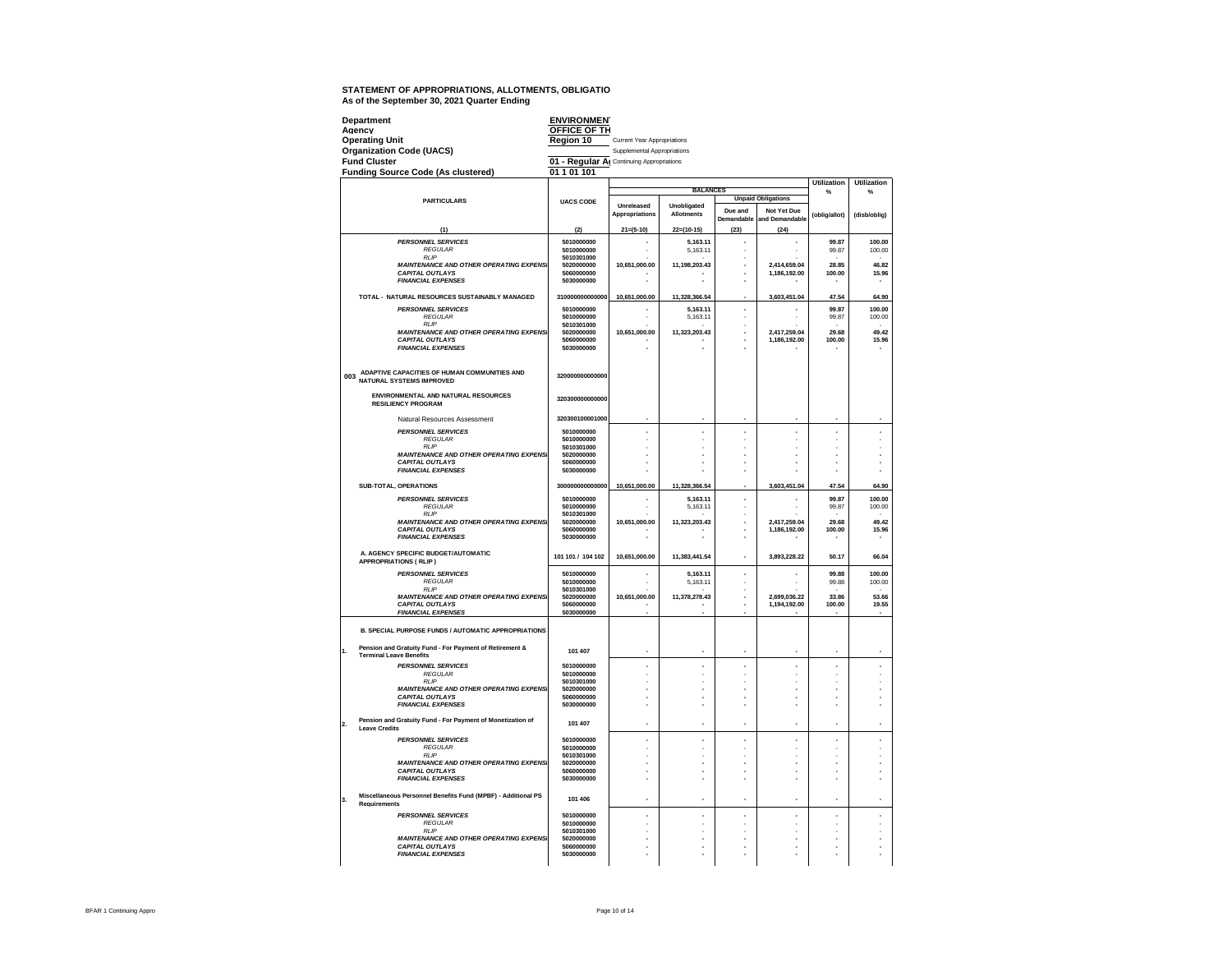|     | Department<br>Agency                                                         | <b>ENVIRONMEN</b><br>OFFICE OF TH         |                                    |                   |                                |                               |                    |                    |
|-----|------------------------------------------------------------------------------|-------------------------------------------|------------------------------------|-------------------|--------------------------------|-------------------------------|--------------------|--------------------|
|     | <b>Operating Unit</b>                                                        | Region 10                                 | <b>Current Year Appropriations</b> |                   |                                |                               |                    |                    |
|     | <b>Organization Code (UACS)</b>                                              |                                           | Supplemental Appropriations        |                   |                                |                               |                    |                    |
|     | <b>Fund Cluster</b>                                                          | 01 - Regular Al Continuing Appropriations |                                    |                   |                                |                               |                    |                    |
|     | <b>Funding Source Code (As clustered)</b>                                    | 01 1 01 101                               |                                    |                   |                                |                               | <b>Utilization</b> | <b>Utilization</b> |
|     |                                                                              |                                           |                                    | <b>BALANCES</b>   |                                |                               | %                  | 0/2                |
|     | <b>PARTICULARS</b>                                                           | <b>UACS CODE</b>                          | Unreleased                         | Unobligated       |                                | <b>Unpaid Obligations</b>     |                    |                    |
|     |                                                                              |                                           | Appropriations                     | <b>Allotments</b> | Due and<br>Demandable          | Not Yet Due<br>and Demandable | (oblig/allot)      | (disb/oblig)       |
|     | (1)                                                                          | (2)                                       | $21=(5-10)$                        | $22=(10-15)$      | (23)                           | (24)                          |                    |                    |
|     | <b>PERSONNEL SERVICES</b>                                                    | 5010000000                                | ä,                                 | 5.163.11          | ٠                              | ä,                            | 99.87              | 100.00             |
|     | <b>RFGULAR</b><br><b>RI</b> IP                                               | 5010000000<br>5010301000                  |                                    | 5,163.11          | ÷.<br>$\overline{\phantom{a}}$ |                               | 99.87              | 100.00             |
|     | <b>MAINTENANCE AND OTHER OPERATING EXPENSI</b><br><b>CAPITAL OUTLAYS</b>     | 5020000000<br>5060000000                  | 10,651,000.00                      | 11,198,203.43     | ×                              | 2.414.659.04<br>1,186,192.00  | 28.85<br>100.00    | 46.82<br>15.96     |
|     | <b>FINANCIAL EXPENSES</b>                                                    | 5030000000                                |                                    |                   |                                |                               |                    |                    |
|     | TOTAL - NATURAL RESOURCES SUSTAINABLY MANAGED                                | 310000000000000                           | 10,651,000.00                      | 11,328,366.54     |                                | 3,603,451.04                  | 47.54              | 64.90              |
|     | <b>PERSONNEL SERVICES</b>                                                    | 5010000000                                |                                    | 5.163.11          | ×.                             | ä,                            | 99.87              | 100.00             |
|     | <b>REGULAR</b><br><b>RLIP</b>                                                | 5010000000<br>5010301000                  |                                    | 5,163.11          | $\overline{\phantom{a}}$<br>i, |                               | 99.87              | 100.00             |
|     | <b>MAINTENANCE AND OTHER OPERATING EXPENSI</b>                               | 5020000000                                | 10,651,000.00                      | 11,323,203.43     | ä,                             | 2,417,259.04                  | 29.68              | 49.42              |
|     | <b>CAPITAL OUTLAYS</b><br><b>FINANCIAL EXPENSES</b>                          | 5060000000<br>5030000000                  |                                    |                   |                                | 1,186,192.00                  | 100.00             | 15.96              |
|     |                                                                              |                                           |                                    |                   |                                |                               |                    |                    |
|     | 003 ADAPTIVE CAPACITIES OF HUMAN COMMUNITIES AND<br>NATURAL SYSTEMS IMPROVED | 320000000000000                           |                                    |                   |                                |                               |                    |                    |
|     |                                                                              |                                           |                                    |                   |                                |                               |                    |                    |
|     | ENVIRONMENTAL AND NATURAL RESOURCES<br><b>RESILIENCY PROGRAM</b>             | 320300000000000                           |                                    |                   |                                |                               |                    |                    |
|     | Natural Resources Assessment                                                 | 320300100001000                           |                                    |                   |                                |                               |                    |                    |
|     | <b>PERSONNEL SERVICES</b><br><b>REGULAR</b>                                  | 5010000000<br>5010000000                  | à.                                 | ×.                | J.                             | ä,                            | J.                 | í,                 |
|     | <b>RLIP</b>                                                                  | 5010301000                                |                                    |                   |                                |                               |                    |                    |
|     | <b>MAINTENANCE AND OTHER OPERATING EXPENSI</b><br><b>CAPITAL OUTLAYS</b>     | 5020000000<br>5060000000                  | J.                                 |                   |                                |                               |                    |                    |
|     | <b>FINANCIAL EXPENSES</b>                                                    | 5030000000                                |                                    |                   | J.                             |                               |                    |                    |
|     | SUB-TOTAL, OPERATIONS                                                        | 300000000000000                           | 10,651,000.00                      | 11,328,366.54     |                                | 3,603,451.04                  | 47.54              | 64.90              |
|     | <b>PERSONNEL SERVICES</b>                                                    | 5010000000                                | ä,                                 | 5,163.11          | ä,                             | i,                            | 99.87              | 100.00             |
|     | <b>REGULAR</b><br><b>RLIP</b>                                                | 5010000000<br>5010301000                  |                                    | 5,163.11          | i,                             |                               | 99.87              | 100.00             |
|     | <b>MAINTENANCE AND OTHER OPERATING EXPENSI</b><br><b>CAPITAL OUTLAYS</b>     | 5020000000<br>5060000000                  | 10,651,000.00                      | 11,323,203.43     | ×.                             | 2,417,259.04<br>1.186.192.00  | 29.68<br>100.00    | 49.42<br>15.96     |
|     | <b>FINANCIAL EXPENSES</b>                                                    | 5030000000                                | ×                                  |                   | J.                             |                               |                    |                    |
|     | A. AGENCY SPECIFIC BUDGET/AUTOMATIC<br><b>APPROPRIATIONS ( RLIP )</b>        | 101 101 / 104 102                         | 10.651.000.00                      | 11.383.441.54     | ä,                             | 3.893.228.22                  | 50.17              | 66.04              |
|     | <b>PERSONNEL SERVICES</b>                                                    | 5010000000                                | ٠                                  | 5.163.11          | ٠                              | ٠                             | 99.88              | 100.00             |
|     | <b>REGULAR</b><br><b>RLIP</b>                                                | 5010000000<br>5010301000                  |                                    | 5.163.11          | ٠                              |                               | 99.88              | 100.00             |
|     | <b>MAINTENANCE AND OTHER OPERATING EXPENS</b>                                | 5020000000<br>5060000000                  | 10.651.000.00                      | 11.378.278.43     | J.<br>÷                        | 2.699.036.22                  | 33,86              | 53.66              |
|     | <b>CAPITAL OUTLAYS</b><br><b>FINANCIAL EXPENSES</b>                          | 5030000000                                |                                    |                   |                                | 1,194,192.00                  | 100.00             | 19.55              |
|     | B. SPECIAL PURPOSE FUNDS / AUTOMATIC APPROPRIATIONS                          |                                           |                                    |                   |                                |                               |                    |                    |
| h.  | Pension and Gratuity Fund - For Payment of Retirement &                      | 101 407                                   |                                    |                   |                                |                               |                    |                    |
|     | <b>Terminal Leave Renefits</b><br><b>PERSONNEL SERVICES</b>                  | 5010000000                                |                                    |                   |                                | í,                            |                    |                    |
|     | <b>RFGULAR</b><br><b>RI</b> IP                                               | 5010000000<br>5010301000                  |                                    |                   | ä,                             |                               |                    |                    |
|     | <b>MAINTENANCE AND OTHER OPERATING EXPENSI</b>                               | 5020000000                                | ٠<br>J.                            |                   | J.                             | ٠<br>ä,                       |                    |                    |
|     | <b>CAPITAL OUTLAYS</b><br><b>FINANCIAL EXPENSES</b>                          | 5060000000<br>5030000000                  | J.                                 |                   | ä,                             | ä,                            |                    |                    |
|     | Pension and Gratuity Fund - For Payment of Monetization of                   |                                           |                                    |                   |                                |                               |                    |                    |
| l2. | <b>Leave Credits</b>                                                         | 101 407                                   | ×                                  | ×                 | ×.                             | ×,                            | ×,                 | ×,                 |
|     | <b>PERSONNEL SERVICES</b><br><b>REGULAR</b>                                  | 5010000000<br>5010000000                  | ×                                  |                   | ٠                              | í,                            |                    |                    |
|     | <b>RLIP</b><br><b>MAINTENANCE AND OTHER OPERATING EXPENSI</b>                | 5010301000<br>5020000000                  | J.                                 |                   | ×.                             | ×,                            |                    |                    |
|     | <b>CAPITAL OUTLAYS</b><br><b>FINANCIAL EXPENSES</b>                          | 5060000000<br>5030000000                  |                                    |                   |                                | ×,                            |                    |                    |
|     |                                                                              |                                           |                                    |                   |                                |                               |                    |                    |
| 3.  | Miscellaneous Personnel Benefits Fund (MPBF) - Additional PS<br>Requirements | 101 406                                   | ×                                  | ×,                | ×.                             | ä,                            | ×,                 | ä,                 |
|     | <b>PERSONNEL SERVICES</b><br><b>REGULAR</b>                                  | 5010000000<br>5010000000                  |                                    |                   | ä,                             | ٠                             |                    |                    |
|     | <b>RIP</b>                                                                   | 5010301000                                | J.                                 |                   |                                |                               |                    |                    |
|     | <b>MAINTENANCE AND OTHER OPERATING EXPENSI</b><br><b>CAPITAL OUTLAYS</b>     | 5020000000<br>5060000000                  |                                    |                   |                                |                               |                    |                    |
|     | <b>FINANCIAL EXPENSES</b>                                                    | 5030000000                                |                                    |                   |                                |                               |                    |                    |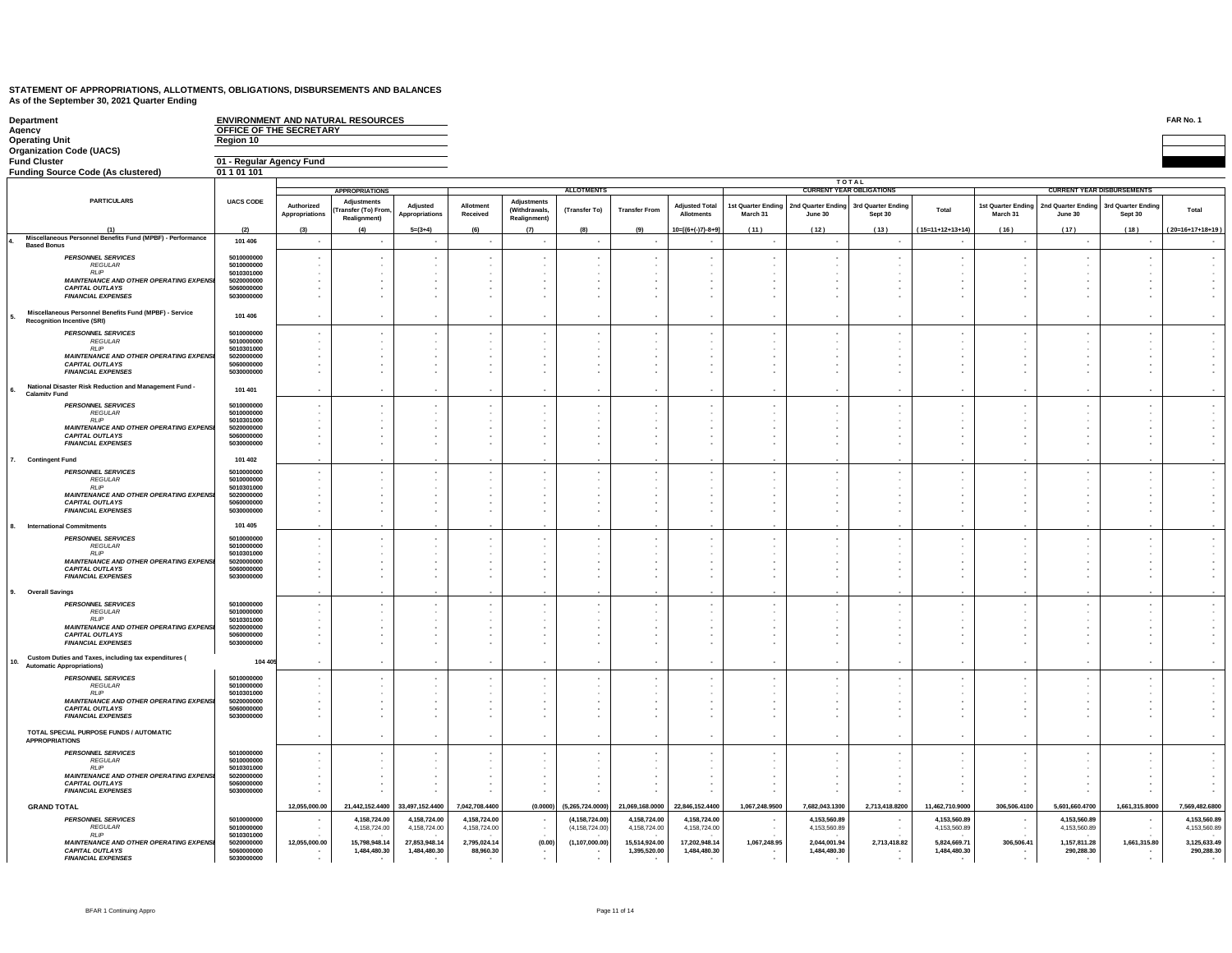| Department<br>Agency                                                                             | <b>ENVIRONMENT AND NATURAL RESOURCES</b><br>OFFICE OF THE SECRETARY |                                            |                                                 |                 |                |                                    |                   |                      |                       |                    |                          |                                 |                    |                    |                                   |                          | FAR No. 1          |
|--------------------------------------------------------------------------------------------------|---------------------------------------------------------------------|--------------------------------------------|-------------------------------------------------|-----------------|----------------|------------------------------------|-------------------|----------------------|-----------------------|--------------------|--------------------------|---------------------------------|--------------------|--------------------|-----------------------------------|--------------------------|--------------------|
| <b>Operating Unit</b>                                                                            | Region 10                                                           |                                            |                                                 |                 |                |                                    |                   |                      |                       |                    |                          |                                 |                    |                    |                                   |                          |                    |
| <b>Organization Code (UACS)</b><br><b>Fund Cluster</b>                                           |                                                                     |                                            |                                                 |                 |                |                                    |                   |                      |                       |                    |                          |                                 |                    |                    |                                   |                          |                    |
| <b>Funding Source Code (As clustered)</b>                                                        | 01 - Regular Agency Fund<br>01 1 01 101                             |                                            |                                                 |                 |                |                                    |                   |                      |                       |                    |                          |                                 |                    |                    |                                   |                          |                    |
|                                                                                                  |                                                                     |                                            |                                                 |                 |                |                                    |                   |                      |                       |                    |                          | TOTAL                           |                    |                    |                                   |                          |                    |
|                                                                                                  |                                                                     |                                            | <b>APPROPRIATIONS</b>                           |                 |                |                                    | <b>ALLOTMENTS</b> |                      |                       |                    |                          | <b>CURRENT YEAR OBLIGATIONS</b> |                    |                    | <b>CURRENT YEAR DISBURSEMENTS</b> |                          |                    |
| <b>PARTICULARS</b>                                                                               | <b>UACS CODE</b>                                                    | Authorized                                 | <b>Adjustments</b><br><b>Transfer (To) From</b> | Adjusted        | Allotment      | Adjustments<br><b>(Withdrawals</b> | (Transfer To)     | <b>Transfer From</b> | <b>Adjusted Total</b> | 1st Quarter Ending | 2nd Quarter Ending       | 3rd Quarter Ending              | Total              | 1st Quarter Ending | 2nd Quarter Ending                | 3rd Quarter Ending       | Total              |
|                                                                                                  |                                                                     | Appropriations                             | Realignment)                                    | Appropriations  | Received       | Realignment)                       |                   |                      | <b>Allotments</b>     | March 31           | June 30                  | Sept 30                         |                    | March 31           | June 30                           | Sept 30                  |                    |
| (1)                                                                                              | (2)                                                                 | (3)                                        | (4)                                             | $5=(3+4)$       | (f)            | (7)                                | (8)               | (9)                  | $10=[(6+(-7)-8+9]$    | (11)               | (12)                     | (13)                            | $(15=11+12+13+14)$ | (16)               | (17)                              | (18)                     | $(20=16+17+18+19)$ |
| Miscellaneous Personnel Benefits Fund (MPBF) - Performance<br><b>Based Bonus</b>                 | 101 406                                                             | $\ddot{\phantom{0}}$                       | $\cdot$                                         | $\cdot$         | $\sim$         | $\cdot$                            | $\sim$            |                      | ٠.                    | $\sim$             | $\overline{\phantom{a}}$ | $\sim$                          | ٠.                 | $\sim$             | $\overline{\phantom{a}}$          | $\overline{\phantom{a}}$ |                    |
| <b>PERSONNEL SERVICES</b>                                                                        | 5010000000                                                          | $\blacksquare$                             |                                                 | $\mathbf{r}$    |                |                                    |                   |                      |                       |                    |                          |                                 |                    |                    | ۰.                                |                          |                    |
| <b>REGULAR</b><br><b>RIP</b>                                                                     | 5010000000<br>5010301000                                            |                                            |                                                 |                 |                |                                    |                   |                      |                       |                    |                          |                                 |                    |                    |                                   |                          |                    |
| MAINTENANCE AND OTHER OPERATING EXPENSI                                                          | 5020000000                                                          |                                            |                                                 |                 |                |                                    |                   |                      |                       |                    |                          |                                 |                    |                    |                                   |                          |                    |
| <b>CAPITAL OUTLAYS</b><br><b>FINANCIAL EXPENSES</b>                                              | 5060000000<br>5030000000                                            | $\overline{\phantom{a}}$                   |                                                 |                 |                |                                    |                   |                      |                       |                    |                          |                                 |                    |                    |                                   |                          |                    |
|                                                                                                  |                                                                     |                                            |                                                 |                 |                |                                    |                   |                      |                       |                    |                          |                                 |                    |                    |                                   |                          |                    |
| Miscellaneous Personnel Benefits Fund (MPBF) - Service<br><b>Recognition Incentive (SRI)</b>     | 101 406                                                             |                                            |                                                 |                 |                |                                    |                   |                      |                       |                    |                          |                                 |                    |                    |                                   |                          |                    |
| <b>PERSONNEL SERVICES</b>                                                                        | 5010000000                                                          |                                            |                                                 |                 |                |                                    |                   |                      |                       |                    |                          |                                 |                    |                    |                                   |                          |                    |
| <b>REGULAR</b>                                                                                   | 5010000000                                                          |                                            |                                                 |                 |                |                                    |                   |                      |                       |                    |                          |                                 |                    |                    |                                   |                          |                    |
| <b>RLIP</b><br><b>MAINTENANCE AND OTHER OPERATING EXPENSI</b>                                    | 5010301000<br>5020000000                                            |                                            |                                                 |                 |                |                                    |                   |                      |                       |                    |                          |                                 |                    |                    |                                   |                          |                    |
| <b>CAPITAL OUTLAYS</b><br><b>FINANCIAL EXPENSES</b>                                              | 5060000000<br>5030000000                                            |                                            |                                                 |                 |                |                                    |                   |                      |                       |                    |                          |                                 |                    |                    |                                   |                          |                    |
|                                                                                                  |                                                                     |                                            |                                                 |                 |                |                                    |                   |                      |                       |                    |                          |                                 |                    |                    | ٠.                                |                          |                    |
| National Disaster Risk Reduction and Management Fund -<br>6.<br><b>Calamity Fund</b>             | 101 401                                                             |                                            |                                                 |                 |                |                                    | $\sim$            |                      |                       |                    |                          |                                 | ÷.                 |                    | ÷.                                |                          |                    |
| <b>PERSONNEL SERVICES</b>                                                                        | 5010000000                                                          | $\cdot$                                    |                                                 |                 |                |                                    |                   |                      |                       |                    |                          |                                 |                    |                    | $\cdot$                           |                          |                    |
| REGULAR<br>RIIP                                                                                  | 5010000000<br>5010301000                                            |                                            |                                                 |                 |                |                                    |                   |                      |                       |                    |                          |                                 |                    |                    |                                   |                          |                    |
| <b>MAINTENANCE AND OTHER OPERATING EXPENSI</b>                                                   | 5020000000                                                          |                                            |                                                 |                 |                |                                    |                   |                      |                       |                    |                          |                                 |                    |                    |                                   |                          |                    |
| <b>CAPITAL OUTLAYS</b><br><b>FINANCIAL EXPENSES</b>                                              | 5060000000<br>5030000000                                            |                                            |                                                 |                 |                |                                    |                   |                      |                       |                    |                          |                                 |                    |                    |                                   |                          |                    |
|                                                                                                  |                                                                     |                                            |                                                 |                 |                |                                    |                   |                      |                       |                    |                          |                                 |                    |                    |                                   |                          |                    |
| 7. Contingent Fund                                                                               | 101 402                                                             |                                            |                                                 |                 |                |                                    |                   |                      |                       |                    |                          |                                 |                    |                    |                                   |                          |                    |
| <b>PERSONNEL SERVICES</b><br><b>REGULAR</b>                                                      | 5010000000<br>5010000000                                            |                                            |                                                 |                 |                |                                    |                   |                      |                       |                    |                          |                                 |                    |                    |                                   |                          |                    |
| <b>RLIP</b>                                                                                      | 5010301000                                                          |                                            |                                                 |                 |                |                                    |                   |                      |                       |                    |                          |                                 |                    |                    |                                   |                          |                    |
| <b>MAINTENANCE AND OTHER OPERATING EXPENSI</b><br><b>CAPITAL OUTLAYS</b>                         | 5020000000<br>5060000000                                            |                                            |                                                 |                 |                |                                    |                   |                      |                       |                    |                          |                                 |                    |                    |                                   |                          |                    |
| <b>FINANCIAL EXPENSES</b>                                                                        | 5030000000                                                          |                                            |                                                 |                 |                |                                    |                   |                      |                       |                    |                          |                                 |                    |                    |                                   |                          |                    |
| 8. International Commitments                                                                     | 101 405                                                             |                                            |                                                 |                 |                |                                    |                   |                      |                       |                    |                          |                                 |                    |                    |                                   |                          |                    |
| <b>PERSONNEL SERVICES</b>                                                                        | 5010000000                                                          | ٠.                                         |                                                 |                 |                |                                    |                   |                      |                       |                    |                          |                                 |                    |                    | $\overline{\phantom{a}}$          |                          |                    |
| <b>REGULAR</b><br>RIIP                                                                           | 5010000000<br>5010301000                                            |                                            |                                                 |                 |                |                                    |                   |                      |                       |                    |                          |                                 |                    |                    |                                   |                          |                    |
| <b>MAINTENANCE AND OTHER OPERATING EXPENSI</b><br><b>CAPITAL OUTLAYS</b>                         | 5020000000<br>5060000000                                            | $\overline{\phantom{a}}$                   |                                                 |                 |                |                                    |                   |                      |                       |                    |                          |                                 |                    |                    |                                   |                          |                    |
| <b>FINANCIAL EXPENSES</b>                                                                        | 5030000000                                                          |                                            |                                                 |                 |                |                                    |                   |                      |                       |                    |                          |                                 |                    |                    | $\blacksquare$                    |                          |                    |
| 9. Overall Savings                                                                               |                                                                     |                                            |                                                 |                 |                |                                    |                   |                      |                       |                    |                          |                                 |                    |                    |                                   |                          |                    |
| <b>PERSONNEL SERVICES</b>                                                                        | 5010000000                                                          |                                            |                                                 |                 |                |                                    |                   |                      |                       |                    |                          |                                 |                    |                    | ÷.                                |                          |                    |
| REGULAR<br><b>RLIP</b>                                                                           | 5010000000<br>5010301000                                            |                                            |                                                 |                 |                |                                    |                   |                      |                       |                    |                          |                                 |                    |                    |                                   |                          |                    |
| MAINTENANCE AND OTHER OPERATING EXPENSI                                                          | 5020000000                                                          |                                            |                                                 |                 |                |                                    |                   |                      |                       |                    |                          |                                 |                    |                    |                                   |                          |                    |
| <b>CAPITAL OUTLAYS</b><br><b>FINANCIAL EXPENSES</b>                                              | 5060000000<br>5030000000                                            |                                            |                                                 |                 |                |                                    |                   |                      |                       |                    |                          |                                 |                    |                    | $\overline{\phantom{a}}$          |                          |                    |
|                                                                                                  |                                                                     |                                            |                                                 |                 |                |                                    |                   |                      |                       |                    |                          |                                 |                    |                    |                                   |                          |                    |
| Custom Duties and Taxes, including tax expenditures (<br>10.<br><b>Automatic Appropriations)</b> | 104 40                                                              |                                            |                                                 |                 |                |                                    |                   |                      |                       |                    |                          |                                 |                    |                    |                                   |                          |                    |
| <b>PERSONNEL SERVICES</b>                                                                        | 5010000000                                                          |                                            |                                                 |                 |                |                                    |                   |                      |                       |                    |                          |                                 |                    |                    | $\overline{\phantom{a}}$          |                          |                    |
| <b>REGULAR</b><br><b>RIP</b>                                                                     | 5010000000<br>5010301000                                            |                                            |                                                 |                 |                |                                    |                   |                      |                       |                    |                          |                                 |                    |                    |                                   |                          |                    |
| <b>MAINTENANCE AND OTHER OPERATING EXPENSI</b>                                                   | 5020000000<br>5060000000                                            |                                            |                                                 |                 |                |                                    |                   |                      |                       |                    |                          |                                 |                    |                    |                                   |                          |                    |
| <b>CAPITAL OUTLAYS</b><br><b>FINANCIAL EXPENSES</b>                                              | 5030000000                                                          |                                            |                                                 |                 |                |                                    |                   |                      |                       |                    |                          |                                 |                    |                    | $\cdot$                           |                          |                    |
| TOTAL SPECIAL PURPOSE FUNDS / AUTOMATIC                                                          |                                                                     |                                            |                                                 |                 |                |                                    |                   |                      |                       |                    |                          |                                 |                    |                    |                                   |                          |                    |
| <b>APPROPRIATIONS</b>                                                                            |                                                                     |                                            |                                                 |                 |                |                                    |                   |                      |                       |                    |                          |                                 |                    |                    |                                   |                          |                    |
| <b>PERSONNEL SERVICES</b>                                                                        | 5010000000                                                          |                                            |                                                 |                 |                |                                    |                   |                      |                       |                    |                          |                                 |                    |                    |                                   |                          |                    |
| <b>REGULAR</b><br>RIIP                                                                           | 5010000000<br>5010301000                                            | $\blacksquare$<br>$\overline{\phantom{a}}$ |                                                 |                 |                |                                    |                   |                      |                       |                    |                          |                                 |                    |                    |                                   |                          |                    |
| <b>MAINTENANCE AND OTHER OPERATING EXPENSI</b><br><b>CAPITAL OUTLAYS</b>                         | 5020000000<br>5060000000                                            |                                            |                                                 |                 |                |                                    |                   |                      |                       |                    |                          |                                 |                    |                    | $\mathbf{r}$                      |                          |                    |
| <b>FINANCIAL EXPENSES</b>                                                                        | 5030000000                                                          |                                            |                                                 |                 |                |                                    |                   |                      |                       |                    |                          |                                 |                    |                    | ۰.                                |                          |                    |
| <b>GRAND TOTAL</b>                                                                               |                                                                     | 12,055,000.00                              | 21,442,152.4400                                 | 33,497,152.4400 | 7,042,708.4400 | (0.0000)                           | (5,265,724.0000)  | 21,069,168.0000      | 22,846,152.4400       | 1,067,248.9500     | 7,682,043.1300           | 2,713,418.8200                  | 11,462,710.9000    | 306,506.4100       | 5,601,660.4700                    | 1,661,315.8000           | 7,569,482.6800     |
| <b>PERSONNEL SERVICES</b>                                                                        | 5010000000                                                          |                                            | 4,158,724.00                                    | 4,158,724.00    | 4,158,724.00   |                                    | (4, 158, 724.00)  | 4,158,724.00         | 4,158,724.00          |                    | 4,153,560.89             |                                 | 4,153,560.89       |                    | 4,153,560.89                      | $\sim$                   | 4,153,560.89       |
| <b>REGULAR</b>                                                                                   | 5010000000                                                          |                                            | 4,158,724.00                                    | 4,158,724.00    | 4,158,724.00   |                                    | (4.158.724.00)    | 4,158,724.00         | 4,158,724.00          |                    | 4,153,560.89             |                                 | 4,153,560.89       |                    | 4,153,560.89                      |                          | 4,153,560.89       |
| <b>RLIP</b><br><b>MAINTENANCE AND OTHER OPERATING EXPENSI</b>                                    | 5010301000<br>5020000000                                            | 12,055,000.00                              | 15.798.948.14                                   | 27.853.948.14   | 2.795.024.14   | (0.00)                             | (1, 107, 000.00)  | 15.514.924.00        | 17.202.948.14         | 1,067,248.95       | 2.044.001.94             | 2,713,418.82                    | 5.824.669.71       | 306,506.41         | 1,157,811.28                      | 1,661,315.80             | 3.125.633.49       |
| <b>CAPITAL OUTLAYS</b><br><b>FINANCIAL EXPENSES</b>                                              | 5060000000<br>5030000000                                            |                                            | 1,484,480.30                                    | 1,484,480.30    | 88,960.30      |                                    |                   | 1,395,520.00         | 1,484,480.30          |                    | 1,484,480.30             |                                 | 1,484,480.30       |                    | 290,288.30                        |                          | 290,288.30         |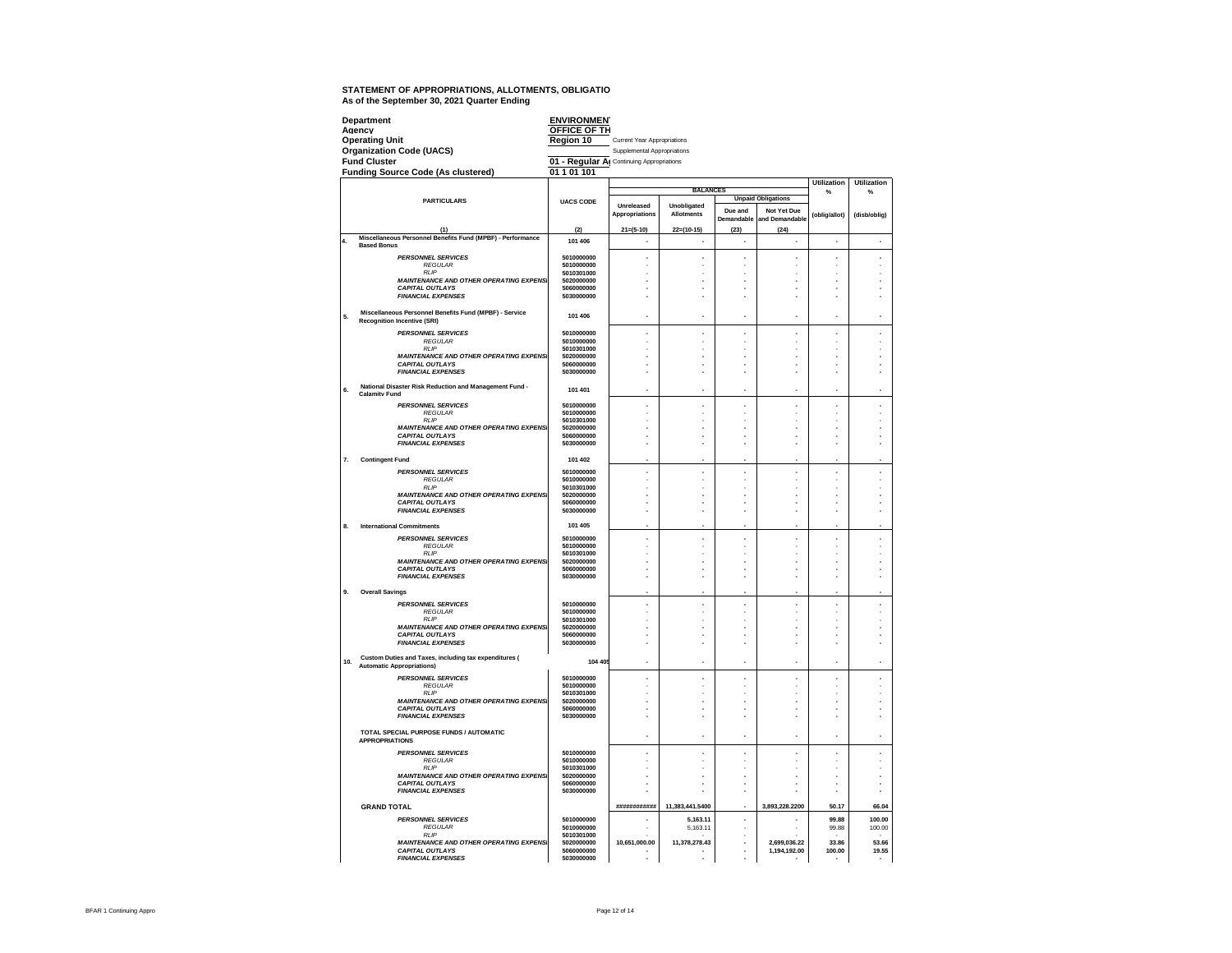|                | Department                                                                       | <b>ENVIRONMEN</b>                         |                             |                   |            |                           |                    |                    |
|----------------|----------------------------------------------------------------------------------|-------------------------------------------|-----------------------------|-------------------|------------|---------------------------|--------------------|--------------------|
|                | Agency<br><b>Operating Unit</b>                                                  | <b>OFFICE OF TH</b><br>Region 10          | Current Year Appropriations |                   |            |                           |                    |                    |
|                | <b>Organization Code (UACS)</b>                                                  |                                           | Supplemental Appropriations |                   |            |                           |                    |                    |
|                | <b>Fund Cluster</b>                                                              | 01 - Regular Al Continuing Appropriations |                             |                   |            |                           |                    |                    |
|                | <b>Funding Source Code (As clustered)</b>                                        | 01 1 01 101                               |                             |                   |            |                           |                    |                    |
|                |                                                                                  |                                           |                             |                   |            |                           | <b>Utilization</b> | <b>Utilization</b> |
|                | <b>PARTICULARS</b>                                                               | <b>UACS CODE</b>                          |                             | <b>BALANCES</b>   |            | <b>Unpaid Obligations</b> | %                  | %                  |
|                |                                                                                  |                                           | Unreleased                  | Unobligated       | Due and    | Not Yet Due               |                    |                    |
|                |                                                                                  |                                           | Appropriations              | <b>Allotments</b> | Demandable | and Demandable            | (oblig/allot)      | (disb/oblig)       |
|                | (1)                                                                              | (2)                                       | $21 = (5 - 10)$             | $22=(10-15)$      | (23)       | (24)                      |                    |                    |
| $\overline{4}$ | Miscellaneous Personnel Benefits Fund (MPBF) - Performance<br><b>Based Bonus</b> | 101 406                                   | ٠                           | $\epsilon$        | ٠          | $\overline{\phantom{a}}$  | ٠                  | ٠                  |
|                | <b>PERSONNEL SERVICES</b>                                                        | 5010000000                                |                             |                   |            |                           |                    |                    |
|                | <b>REGULAR</b>                                                                   | 5010000000                                |                             |                   |            |                           |                    |                    |
|                | <b>RIP</b><br><b>MAINTENANCE AND OTHER OPERATING EXPENSI</b>                     | 5010301000<br>5020000000                  |                             |                   |            |                           |                    |                    |
|                | <b>CAPITAL OUTLAYS</b>                                                           | 5060000000                                |                             |                   |            |                           |                    |                    |
|                | <b>FINANCIAL EXPENSES</b>                                                        | 5030000000                                |                             |                   |            |                           |                    |                    |
| 5.             | Miscellaneous Personnel Benefits Fund (MPBF) - Service                           | 101 406                                   |                             | í.                | ä,         | í.                        | ×,                 |                    |
|                | <b>Recognition Incentive (SRI)</b>                                               |                                           |                             |                   |            |                           |                    |                    |
|                | <b>PERSONNEL SERVICES</b><br><b>REGULAR</b>                                      | 5010000000<br>5010000000                  | ×,                          | ×,                | ×,         | ×,                        | ä,                 |                    |
|                | <b>RLIP</b>                                                                      | 5010301000                                |                             |                   |            |                           |                    |                    |
|                | <b>MAINTENANCE AND OTHER OPERATING EXPENS.</b><br><b>CAPITAL OUTLAYS</b>         | 5020000000<br>5060000000                  |                             |                   |            |                           |                    |                    |
|                | <b>FINANCIAL EXPENSES</b>                                                        | 5030000000                                |                             |                   |            |                           |                    |                    |
|                | National Disaster Risk Reduction and Management Fund -                           |                                           |                             |                   |            |                           |                    |                    |
| 6.             | <b>Calamity Fund</b>                                                             | 101 401                                   |                             | í,                |            |                           |                    |                    |
|                | <b>PERSONNEL SERVICES</b><br><b>REGULAR</b>                                      | 5010000000<br>5010000000                  | ×                           | í.                | ٠<br>٠     | ×                         | ×,<br>٠            |                    |
|                | <b>RIP</b>                                                                       | 5010301000                                |                             |                   |            |                           |                    |                    |
|                | <b>MAINTENANCE AND OTHER OPERATING EXPENS</b><br><b>CAPITAL OUTLAYS</b>          | 5020000000<br>5060000000                  |                             |                   | ×,         |                           |                    |                    |
|                | <b>FINANCIAL EXPENSES</b>                                                        | 5030000000                                |                             |                   |            |                           | ż                  |                    |
| 7.             | <b>Contingent Fund</b>                                                           | 101 402                                   |                             |                   |            |                           |                    |                    |
|                |                                                                                  | 5010000000                                |                             |                   |            |                           |                    |                    |
|                | <b>PERSONNEL SERVICES</b><br><b>RFGULAR</b>                                      | 5010000000                                |                             | í.                |            |                           | í.                 |                    |
|                | <b>RIP</b>                                                                       | 5010301000                                |                             |                   | ٠          |                           | ×,                 |                    |
|                | <b>MAINTENANCE AND OTHER OPERATING EXPENS</b><br><b>CAPITAL OUTLAYS</b>          | 5020000000<br>5060000000                  |                             |                   |            |                           |                    |                    |
|                | <b>FINANCIAL EXPENSES</b>                                                        | 5030000000                                |                             |                   |            |                           |                    |                    |
| 8.             | <b>International Commitments</b>                                                 | 101 405                                   |                             |                   |            |                           |                    |                    |
|                | <b>PERSONNEL SERVICES</b>                                                        | 5010000000                                |                             | í,                |            |                           |                    |                    |
|                | <b>REGULAR</b><br><b>RLIP</b>                                                    | 5010000000<br>5010301000                  |                             |                   |            |                           |                    |                    |
|                | <b>MAINTENANCE AND OTHER OPERATING EXPENSI</b>                                   | 5020000000                                |                             |                   |            |                           |                    |                    |
|                | <b>CAPITAL OUTLAYS</b><br><b>FINANCIAL EXPENSES</b>                              | 5060000000<br>5030000000                  |                             |                   | ä,         | ÷,                        | ä,                 |                    |
|                |                                                                                  |                                           |                             |                   |            |                           |                    |                    |
| 9.             | <b>Overall Savings</b>                                                           |                                           |                             |                   |            |                           |                    |                    |
|                | <b>PERSONNEL SERVICES</b><br><b>REGULAR</b>                                      | 5010000000<br>5010000000                  | ×                           | ×,                | ×,         | ×,                        | ä,                 |                    |
|                | <b>RI</b> IP                                                                     | 5010301000                                |                             |                   |            |                           |                    |                    |
|                | <b>MAINTENANCE AND OTHER OPERATING EXPENSI</b><br><b>CAPITAL OUTLAYS</b>         | 5020000000<br>5060000000                  |                             |                   |            |                           |                    |                    |
|                | <b>FINANCIAL EXPENSES</b>                                                        | 5030000000                                |                             |                   |            |                           |                    |                    |
|                | Custom Duties and Taxes, including tax expenditures (                            |                                           |                             |                   |            |                           |                    |                    |
| 10.            | <b>Automatic Appropriations)</b>                                                 | 104 405                                   |                             | J.                |            |                           | J.                 |                    |
|                | <b>PERSONNEL SERVICES</b>                                                        | 5010000000                                |                             | í,                |            |                           |                    |                    |
|                | <b>REGULAR</b><br><b>RLIP</b>                                                    | 5010000000<br>5010301000                  |                             |                   |            |                           |                    |                    |
|                | <b>MAINTENANCE AND OTHER OPERATING EXPENS.</b>                                   | 5020000000                                |                             |                   | ٠          |                           | ×,                 |                    |
|                | <b>CAPITAL OUTLAYS</b><br><b>FINANCIAL EXPENSES</b>                              | 5060000000<br>5030000000                  |                             | J.                | ä,<br>×.   | ÷.<br>÷.                  | ٠<br>J.            |                    |
|                |                                                                                  |                                           |                             |                   |            |                           |                    |                    |
|                | TOTAL SPECIAL PURPOSE FUNDS / AUTOMATIC<br><b>APPROPRIATIONS</b>                 |                                           |                             | J.                |            |                           | ٠                  |                    |
|                | <b>PERSONNEL SERVICES</b>                                                        | 5010000000                                |                             | ł,                |            |                           | ٠                  |                    |
|                | <b>REGULAR</b>                                                                   | 5010000000                                |                             |                   |            |                           |                    |                    |
|                | <b>RLIF</b><br><b>MAINTENANCE AND OTHER OPERATING EXPENSI</b>                    | 5010301000<br>5020000000                  | ×                           | Î,                | ×,<br>×,   | Î.                        | ä,<br>ä,           |                    |
|                | <b>CAPITAL OUTLAYS</b>                                                           | 5060000000                                |                             | ź.                | ×,         | Î.                        |                    |                    |
|                | <b>FINANCIAL EXPENSES</b>                                                        | 5030000000                                |                             |                   | ×.         |                           |                    |                    |
|                | <b>GRAND TOTAL</b>                                                               |                                           | *************               | 11,383,441.5400   |            | 3,893,228.2200            | 50.17              | 66.04              |
|                | <b>PERSONNEL SERVICES</b>                                                        | 5010000000                                |                             | 5,163.11          |            |                           | 99.88              | 100.00             |
|                | <b>REGULAR</b><br><b>RLIP</b>                                                    | 5010000000<br>5010301000                  |                             | 5.163.11          |            |                           | 99.88              | 100.00             |
|                | <b>MAINTENANCE AND OTHER OPERATING EXPENSI</b>                                   | 5020000000                                | 10.651,000.00               | 11.378.278.43     |            | 2.699.036.22              | 33.86              | 53.66              |
|                | <b>CAPITAL OUTLAYS</b><br><b>FINANCIAL EXPENSES</b>                              | 5060000000<br>5030000000                  |                             |                   |            | 1.194.192.00              | 100.00             | 19.55              |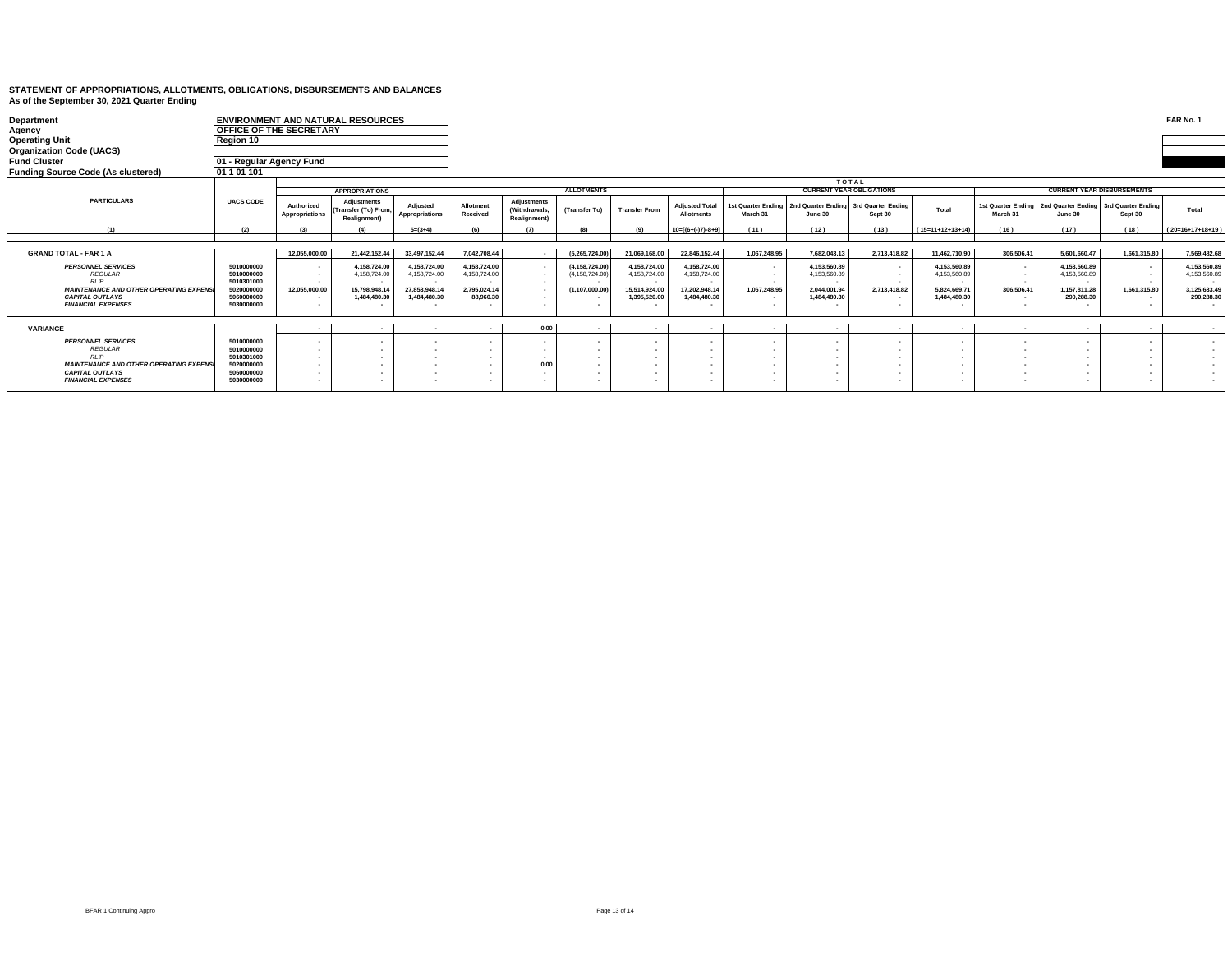| Department<br>Agency                                                                                                                                                |                                                                                  | <b>ENVIRONMENT AND NATURAL RESOURCES</b><br>OFFICE OF THE SECRETARY |                                                                                |                                                                                |                                                                           |                                              |                                                                                   |                                                                                |                                                                                |                                                 |                                                                              |                                                  |                                                                               |                                           |                                                                                   |                                                                     | FAR No. 1                                                                  |
|---------------------------------------------------------------------------------------------------------------------------------------------------------------------|----------------------------------------------------------------------------------|---------------------------------------------------------------------|--------------------------------------------------------------------------------|--------------------------------------------------------------------------------|---------------------------------------------------------------------------|----------------------------------------------|-----------------------------------------------------------------------------------|--------------------------------------------------------------------------------|--------------------------------------------------------------------------------|-------------------------------------------------|------------------------------------------------------------------------------|--------------------------------------------------|-------------------------------------------------------------------------------|-------------------------------------------|-----------------------------------------------------------------------------------|---------------------------------------------------------------------|----------------------------------------------------------------------------|
| <b>Operating Unit</b>                                                                                                                                               | Region 10                                                                        |                                                                     |                                                                                |                                                                                |                                                                           |                                              |                                                                                   |                                                                                |                                                                                |                                                 |                                                                              |                                                  |                                                                               |                                           |                                                                                   |                                                                     |                                                                            |
| <b>Organization Code (UACS)</b>                                                                                                                                     |                                                                                  |                                                                     |                                                                                |                                                                                |                                                                           |                                              |                                                                                   |                                                                                |                                                                                |                                                 |                                                                              |                                                  |                                                                               |                                           |                                                                                   |                                                                     |                                                                            |
| Fund Cluster                                                                                                                                                        | 01 - Regular Agency Fund                                                         |                                                                     |                                                                                |                                                                                |                                                                           |                                              |                                                                                   |                                                                                |                                                                                |                                                 |                                                                              |                                                  |                                                                               |                                           |                                                                                   |                                                                     |                                                                            |
|                                                                                                                                                                     | 01 1 01 101                                                                      |                                                                     |                                                                                |                                                                                |                                                                           |                                              |                                                                                   |                                                                                |                                                                                |                                                 |                                                                              |                                                  |                                                                               |                                           |                                                                                   |                                                                     |                                                                            |
|                                                                                                                                                                     | <b>UACS CODE</b>                                                                 | <b>APPROPRIATIONS</b>                                               |                                                                                |                                                                                | <b>ALLOTMENTS</b>                                                         |                                              |                                                                                   |                                                                                |                                                                                | <b>TOTAL</b><br><b>CURRENT YEAR OBLIGATIONS</b> |                                                                              |                                                  |                                                                               | <b>CURRENT YEAR DISBURSEMENTS</b>         |                                                                                   |                                                                     |                                                                            |
| Funding Source Code (As clustered)<br><b>PARTICULARS</b><br>(1)<br><b>GRAND TOTAL - FAR 1 A</b><br><b>PERSONNEL SERVICES</b><br><b>REGULAR</b>                      |                                                                                  | Authorized<br>Appropriations                                        | <b>Adjustments</b><br>(Transfer (To) From,<br>Realignment)                     | Adiusted<br>Appropriations                                                     | Allotment<br>Received                                                     | Adjustments<br>(Withdrawals,<br>Realignment) | (Transfer To)                                                                     | <b>Transfer From</b>                                                           | <b>Adiusted Total</b><br><b>Allotments</b>                                     | 1st Quarter Ending<br>March 31                  | June 30                                                                      | 2nd Quarter Ending 3rd Quarter Ending<br>Sept 30 | Total                                                                         | March 31                                  | 1st Quarter Ending   2nd Quarter Ending   3rd Quarter Ending<br>June 30           | Sept 30                                                             | Total                                                                      |
|                                                                                                                                                                     | (2)                                                                              | (3)                                                                 |                                                                                | $5=(3+4)$                                                                      | (f)                                                                       | (7)                                          | $\overline{B}$                                                                    | (9)                                                                            | $10=[(6+(-)7)-8+9]$                                                            | (11)                                            | (12)                                                                         | (13)                                             | $(15=11+12+13+14)$                                                            | (16)                                      | (17)                                                                              | (18)                                                                | $(20=16+17+18+19)$                                                         |
| <b>RIP</b><br><b>MAINTENANCE AND OTHER OPERATING EXPENSI</b><br><b>CAPITAL OUTLAYS</b><br><b>FINANCIAL EXPENSES</b>                                                 | 5010000000<br>5010000000<br>5010301000<br>5020000000<br>5060000000<br>5030000000 | 12,055,000.00<br>. .<br>12,055,000.00                               | 21,442,152.44<br>4,158,724.00<br>4,158,724.00<br>15,798,948.14<br>1,484,480.30 | 33,497,152.44<br>4,158,724.00<br>4,158,724.00<br>27,853,948.14<br>1.484.480.30 | 7,042,708.44<br>4,158,724.00<br>4,158,724.00<br>2,795,024.14<br>88,960,30 |                                              | (5,265,724.00)<br>(4, 158, 724.00)<br>(4, 158, 724.00)<br>(1, 107, 000.00)<br>. . | 21,069,168.00<br>4,158,724.00<br>4,158,724.00<br>15,514,924.00<br>1.395.520.00 | 22,846,152.44<br>4,158,724.00<br>4,158,724.00<br>17,202,948.14<br>1.484.480.30 | 1,067,248.95<br>. .<br>. .<br>1,067,248.95      | 7.682.043.13<br>4,153,560.89<br>4.153.560.89<br>2,044,001.94<br>1.484.480.30 | 2,713,418.82<br>۰.<br>2,713,418.82               | 11,462,710.90<br>4,153,560.89<br>4.153.560.89<br>5,824,669.71<br>1.484.480.30 | 306,506.41<br>$\sim$<br>. .<br>306,506.41 | 5,601,660.47<br>4.153.560.89<br>4.153.560.89<br>. .<br>1,157,811.28<br>290.288.30 | 1,661,315.80<br>$\sim$<br>. .<br><b>1999</b><br>1,661,315.80<br>. . | 7.569.482.68<br>4.153.560.89<br>4.153.560.89<br>3,125,633.49<br>290.288.30 |
| VARIANCE                                                                                                                                                            |                                                                                  | . .                                                                 | $\sim$                                                                         | $\sim$                                                                         | $\sim$                                                                    | 0.00                                         | $\sim$                                                                            | $\sim$                                                                         | . .                                                                            | $\sim$                                          | . .                                                                          | <b>1979</b>                                      | $\sim$                                                                        | $\sim$                                    | $\sim$                                                                            | $\sim$                                                              |                                                                            |
| <b>PERSONNEL SERVICES</b><br><b>REGULAR</b><br><b>RLIP</b><br><b>MAINTENANCE AND OTHER OPERATING EXPENSI</b><br><b>CAPITAL OUTLAYS</b><br><b>FINANCIAL EXPENSES</b> | 5010000000<br>5010000000<br>5010301000<br>5020000000<br>5060000000<br>5030000000 | . .                                                                 |                                                                                | $\mathbf{r}$                                                                   |                                                                           | 0.00                                         | . .<br>. .                                                                        |                                                                                |                                                                                |                                                 | . .                                                                          |                                                  |                                                                               | . .                                       | . .<br>. .<br>. .                                                                 | ٠.                                                                  | $\sim$<br>$\sim$<br>$\sim$<br>$\sim$<br>$\sim$<br>$\sim$                   |